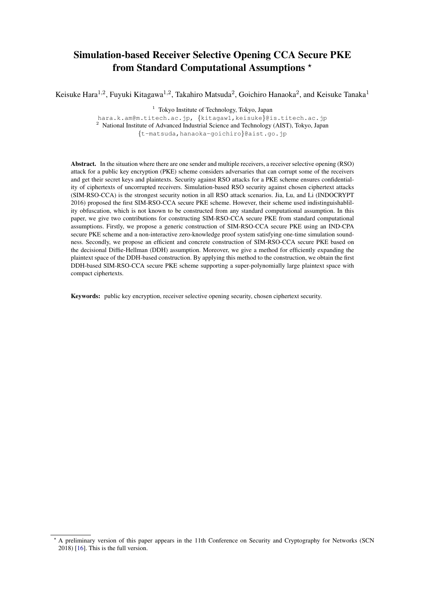# Simulation-based Receiver Selective Opening CCA Secure PKE from Standard Computational Assumptions *<sup>⋆</sup>*

Keisuke Hara<sup>1,2</sup>, Fuyuki Kitagawa<sup>1,2</sup>, Takahiro Matsuda<sup>2</sup>, Goichiro Hanaoka<sup>2</sup>, and Keisuke Tanaka<sup>1</sup>

<sup>1</sup> Tokyo Institute of Technology, Tokyo, Japan

hara.k.am@m.titech.ac.jp, *{*kitagaw1,keisuke*}*@is.titech.ac.jp <sup>2</sup> National Institute of Advanced Industrial Science and Technology (AIST), Tokyo, Japan *{*t-matsuda,hanaoka-goichiro*}*@aist.go.jp

Abstract. In the situation where there are one sender and multiple receivers, a receiver selective opening (RSO) attack for a public key encryption (PKE) scheme considers adversaries that can corrupt some of the receivers and get their secret keys and plaintexts. Security against RSO attacks for a PKE scheme ensures confidentiality of ciphertexts of uncorrupted receivers. Simulation-based RSO security against chosen ciphertext attacks (SIM-RSO-CCA) is the strongest security notion in all RSO attack scenarios. Jia, Lu, and Li (INDOCRYPT 2016) proposed the first SIM-RSO-CCA secure PKE scheme. However, their scheme used indistinguishablility obfuscation, which is not known to be constructed from any standard computational assumption. In this paper, we give two contributions for constructing SIM-RSO-CCA secure PKE from standard computational assumptions. Firstly, we propose a generic construction of SIM-RSO-CCA secure PKE using an IND-CPA secure PKE scheme and a non-interactive zero-knowledge proof system satisfying one-time simulation soundness. Secondly, we propose an efficient and concrete construction of SIM-RSO-CCA secure PKE based on the decisional Diffie-Hellman (DDH) assumption. Moreover, we give a method for efficiently expanding the plaintext space of the DDH-based construction. By applying this method to the construction, we obtain the first DDH-based SIM-RSO-CCA secure PKE scheme supporting a super-polynomially large plaintext space with compact ciphertexts.

Keywords: public key encryption, receiver selective opening security, chosen ciphertext security.

*<sup>⋆</sup>* A preliminary version of this paper appears in the 11th Conference on Security and Cryptography for Networks (SCN 2018) [16]. This is the full version.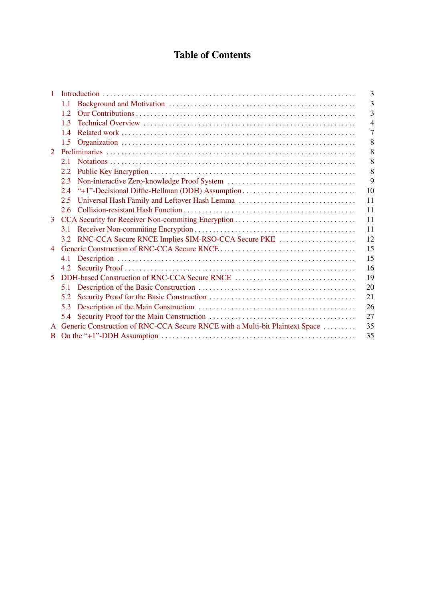# Table of Contents

| 1              |                                                                              | 3              |
|----------------|------------------------------------------------------------------------------|----------------|
|                | 1.1                                                                          | $\overline{3}$ |
|                | 12                                                                           | 3              |
|                | 1.3                                                                          | 4              |
|                | 1.4                                                                          | 7              |
|                | 1.5                                                                          | 8              |
| $\mathfrak{D}$ |                                                                              | 8              |
|                | 2.1                                                                          | 8              |
|                | 2.2                                                                          | 8              |
|                | 2.3                                                                          | 9              |
|                | "+1"-Decisional Diffie-Hellman (DDH) Assumption<br>2.4                       | 10             |
|                | Universal Hash Family and Leftover Hash Lemma<br>2.5                         | 11             |
|                | $2.6^{\circ}$                                                                | 11             |
| 3              |                                                                              | 11             |
|                | 3.1                                                                          | 11             |
|                | RNC-CCA Secure RNCE Implies SIM-RSO-CCA Secure PKE<br>3.2                    | 12             |
| $\overline{4}$ |                                                                              | 15             |
|                | 4.1                                                                          | 15             |
|                | 4.2                                                                          | 16             |
| 5              | DDH-based Construction of RNC-CCA Secure RNCE                                | 19             |
|                | 5.1                                                                          | 20             |
|                | 5.2                                                                          | 21             |
|                | 5.3                                                                          | 26             |
|                | 5.4                                                                          | 27             |
|                | Generic Construction of RNC-CCA Secure RNCE with a Multi-bit Plaintext Space | 35             |
| B.             |                                                                              | 35             |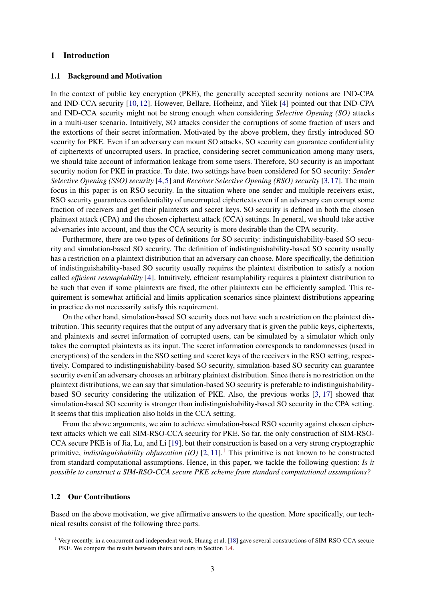# 1 Introduction

## 1.1 Background and Motivation

<span id="page-2-1"></span><span id="page-2-0"></span>In the context of public key encryption (PKE), the generally accepted security notions are IND-CPA and IND-CCA security [10, 12]. However, Bellare, Hofheinz, and Yilek [4] pointed out that IND-CPA and IND-CCA security might not be strong enough when considering *Selective Opening (SO)* attacks in a multi-user scenario. Intuitively, SO attacks consider the corruptions of some fraction of users and the extortions of their secret information. Motivated by the above problem, they firstly introduced SO security for PKE. Even i[f an](#page-33-0) [ad](#page-33-1)versary [c](#page-32-0)an mount SO attacks, SO security can guarantee confidentiality of ciphertexts of uncorrupted users. In practice, considering secret communication among many users, we should take account of information leakage from some users. Therefore, SO security is an important security notion for PKE in practice. To date, two settings have been considered for SO security: *Sender Selective Opening (SSO) security* [4,5] and *Receiver Selective Opening (RSO) security* [3,17]. The main focus in this paper is on RSO security. In the situation where one sender and multiple receivers exist, RSO security guarantees confidentiality of uncorrupted ciphertexts even if an adversary can corrupt some fraction of receivers and get their plaintexts and secret keys. SO security is defined in both the chosen plaintext attack (CPA) and the cho[se](#page-32-0)[n c](#page-32-1)iphertext attack (CCA) settings. In general, we s[ho](#page-32-2)[uld](#page-33-2) take active adversaries into account, and thus the CCA security is more desirable than the CPA security.

Furthermore, there are two types of definitions for SO security: indistinguishability-based SO security and simulation-based SO security. The definition of indistinguishability-based SO security usually has a restriction on a plaintext distribution that an adversary can choose. More specifically, the definition of indistinguishability-based SO security usually requires the plaintext distribution to satisfy a notion called *efficient resamplability* [4]. Intuitively, efficient resamplability requires a plaintext distribution to be such that even if some plaintexts are fixed, the other plaintexts can be efficiently sampled. This requirement is somewhat artificial and limits application scenarios since plaintext distributions appearing in practice do not necessarily satisfy this requirement.

On the other hand, simulati[on](#page-32-0)-based SO security does not have such a restriction on the plaintext distribution. This security requires that the output of any adversary that is given the public keys, ciphertexts, and plaintexts and secret information of corrupted users, can be simulated by a simulator which only takes the corrupted plaintexts as its input. The secret information corresponds to randomnesses (used in encryptions) of the senders in the SSO setting and secret keys of the receivers in the RSO setting, respectively. Compared to indistinguishability-based SO security, simulation-based SO security can guarantee security even if an adversary chooses an arbitrary plaintext distribution. Since there is no restriction on the plaintext distributions, we can say that simulation-based SO security is preferable to indistinguishabilitybased SO security considering the utilization of PKE. Also, the previous works [3, 17] showed that simulation-based SO security is stronger than indistinguishability-based SO security in the CPA setting. It seems that this implication also holds in the CCA setting.

From the above arguments, we aim to achieve simulation-based RSO security against chosen ciphertext attacks which we call SIM-RSO-CCA security for PKE. So far, the only constru[ct](#page-32-2)i[on](#page-33-2) of SIM-RSO-CCA secure PKE is of Jia, Lu, and Li [19], but their construction is based on a very strong cryptographic primitive, *indistinguishability obfuscation* (*iO*) [2, 11].<sup>1</sup> This primitive is not known to be constructed from standard computational assumptions. Hence, in this paper, we tackle the following question: *Is it possible to construct a SIM-RSO-CCA [se](#page-33-3)cure PKE scheme from standard computational assumptions?*

## 1.2 Our Contributions

Based on the above motivation, we give affirmative answers to the question. More specifically, our technical results consist of the following three parts.

<span id="page-2-2"></span><sup>&</sup>lt;sup>1</sup> Very recently, in a concurrent and independent work, Huang et al. [18] gave several constructions of SIM-RSO-CCA secure PKE. We compare the results between theirs and ours in Section 1.4.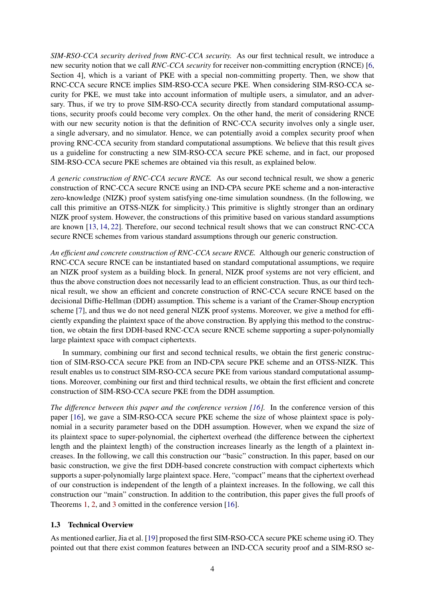*SIM-RSO-CCA security derived from RNC-CCA security.* As our first technical result, we introduce a new security notion that we call *RNC-CCA security* for receiver non-committing encryption (RNCE) [6, Section 4], which is a variant of PKE with a special non-committing property. Then, we show that RNC-CCA secure RNCE implies SIM-RSO-CCA secure PKE. When considering SIM-RSO-CCA security for PKE, we must take into account information of multiple users, a simulator, and an adversary. Thus, if we try to prove SIM-RSO-CCA security directly from standard computational assum[p](#page-32-3)tions, security proofs could become very complex. On the other hand, the merit of considering RNCE with our new security notion is that the definition of RNC-CCA security involves only a single user, a single adversary, and no simulator. Hence, we can potentially avoid a complex security proof when proving RNC-CCA security from standard computational assumptions. We believe that this result gives us a guideline for constructing a new SIM-RSO-CCA secure PKE scheme, and in fact, our proposed SIM-RSO-CCA secure PKE schemes are obtained via this result, as explained below.

*A generic construction of RNC-CCA secure RNCE.* As our second technical result, we show a generic construction of RNC-CCA secure RNCE using an IND-CPA secure PKE scheme and a non-interactive zero-knowledge (NIZK) proof system satisfying one-time simulation soundness. (In the following, we call this primitive an OTSS-NIZK for simplicity.) This primitive is slightly stronger than an ordinary NIZK proof system. However, the constructions of this primitive based on various standard assumptions are known [13, 14, 22]. Therefore, our second technical result shows that we can construct RNC-CCA secure RNCE schemes from various standard assumptions through our generic construction.

*An efficient and concrete construction of RNC-CCA secure RNCE.* Although our generic construction of RNC-CCA [sec](#page-33-4)[ure](#page-33-5) [RN](#page-33-6)CE can be instantiated based on standard computational assumptions, we require an NIZK proof system as a building block. In general, NIZK proof systems are not very efficient, and thus the above construction does not necessarily lead to an efficient construction. Thus, as our third technical result, we show an efficient and concrete construction of RNC-CCA secure RNCE based on the decisional Diffie-Hellman (DDH) assumption. This scheme is a variant of the Cramer-Shoup encryption scheme [7], and thus we do not need general NIZK proof systems. Moreover, we give a method for efficiently expanding the plaintext space of the above construction. By applying this method to the construction, we obtain the first DDH-based RNC-CCA secure RNCE scheme supporting a super-polynomially large pla[in](#page-33-7)text space with compact ciphertexts.

In summary, combining our first and second technical results, we obtain the first generic construction of SIM-RSO-CCA secure PKE from an IND-CPA secure PKE scheme and an OTSS-NIZK. This result enables us to construct SIM-RSO-CCA secure PKE from various standard computational assumptions. Moreover, combining our first and third technical results, we obtain the first efficient and concrete construction of SIM-RSO-CCA secure PKE from the DDH assumption.

*The difference between this paper and the conference version [16].* In the conference version of this paper [16], we gave a SIM-RSO-CCA secure PKE scheme the size of whose plaintext space is polynomial in a security parameter based on the DDH assumption. However, when we expand the size of its plaintext space to super-polynomial, the ciphertext overhead (the difference between the ciphertext length and the plaintext length) of the construction increases l[ine](#page-33-8)arly as the length of a plaintext increase[s. In](#page-33-8) the following, we call this construction our "basic" construction. In this paper, based on our basic construction, we give the first DDH-based concrete construction with compact ciphertexts which supports a super-polynomially large plaintext space. Here, "compact" means that the ciphertext overhead of our construction is independent of the length of a plaintext increases. In the following, we call this construction our "main" construction. In addition to the contribution, this paper gives the full proofs of Theorems 1, 2, and 3 omitted in the conference version [16].

## 1.3 Technical Overview

<span id="page-3-0"></span>As mentio[ne](#page-11-1)[d e](#page-15-1)arlie[r,](#page-20-1) Jia et al. [19] proposed the first SI[M-R](#page-33-8)SO-CCA secure PKE scheme using iO. They pointed out that there exist common features between an IND-CCA security proof and a SIM-RSO se-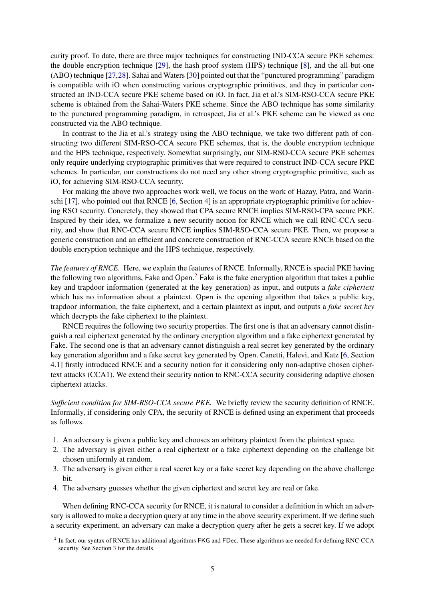curity proof. To date, there are three major techniques for constructing IND-CCA secure PKE schemes: the double encryption technique [29], the hash proof system (HPS) technique [8], and the all-but-one (ABO) technique [27,28]. Sahai and Waters [30] pointed out that the "punctured programming" paradigm is compatible with iO when constructing various cryptographic primitives, and they in particular constructed an IND-CCA secure PKE scheme based on iO. In fact, Jia et al.'s SIM-RSO-CCA secure PKE scheme is obtained from the Saha[i-W](#page-33-9)aters PKE scheme. Since the ABO techni[qu](#page-33-10)e has some similarity to the punctured [pro](#page-33-11)[gram](#page-33-12)ming paradigm, i[n re](#page-33-13)trospect, Jia et al.'s PKE scheme can be viewed as one constructed via the ABO technique.

In contrast to the Jia et al.'s strategy using the ABO technique, we take two different path of constructing two different SIM-RSO-CCA secure PKE schemes, that is, the double encryption technique and the HPS technique, respectively. Somewhat surprisingly, our SIM-RSO-CCA secure PKE schemes only require underlying cryptographic primitives that were required to construct IND-CCA secure PKE schemes. In particular, our constructions do not need any other strong cryptographic primitive, such as iO, for achieving SIM-RSO-CCA security.

For making the above two approaches work well, we focus on the work of Hazay, Patra, and Warinschi [17], who pointed out that RNCE [6, Section 4] is an appropriate cryptographic primitive for achieving RSO security. Concretely, they showed that CPA secure RNCE implies SIM-RSO-CPA secure PKE. Inspired by their idea, we formalize a new security notion for RNCE which we call RNC-CCA security, and show that RNC-CCA secure RNCE implies SIM-RSO-CCA secure PKE. Then, we propose a gene[ric](#page-33-2) construction and an efficient a[nd](#page-32-3) concrete construction of RNC-CCA secure RNCE based on the double encryption technique and the HPS technique, respectively.

*The features of RNCE.* Here, we explain the features of RNCE. Informally, RNCE is special PKE having the following two algorithms, Fake and Open.<sup>2</sup> Fake is the fake encryption algorithm that takes a public key and trapdoor information (generated at the key generation) as input, and outputs a *fake ciphertext* which has no information about a plaintext. Open is the opening algorithm that takes a public key, trapdoor information, the fake ciphertext, and [a](#page-4-0) certain plaintext as input, and outputs a *fake secret key* which decrypts the fake ciphertext to the plaintext.

RNCE requires the following two security properties. The first one is that an adversary cannot distinguish a real ciphertext generated by the ordinary encryption algorithm and a fake ciphertext generated by Fake. The second one is that an adversary cannot distinguish a real secret key generated by the ordinary key generation algorithm and a fake secret key generated by Open. Canetti, Halevi, and Katz [6, Section 4.1] firstly introduced RNCE and a security notion for it considering only non-adaptive chosen ciphertext attacks (CCA1). We extend their security notion to RNC-CCA security considering adaptive chosen ciphertext attacks.

*Sufficient condition for SIM-RSO-CCA secure PKE.* We briefly review the security definition of RNCE. Informally, if considering only CPA, the security of RNCE is defined using an experiment that proceeds as follows.

- 1. An adversary is given a public key and chooses an arbitrary plaintext from the plaintext space.
- 2. The adversary is given either a real ciphertext or a fake ciphertext depending on the challenge bit chosen uniformly at random.
- 3. The adversary is given either a real secret key or a fake secret key depending on the above challenge bit.
- 4. The adversary guesses whether the given ciphertext and secret key are real or fake.

When defining RNC-CCA security for RNCE, it is natural to consider a definition in which an adversary is allowed to make a decryption query at any time in the above security experiment. If we define such a security experiment, an adversary can make a decryption query after he gets a secret key. If we adopt

<span id="page-4-0"></span> $<sup>2</sup>$  In fact, our syntax of RNCE has additional algorithms FKG and FDec. These algorithms are needed for defining RNC-CCA</sup> security. See Section 3 for the details.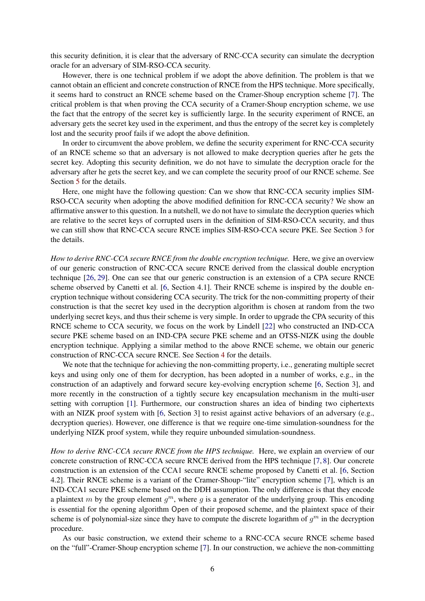this security definition, it is clear that the adversary of RNC-CCA security can simulate the decryption oracle for an adversary of SIM-RSO-CCA security.

However, there is one technical problem if we adopt the above definition. The problem is that we cannot obtain an efficient and concrete construction of RNCE from the HPS technique. More specifically, it seems hard to construct an RNCE scheme based on the Cramer-Shoup encryption scheme [7]. The critical problem is that when proving the CCA security of a Cramer-Shoup encryption scheme, we use the fact that the entropy of the secret key is sufficiently large. In the security experiment of RNCE, an adversary gets the secret key used in the experiment, and thus the entropy of the secret key is co[mp](#page-33-7)letely lost and the security proof fails if we adopt the above definition.

In order to circumvent the above problem, we define the security experiment for RNC-CCA security of an RNCE scheme so that an adversary is not allowed to make decryption queries after he gets the secret key. Adopting this security definition, we do not have to simulate the decryption oracle for the adversary after he gets the secret key, and we can complete the security proof of our RNCE scheme. See Section 5 for the details.

Here, one might have the following question: Can we show that RNC-CCA security implies SIM-RSO-CCA security when adopting the above modified definition for RNC-CCA security? We show an affirmative answer to this question. In a nutshell, we do not have to simulate the decryption queries which are rela[tiv](#page-18-0)e to the secret keys of corrupted users in the definition of SIM-RSO-CCA security, and thus we can still show that RNC-CCA secure RNCE implies SIM-RSO-CCA secure PKE. See Section 3 for the details.

*How to derive RNC-CCA secure RNCE from the double encryption technique.* Here, we give an overview of our generic construction of RNC-CCA secure RNCE derived from the classical double encry[pt](#page-10-2)ion technique [26, 29]. One can see that our generic construction is an extension of a CPA secure RNCE scheme observed by Canetti et al. [6, Section 4.1]. Their RNCE scheme is inspired by the double encryption technique without considering CCA security. The trick for the non-committing property of their construction is that the secret key used in the decryption algorithm is chosen at random from the two underlying [sec](#page-33-14)[ret](#page-33-9) keys, and thus their scheme is very simple. In order to upgrade the CPA security of this RNCE scheme to CCA security, w[e f](#page-32-3)ocus on the work by Lindell [22] who constructed an IND-CCA secure PKE scheme based on an IND-CPA secure PKE scheme and an OTSS-NIZK using the double encryption technique. Applying a similar method to the above RNCE scheme, we obtain our generic construction of RNC-CCA secure RNCE. See Section 4 for the details.

We note that the technique for achieving the non-committing pro[pert](#page-33-6)y, i.e., generating multiple secret keys and using only one of them for decryption, has been adopted in a number of works, e.g., in the construction of an adaptively and forward secure key-evolving encryption scheme [6, Section 3], and more recently in the construction of a tightly secure [k](#page-14-0)ey encapsulation mechanism in the multi-user setting with corruption [1]. Furthermore, our construction shares an idea of binding two ciphertexts with an NIZK proof system with [6, Section 3] to resist against active behaviors of an adversary (e.g., decryption queries). However, one difference is that we require one-time simulation[-s](#page-32-3)oundness for the underlying NIZK proof s[ys](#page-32-4)tem, while they require unbounded simulation-soundness.

*How to derive RNC-CCA secure [RN](#page-32-3)CE from the HPS technique.* Here, we explain an overview of our concrete construction of RNC-CCA secure RNCE derived from the HPS technique [7, 8]. Our concrete construction is an extension of the CCA1 secure RNCE scheme proposed by Canetti et al. [6, Section 4.2]. Their RNCE scheme is a variant of the Cramer-Shoup-"lite" encryption scheme [7], which is an IND-CCA1 secure PKE scheme based on the DDH assumption. The only difference is that they encode a plaintext *m* by the gr[ou](#page-33-7)p element  $g^m$ , where  $g$  is a generator of the underlying grou[p.](#page-33-10) This encoding is essential for the opening algorithm Open of their proposed scheme, and the plaintext spa[ce](#page-32-3) of their scheme is of polynomial-size since they have to compute the discrete logarithm of  $g^m$  i[n t](#page-33-7)he decryption procedure.

As our basic construction, we extend their scheme to a RNC-CCA secure RNCE scheme based on the "full"-Cramer-Shoup encryption scheme [7]. In our construction, we achieve the non-committing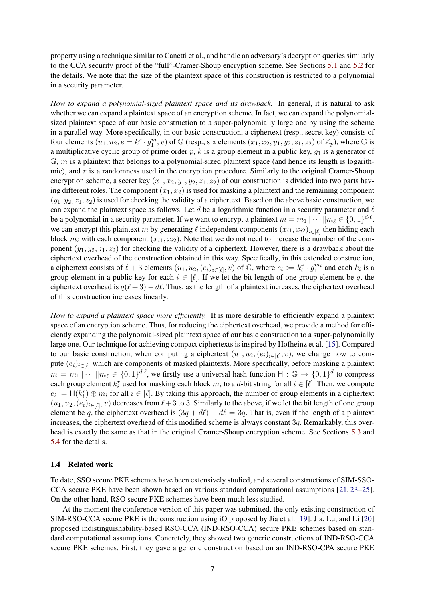property using a technique similar to Canetti et al., and handle an adversary's decryption queries similarly to the CCA security proof of the "full"-Cramer-Shoup encryption scheme. See Sections 5.1 and 5.2 for the details. We note that the size of the plaintext space of this construction is restricted to a polynomial in a security parameter.

*How to expand a polynomial-sized plaintext space and its drawback.* In general, it is [na](#page-19-0)tural [to](#page-20-0) ask whether we can expand a plaintext space of an encryption scheme. In fact, we can expand the polynomialsized plaintext space of our basic construction to a super-polynomially large one by using the scheme in a parallel way. More specifically, in our basic construction, a ciphertext (resp., secret key) consists of four elements  $(u_1, u_2, e = k^r \cdot g_1^m, v)$  of  $\mathbb G$  (resp., six elements  $(x_1, x_2, y_1, y_2, z_1, z_2)$  of  $\mathbb Z_p$ ), where  $\mathbb G$  is a multiplicative cyclic group of prime order  $p$ ,  $k$  is a group element in a public key,  $g_1$  is a generator of G, *m* is a plaintext that belongs to a polynomial-sized plaintext space (and hence its length is logarithmic), and *r* is a randomness used in the encryption procedure. Similarly to the original Cramer-Shoup encryption scheme, a secret key  $(x_1, x_2, y_1, y_2, z_1, z_2)$  of our construction is divided into two parts having different roles. The component  $(x_1, x_2)$  is used for masking a plaintext and the remaining component  $(y_1, y_2, z_1, z_2)$  is used for checking the validity of a ciphertext. Based on the above basic construction, we can expand the plaintext space as follows. Let *d* be a logarithmic function in a security parameter and *ℓ* be a polynomial in a security parameter. If we want to encrypt a plaintext  $m = m_1 || \cdots || m_\ell \in \{0,1\}^{d \cdot \ell}$ , we can encrypt this plaintext *m* by generating *ℓ* independent components (*xi*1*, xi*2)*i∈*[*ℓ*] then hiding each block  $m_i$  with each component  $(x_{i1}, x_{i2})$ . Note that we do not need to increase the number of the component  $(y_1, y_2, z_1, z_2)$  for checking the validity of a ciphertext. However, there is a drawback about the ciphertext overhead of the construction obtained in this way. Specifically, in this extended construction, a ciphertext consists of  $\ell + 3$  elements  $(u_1, u_2, (e_i)_{i \in [\ell]}, v)$  of  $\mathbb{G}$ , where  $e_i := k_i^r \cdot g_1^{m_i}$  and each  $k_i$  is a group element in a public key for each  $i \in [\ell]$ . If we let the bit length of one group element be q, the ciphertext overhead is  $q(\ell+3) - d\ell$ . Thus, as the length of a plaintext increases, the ciphertext overhead of this construction increases linearly.

*How to expand a plaintext space more efficiently.* It is more desirable to efficiently expand a plaintext space of an encryption scheme. Thus, for reducing the ciphertext overhead, we provide a method for efficiently expanding the polynomial-sized plaintext space of our basic construction to a super-polynomially large one. Our technique for achieving compact ciphertexts is inspired by Hofheinz et al. [15]. Compared to our basic construction, when computing a ciphertext  $(u_1, u_2, (e_i)_{i \in [\ell]}, v)$ , we change how to compute  $(e_i)_{i \in [\ell]}$  which are components of masked plaintexts. More specifically, before masking a plaintext  $m = m_1 || \cdots || m_\ell \in \{0,1\}^{d \cdot \ell}$ , we firstly use a universal hash function  $H : \mathbb{G} \to \{0,1\}^d$  to compress each group element  $k_i^r$  used for masking each block  $m_i$  to a *d*-bit string for all  $i \in [\ell]$ . Th[en,](#page-33-15) we compute  $e_i := H(k_i^r) \oplus m_i$  for all  $i \in [\ell]$ . By taking this approach, the number of group elements in a ciphertext  $(u_1, u_2, (e_i)_{i \in [\ell]}, v)$  decreases from  $\ell + 3$  to 3. Similarly to the above, if we let the bit length of one group element be *q*, the ciphertext overhead is  $(3q + d\ell) - d\ell = 3q$ . That is, even if the length of a plaintext increases, the ciphertext overhead of this modified scheme is always constant  $3q$ . Remarkably, this overhead is exactly the same as that in the original Cramer-Shoup encryption scheme. See Sections 5.3 and 5.4 for the details.

#### 1.4 Related work

[To d](#page-26-0)ate, SSO secure PKE schemes have been extensively studied, and several constructions of SIM-SSO-CCA secure PKE have been shown based on various standard computational assumptions [21, 23–25]. On the other hand, RSO secure PKE schemes have been much less studied.

<span id="page-6-0"></span>At the moment the conference version of this paper was submitted, the only existing construction of SIM-RSO-CCA secure PKE is the construction using iO proposed by Jia et al. [19]. Jia, Lu, and Li [20] proposed indistinguishability-based RSO-CCA (IND-RSO-CCA) secure PKE schemes bas[ed](#page-33-16) [on](#page-33-17) [stan](#page-33-18)dard computational assumptions. Concretely, they showed two generic constructions of IND-RSO-CCA secure PKE schemes. First, they gave a generic construction based on an IN[D-RS](#page-33-3)O-CPA secure P[KE](#page-33-19)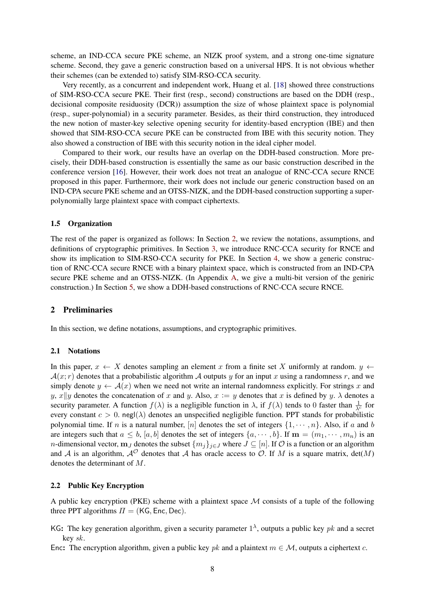scheme, an IND-CCA secure PKE scheme, an NIZK proof system, and a strong one-time signature scheme. Second, they gave a generic construction based on a universal HPS. It is not obvious whether their schemes (can be extended to) satisfy SIM-RSO-CCA security.

Very recently, as a concurrent and independent work, Huang et al. [18] showed three constructions of SIM-RSO-CCA secure PKE. Their first (resp., second) constructions are based on the DDH (resp., decisional composite residuosity (DCR)) assumption the size of whose plaintext space is polynomial (resp., super-polynomial) in a security parameter. Besides, as their third construction, they introduced the new notion of master-key selective opening security for identity-b[ased](#page-33-20) encryption (IBE) and then showed that SIM-RSO-CCA secure PKE can be constructed from IBE with this security notion. They also showed a construction of IBE with this security notion in the ideal cipher model.

Compared to their work, our results have an overlap on the DDH-based construction. More precisely, their DDH-based construction is essentially the same as our basic construction described in the conference version [16]. However, their work does not treat an analogue of RNC-CCA secure RNCE proposed in this paper. Furthermore, their work does not include our generic construction based on an IND-CPA secure PKE scheme and an OTSS-NIZK, and the DDH-based construction supporting a superpolynomially large p[lain](#page-33-8)text space with compact ciphertexts.

## 1.5 Organization

<span id="page-7-0"></span>The rest of the paper is organized as follows: In Section 2, we review the notations, assumptions, and definitions of cryptographic primitives. In Section 3, we introduce RNC-CCA security for RNCE and show its implication to SIM-RSO-CCA security for PKE. In Section 4, we show a generic construction of RNC-CCA secure RNCE with a binary plaintext space, which is constructed from an IND-CPA secure PKE scheme and an OTSS-NIZK. (In Appendix [A](#page-7-1), we give a multi-bit version of the geniric construction.) In Section 5, we show a DDH-based [co](#page-10-2)nstructions of RN[C](#page-14-0)-CCA secure RNCE.

# 2 Preliminaries

In this section, we define [n](#page-18-0)otations, assumptions, and cryptographic primitives.

#### <span id="page-7-1"></span>2.1 Notations

<span id="page-7-2"></span>In this paper,  $x \leftarrow X$  denotes sampling an element x from a finite set X uniformly at random.  $y \leftarrow$  $A(x; r)$  denotes that a probabilistic algorithm *A* outputs *y* for an input *x* using a randomness *r*, and we simply denote  $y \leftarrow A(x)$  when we need not write an internal randomness explicitly. For strings x and *y*, *x* $|y, x|$ *y* denotes the concatenation of *x* and *y*. Also, *x* := *y* denotes that *x* is defined by *y*.  $\lambda$  denotes a security parameter. A function  $f(\lambda)$  is a negligible function in  $\lambda$ , if  $f(\lambda)$  tends to 0 faster than  $\frac{1}{\lambda^c}$  for every constant  $c > 0$ . negl( $\lambda$ ) denotes an unspecified negligible function. PPT stands for probabilistic polynomial time. If *n* is a natural number, [*n*] denotes the set of integers  $\{1, \dots, n\}$ . Also, if *a* and *b* are integers such that  $a \leq b$ ,  $[a, b]$  denotes the set of integers  $\{a, \dots, b\}$ . If  $\mathbf{m} = (m_1, \dots, m_n)$  is an *n*-dimensional vector, **m**<sub>*J*</sub> denotes the subset  $\{m_j\}_{j\in J}$  where  $J \subseteq [n]$ . If  $O$  is a function or an algorithm and *A* is an algorithm,  $A^{\circ}$  denotes that *A* has oracle access to *O*. If *M* is a square matrix, det(*M*) denotes the determinant of *M*.

#### 2.2 Public Key Encryption

A public key encryption (PKE) scheme with a plaintext space *M* consists of a tuple of the following three PPT algorithms  $\Pi = (KG, Enc, Dec)$ .

<span id="page-7-3"></span>KG: The key generation algorithm, given a security parameter  $1^{\lambda}$ , outputs a public key *pk* and a secret key *sk*.

Enc: The encryption algorithm, given a public key *pk* and a plaintext  $m \in \mathcal{M}$ , outputs a ciphertext *c*.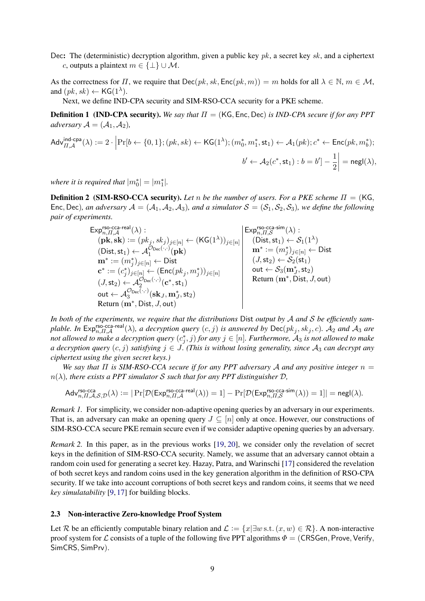Dec: The (deterministic) decryption algorithm, given a public key *pk*, a secret key *sk*, and a ciphertext *c*, outputs a plaintext  $m \in \{\perp\} \cup \mathcal{M}$ .

As the correctness for *Π*, we require that  $\text{Dec}(pk, sk, \text{Enc}(pk, m)) = m$  holds for all  $\lambda \in \mathbb{N}, m \in \mathcal{M}$ , and  $(pk, sk) \leftarrow {\sf KG}(1^{\lambda}).$ 

Next, we define IND-CPA security and SIM-RSO-CCA security for a PKE scheme.

Definition 1 (IND-CPA security). *We say that Π* = (KG*,* Enc*,* Dec) *is IND-CPA secure if for any PPT adversary*  $\mathcal{A} = (\mathcal{A}_1, \mathcal{A}_2)$ *,* 

$$
\mathsf{Adv}_{\Pi,\mathcal{A}}^{\mathsf{ind}\text{-}\mathsf{cpa}}(\lambda) := 2 \cdot \left| \Pr[b \leftarrow \{0,1\}; (pk, sk) \leftarrow \mathsf{KG}(1^{\lambda}); (m_0^*, m_1^*, \mathsf{st}_1) \leftarrow \mathcal{A}_1(pk); c^* \leftarrow \mathsf{Enc}(pk, m_b^*);
$$
\n
$$
b' \leftarrow \mathcal{A}_2(c^*, \mathsf{st}_1) : b = b'] - \frac{1}{2} \right| = \mathsf{negl}(\lambda),
$$

*where it is required that*  $|m_0^*| = |m_1^*|$ *.* 

Definition 2 (SIM-RSO-CCA security). *Let n be the number of users. For a PKE scheme Π* = (KG*,* Enc, Dec)*, an adversary*  $A = (A_1, A_2, A_3)$ *, and a simulator*  $S = (S_1, S_2, S_3)$ *, we define the following pair of experiments.*

$$
\begin{array}{ll} \mathsf{Exp}_{n,II,\mathcal{A}}^{\mathsf{rso}\text{-}\mathsf{cca}\text{-}\mathsf{real}}(\lambda): \\ (\mathbf{pk},\mathbf{sk}):=(pk_j, sk_j)_{j\in [n]} \leftarrow (\mathsf{KG}(1^\lambda))_{j\in [n]} \quad \begin{array}{l}\mathsf{Exp}_{n,II,\mathcal{S}}^{\mathsf{rso}\text{-}\mathsf{cca}\text{-}\mathsf{sim}}(\lambda): \\ (\mathsf{Dist},\mathsf{st}_1) \leftarrow \mathcal{A}_1^{\mathcal{O}_{\mathrm{Dec}}(\cdot,\cdot)}(\mathbf{pk}) & \mathsf{m}^*:= (m_j^*)_{j\in [n]} \leftarrow \mathsf{Dist} \\ \mathbf{m}^*:= (m_j^*)_{j\in [n]} \leftarrow \mathsf{Dist} \\ \mathbf{c}^*:= (c_j^*)_{j\in [n]} \leftarrow (\mathsf{Enc}(pk_j,m_j^*))_{j\in [n]} & \mathsf{out} \leftarrow \mathcal{S}_3(\mathbf{m}_J^*,\mathsf{st}_2) \\ (J,\mathsf{st}_2) \leftarrow \mathcal{A}_2^{\mathcal{O}_{\mathrm{Dec}}(\cdot,\cdot)}(\mathbf{c}^*,\mathsf{st}_1) & \mathsf{out} \leftarrow \mathcal{S}_3(\mathbf{m}_J^*,\mathsf{st}_2) \\ \mathsf{out} \leftarrow \mathcal{A}_3^{\mathcal{O}_{\mathrm{Dec}}(\cdot,\cdot)}(\mathsf{sk}_J,\mathbf{m}_J^*,\mathsf{st}_2) & \mathsf{Return}\left(\mathbf{m}^*,\mathsf{Dist},J,\mathsf{out}\right) \end{array}
$$

*In both of the experiments, we require that the distributions* Dist *output by A and S be efficiently sam*plable. In  $\mathsf{Exp}_{n,\Pi,\mathcal{A}}^{\mathsf{rso}\text{-}\mathsf{cca}\text{-}\mathsf{real}}(\lambda)$ , a decryption query  $(c,j)$  is answered by  $\mathsf{Dec}(pk_j, sk_j, c)$ .  $\mathcal{A}_2$  and  $\mathcal{A}_3$  are  $i$  *not allowed to make a decryption query*  $(c_j^*, j)$  *for any*  $j \in [n]$ *. Furthermore,*  $A_3$  *is not allowed to make a decryption query* (*c, j*) *satisfying j ∈ J. (This is without losing generality, since A*<sup>3</sup> *can decrypt any ciphertext using the given secret keys.)*

*We say that Π is SIM-RSO-CCA secure if for any PPT adversary A and any positive integer n* =  $n(\lambda)$ , there exists a PPT simulator *S* such that for any PPT distinguisher *D*,

$$
\mathsf{Adv}_{n, \Pi, \mathcal{A}, \mathcal{S}, \mathcal{D}}^{\mathsf{rso}\text{-}\mathsf{cca}}(\lambda) := |\Pr[\mathcal{D}(\mathsf{Exp}_{n, \Pi, \mathcal{A}}^{\mathsf{rso}\text{-}\mathsf{cca}\text{-}\mathsf{real}}(\lambda)) = 1] - \Pr[\mathcal{D}(\mathsf{Exp}_{n, \Pi, \mathcal{S}}^{\mathsf{rso}\text{-}\mathsf{cca}\text{-}\mathsf{sim}}(\lambda)) = 1]| = \mathsf{negl}(\lambda).
$$

*Remark 1.* For simplicity, we consider non-adaptive opening queries by an adversary in our experiments. That is, an adversary can make an opening query  $J \subseteq [n]$  only at once. However, our constructions of SIM-RSO-CCA secure PKE remain secure even if we consider adaptive opening queries by an adversary.

*Remark 2.* In this paper, as in the previous works [19, 20], we consider only the revelation of secret keys in the definition of SIM-RSO-CCA security. Namely, we assume that an adversary cannot obtain a random coin used for generating a secret key. Hazay, Patra, and Warinschi [17] considered the revelation of both secret keys and random coins used in the key generation algorithm in the definition of RSO-CPA security. If we take into account corruptions of both s[ecr](#page-33-3)[et k](#page-33-19)eys and random coins, it seems that we need *key simulatability* [9, 17] for building blocks.

## 2.3 Non-interactive Zero-knowledge Proof System

<span id="page-8-0"></span>Let *R* be an efficie[nt](#page-33-21)[ly c](#page-33-2)omputable binary relation and  $\mathcal{L} := \{x | \exists w \text{ s.t. } (x, w) \in \mathcal{R}\}\)$ . A non-interactive proof system for *L* consists of a tuple of the following five PPT algorithms *Φ* = (CRSGen*,* Prove*,* Verify*,* SimCRS*,* SimPrv).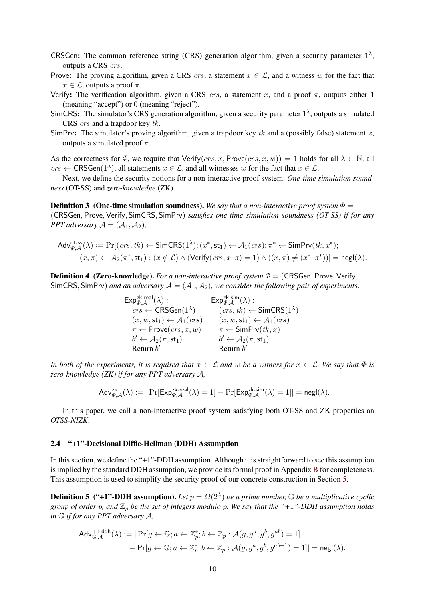- CRSGen: The common reference string (CRS) generation algorithm, given a security parameter  $1^{\lambda}$ , outputs a CRS *crs*.
- Prove: The proving algorithm, given a CRS *crs*, a statement  $x \in \mathcal{L}$ , and a witness w for the fact that  $x \in \mathcal{L}$ , outputs a proof  $\pi$ .
- Verify: The verification algorithm, given a CRS *crs*, a statement *x*, and a proof  $\pi$ , outputs either 1 (meaning "accept") or 0 (meaning "reject").
- SimCRS: The simulator's CRS generation algorithm, given a security parameter  $1^{\lambda}$ , outputs a simulated CRS *crs* and a trapdoor key *tk*.
- SimPrv: The simulator's proving algorithm, given a trapdoor key *tk* and a (possibly false) statement *x*, outputs a simulated proof *π*.

As the correctness for  $\Phi$ , we require that Verify(*crs*, *x*, Prove(*crs*, *x*, *w*)) = 1 holds for all  $\lambda \in \mathbb{N}$ , all  $\mathit{crs} \leftarrow \mathsf{CRSGen}(1^{\lambda})$ , all statements  $x \in \mathcal{L}$ , and all witnesses *w* for the fact that  $x \in \mathcal{L}$ .

Next, we define the security notions for a non-interactive proof system: *One-time simulation soundness* (OT-SS) and *zero-knowledge* (ZK).

**Definition 3 (One-time simulation soundness).** We say that a non-interactive proof system  $\Phi =$ (CRSGen*,* Prove*,* Verify*,* SimCRS*,* SimPrv) *satisfies one-time simulation soundness (OT-SS) if for any PPT adversary*  $A = (A_1, A_2)$ *,* 

$$
\mathsf{Adv}_{\varPhi,\mathcal{A}}^{\mathsf{ot}\text{-ss}}(\lambda) := \Pr[(\mathit{crs},\mathit{tk}) \leftarrow \mathsf{SimCRS}(1^{\lambda}); (\mathit{x}^*,\mathsf{st}_1) \leftarrow \mathcal{A}_1(\mathit{crs}); \pi^* \leftarrow \mathsf{SimPrv}(\mathit{tk},\mathit{x}^*); \\ (x,\pi) \leftarrow \mathcal{A}_2(\pi^*,\mathsf{st}_1) : (x \notin \mathcal{L}) \land (\mathsf{Verify}(\mathit{crs},x,\pi) = 1) \land ((x,\pi) \neq (x^*,\pi^*))] = \mathsf{negl}(\lambda).
$$

Definition 4 (Zero-knowledge). *For a non-interactive proof system Φ* = (CRSGen*,* Prove*,* Verify*,* SimCRS, SimPrv) *and an adversary*  $A = (A_1, A_2)$ *, we consider the following pair of experiments.* 

$$
\begin{array}{c|c|c} \mathsf{Exp}^{\mathsf{zk}\text{-real}}_{\varPhi,\mathcal{A}}(\lambda): & \mathsf{Exp}^{\mathsf{zk}\text{-sim}}_{\varPhi,\mathcal{A}}(\lambda): \\ & \mathit{crs} \leftarrow \mathsf{CRSGen}(1^{\lambda}) & (\mathit{crs},\mathit{tk}) \leftarrow \mathsf{SimCRS}(1^{\lambda}) \\ & (\mathit{x},\mathit{w},\mathsf{st}_1) \leftarrow \mathcal{A}_1(\mathit{crs}) & (\mathit{x},\mathit{w},\mathsf{st}_1) \leftarrow \mathcal{A}_1(\mathit{crs}) \\ & \pi \leftarrow \mathsf{Prove}(\mathit{crs},\mathit{x},\mathit{w}) & \pi \leftarrow \mathsf{SimPrv}(\mathit{tk},\mathit{x}) \\ & b' \leftarrow \mathcal{A}_2(\pi,\mathsf{st}_1) & \mathit{b}' \leftarrow \mathcal{A}_2(\pi,\mathsf{st}_1) \\ & \mathsf{Return}\mathit{b}' & \mathsf{Return}\mathit{b}' \end{array}
$$

*In both of the experiments, it is required that*  $x \in \mathcal{L}$  *and*  $w$  *be a witness for*  $x \in \mathcal{L}$ *. We say that*  $\Phi$  *is zero-knowledge (ZK) if for any PPT adversary A,*

$$
\mathsf{Adv}_{\varPhi,\mathcal{A}}^{\mathsf{zk}}(\lambda) := |\Pr[\mathsf{Exp}_{\varPhi,\mathcal{A}}^{\mathsf{zk}\text{-}\mathsf{real}}(\lambda) = 1] - \Pr[\mathsf{Exp}_{\varPhi,\mathcal{A}}^{\mathsf{zk}\text{-}\mathsf{sim}}(\lambda) = 1]| = \mathsf{negl}(\lambda).
$$

In this paper, we call a non-interactive proof system satisfying both OT-SS and ZK properties an *OTSS-NIZK*.

## 2.4 "+1"-Decisional Diffie-Hellman (DDH) Assumption

<span id="page-9-0"></span>In this section, we define the "+1"-DDH assumption. Although it is straightforward to see this assumption is implied by the standard DDH assumption, we provide its formal proof in Appendix B for completeness. This assumption is used to simplify the security proof of our concrete construction in Section 5.

**Definition 5** ("+1"-DDH assumption). Let  $p = \Omega(2^{\lambda})$  be a prime number,  $\mathbb{G}$  be a multiplicative cyclic *group of order p, and* Z*<sup>p</sup> be the set of integers modulo p. We say that the "+*1*"-DD[H](#page-34-0) assumption holds in* G *if for any PPT adversary A,*

$$
\mathsf{Adv}_{\mathbb{G},\mathcal{A}}^{+1\text{-ddh}}(\lambda) := |\Pr[g \leftarrow \mathbb{G}; a \leftarrow \mathbb{Z}_p^*; b \leftarrow \mathbb{Z}_p : \mathcal{A}(g, g^a, g^b, g^{ab}) = 1] \\
- \Pr[g \leftarrow \mathbb{G}; a \leftarrow \mathbb{Z}_p^*; b \leftarrow \mathbb{Z}_p : \mathcal{A}(g, g^a, g^b, g^{ab+1}) = 1]| = \mathsf{negl}(\lambda).
$$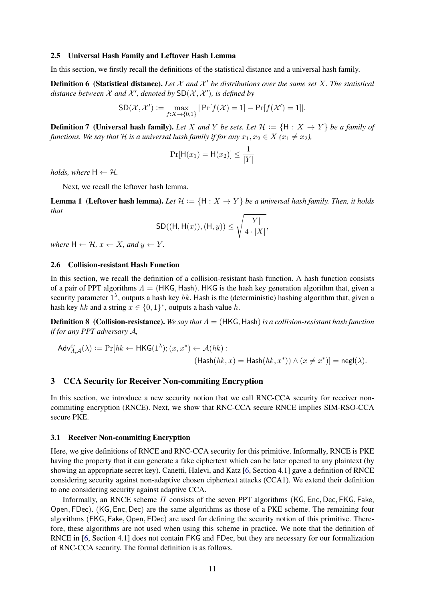#### 2.5 Universal Hash Family and Leftover Hash Lemma

In this section, we firstly recall the definitions of the statistical distance and a universal hash family.

<span id="page-10-0"></span>**Definition 6 (Statistical distance).** Let  $X$  and  $X'$  be distributions over the same set  $X$ . The statistical distance between  $\mathcal X$  and  $\mathcal X'$ , denoted by  $\mathsf{SD}(\mathcal X,\mathcal X')$ , is defined by

$$
SD(\mathcal{X}, \mathcal{X}') := \max_{f:X \to \{0,1\}} |Pr[f(\mathcal{X}) = 1] - Pr[f(\mathcal{X}') = 1]|.
$$

**Definition 7** (Universal hash family). Let X and Y be sets. Let  $\mathcal{H} := \{H : X \to Y\}$  be a family of *functions. We say that*  $H$  *is a universal hash family if for any*  $x_1, x_2 \in X$  ( $x_1 \neq x_2$ ),

$$
\Pr[\mathsf{H}(x_1) = \mathsf{H}(x_2)] \le \frac{1}{|Y|}
$$

*holds, where*  $H \leftarrow H$ *.* 

Next, we recall the leftover hash lemma.

**Lemma 1 (Leftover hash lemma).** Let  $\mathcal{H} := \{H : X \to Y\}$  be a universal hash family. Then, it holds *that*

$$
SD((H, H(x)), (H, y)) \le \sqrt{\frac{|Y|}{4 \cdot |X|}},
$$

*where*  $H \leftarrow H$ *,*  $x \leftarrow X$ *, and*  $y \leftarrow Y$ *.* 

#### 2.6 Collision-resistant Hash Function

<span id="page-10-1"></span>In this section, we recall the definition of a collision-resistant hash function. A hash function consists of a pair of PPT algorithms *Λ* = (HKG*,* Hash). HKG is the hash key generation algorithm that, given a security parameter  $1^{\lambda}$ , outputs a hash key *hk*. Hash is the (deterministic) hashing algorithm that, given a hash key *hk* and a string  $x \in \{0, 1\}^*$ , outputs a hash value *h*.

Definition 8 (Collision-resistance). *We say that Λ* = (HKG*,* Hash) *is a collision-resistant hash function if for any PPT adversary A,*

$$
Adv_{A,\mathcal{A}}^{cr}(\lambda) := \Pr[hk \leftarrow \mathsf{HKG}(1^{\lambda}); (x, x^*) \leftarrow \mathcal{A}(hk):
$$
  

$$
(\mathsf{Hash}(hk, x) = \mathsf{Hash}(hk, x^*)) \land (x \neq x^*)] = \mathsf{negl}(\lambda).
$$

## 3 CCA Security for Receiver Non-commiting Encryption

<span id="page-10-2"></span>In this section, we introduce a new security notion that we call RNC-CCA security for receiver noncommiting encryption (RNCE). Next, we show that RNC-CCA secure RNCE implies SIM-RSO-CCA secure PKE.

### 3.1 Receiver Non-commiting Encryption

<span id="page-10-3"></span>Here, we give definitions of RNCE and RNC-CCA security for this primitive. Informally, RNCE is PKE having the property that it can generate a fake ciphertext which can be later opened to any plaintext (by showing an appropriate secret key). Canetti, Halevi, and Katz [6, Section 4.1] gave a definition of RNCE considering security against non-adaptive chosen ciphertext attacks (CCA1). We extend their definition to one considering security against adaptive CCA.

Informally, an RNCE scheme *Π* consists of the seven PPT algorithms (KG*,* Enc*,* Dec*,* FKG*,* Fake*,* Open*,* FDec). (KG*,* Enc*,* Dec) are the same algorithms as tho[se](#page-32-3) of a PKE scheme. The remaining four algorithms (FKG*,* Fake*,* Open*,* FDec) are used for defining the security notion of this primitive. Therefore, these algorithms are not used when using this scheme in practice. We note that the definition of RNCE in [6, Section 4.1] does not contain FKG and FDec, but they are necessary for our formalization of RNC-CCA security. The formal definition is as follows.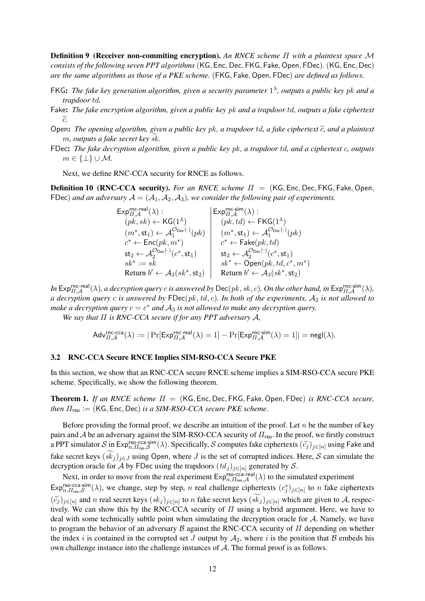Definition 9 (Receiver non-commiting encryption). *An RNCE scheme Π with a plaintext space M consists of the following seven PPT algorithms* (KG*,* Enc*,* Dec*,* FKG*,* Fake*,* Open*,* FDec)*.* (KG*,* Enc*,* Dec) *are the same algorithms as those of a PKE scheme.* (FKG*,* Fake*,* Open*,* FDec) *are defined as follows.*

- FKG: *The fake key generation algorithm, given a security parameter* 1 *λ , outputs a public key pk and a trapdoor td.*
- Fake: *The fake encryption algorithm, given a public key pk and a trapdoor td, outputs a fake ciphertext* e*c.*
- Open: *The opening algorithm, given a public key pk, a trapdoor td, a fake ciphertext*  $\tilde{c}$ *, and a plaintext m*, outputs a fake secret key sk.
- FDec: *The fake decryption algorithm, given a public key pk, a trapdoor td, and a ciphertext c, outputs m ∈ {⊥} ∪ M.*

Next, we define RNC-CCA security for RNCE as follows.

Definition 10 (RNC-CCA security). *For an RNCE scheme Π* = (KG*,* Enc*,* Dec*,* FKG*,* Fake*,* Open*,* FDec) and an adversary  $A = (A_1, A_2, A_3)$ , we consider the following pair of experiments.

> $\mathsf{Exp}_{\Pi,\mathcal{A}}^{\mathsf{enc}\text{-}\mathsf{real}}(\lambda)$ :  $(pk, sk) \leftarrow \mathsf{KG}(1^{\lambda})$  $(m^*, \text{st}_1) \leftarrow \mathcal{A}_1^{\mathcal{O}_{\text{Dec}}(\cdot)}(pk)$  $c^* \leftarrow \mathsf{Enc}(pk, m^*)$  $\mathsf{st}_2 \leftarrow \mathcal{A}_2^{\mathcal{O}_{\mathsf{Dec}}(\cdot)}(c^*, \mathsf{st}_1)$  $sk^* := sk$ Return  $b' \leftarrow A_3(sk^*, \text{st}_2)$  $\mathsf{Exp}_{\Pi,\mathcal{A}}^{\mathsf{rnc-sim}}(\lambda)$ :  $(pk, td) \leftarrow$  FKG $(1^{\lambda})$  $(m^*, \text{st}_1) \leftarrow \mathcal{A}_1^{\mathcal{O}_{\text{Dec}}(\cdot)}(pk)$  $c^* \leftarrow$  Fake $(pk, td)$  $\mathsf{st}_2 \leftarrow \mathcal{A}_2^{\mathcal{O}_{\mathsf{Dec}}(\cdot)}(c^*, \mathsf{st}_1)$  $sk^* \leftarrow \textsf{Open}(pk, td, c^*, m^*)$ Return  $b' \leftarrow A_3(sk^*, \text{st}_2)$

In  $\mathsf{Exp}_{\Pi,\mathcal A}^{\mathsf{mc}\text{-}\mathsf{real}}(\lambda)$ , a decryption query c is answered by  $\mathsf{Dec}(pk, sk, c)$ . On the other hand, in  $\mathsf{Exp}_{\Pi,\mathcal A}^{\mathsf{mc}\text{-}\mathsf{sim}}(\lambda)$ , *a decryption query c is answered by* FDec(*pk, td, c*)*. In both of the experiments, A*<sup>2</sup> *is not allowed to make a decryption query*  $c = c^*$  *and*  $\mathcal{A}_3$  *is not allowed to make any decryption query.* 

*We say that Π is RNC-CCA secure if for any PPT adversary A,*

$$
\mathsf{Adv}_{\varPi,\mathcal{A}}^{\mathsf{mc}\text{-}\mathsf{cca}}(\lambda) := |\Pr[\mathsf{Exp}_{\varPi,\mathcal{A}}^{\mathsf{mc}\text{-}\mathsf{real}}(\lambda) = 1] - \Pr[\mathsf{Exp}_{\varPi,\mathcal{A}}^{\mathsf{mc}\text{-}\mathsf{sim}}(\lambda) = 1]| = \mathsf{negl}(\lambda).
$$

#### <span id="page-11-0"></span>3.2 RNC-CCA Secure RNCE Implies SIM-RSO-CCA Secure PKE

In this section, we show that an RNC-CCA secure RNCE scheme implies a SIM-RSO-CCA secure PKE scheme. Specifically, we show the following theorem.

<span id="page-11-1"></span>Theorem 1. *If an RNCE scheme Π* = (KG*,* Enc*,* Dec*,* FKG*,* Fake*,* Open*,* FDec) *is RNC-CCA secure, then*  $\Pi_{\text{rso}} := (KG, Enc, Dec)$  *is a SIM-RSO-CCA secure PKE scheme.* 

Before providing the formal proof, we describe an intuition of the proof. Let *n* be the number of key pairs and *A* be an adversary against the SIM-RSO-CCA security of *Π*rso. In the proof, we firstly construct a PPT simulator *S* in Exp<sup>rso-cca-sim ( $\lambda$ ). Specifically, *S* computes fake ciphertexts  $(\tilde{c}_j)_{j \in [n]}$  using Fake and</sup> fake secret keys  $(\widetilde{\mathcal{sk}}_j)_{j\in J}$  using Open, where *J* is the set of corrupted indices. Here, *S* can simulate the decryption oracle for *A* by FDec using the trapdoors  $(td_j)_{j \in [n]}$  generated by *S*.

Next, in order to move from the real experiment  $Exp_{n,\Pi_{\text{res}},\mathcal{A}}^{\text{rso-cca-real}}(\lambda)$  to the simulated experiment  $\exp_{n,\Pi_{\text{res}}\mathcal{S}}^{\text{rso-cca-sim}}(\lambda)$ , we change, step by step, *n* real challenge ciphertexts  $(c_j^*)_{j\in[n]}$  to *n* fake ciphertexts  $(\tilde{c}_j)_{j \in [n]}$  and *n* real secret keys  $(sk_j)_{j \in [n]}$  to *n* fake secret keys  $(sk_j)_{j \in [n]}$  which are given to *A*, respectively. We can show this by the PNC CCA security of *H* using a hybrid argument. Here, we have to tively. We can show this by the RNC-CCA security of *Π* using a hybrid argument. Here, we have to deal with some technically subtle point when simulating the decryption oracle for *A*. Namely, we have to program the behavior of an adversary *B* against the RNC-CCA security of *Π* depending on whether the index *i* is contained in the corrupted set *J* output by  $A_2$ , where *i* is the position that *B* embeds his own challenge instance into the challenge instances of *A*. The formal proof is as follows.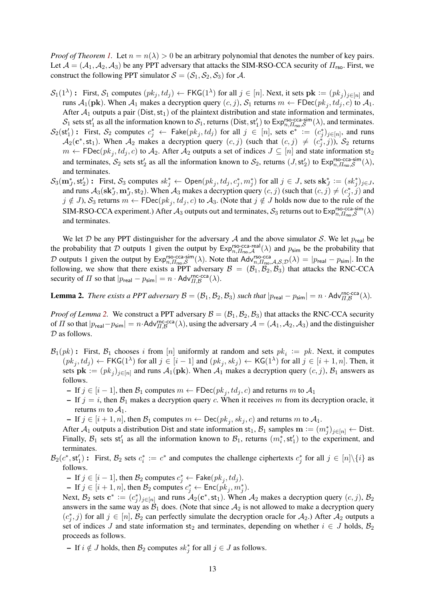*Proof of Theorem 1.* Let  $n = n(\lambda) > 0$  be an arbitrary polynomial that denotes the number of key pairs. Let  $A = (A_1, A_2, A_3)$  be any PPT adversary that attacks the SIM-RSO-CCA security of  $\Pi_{\text{rso}}$ . First, we construct the following PPT simulator  $S = (S_1, S_2, S_3)$  for A.

- $S_1(1^{\lambda})$  $S_1(1^{\lambda})$  $S_1(1^{\lambda})$ : First,  $S_1$  computes  $(pk_j, td_j) \leftarrow \mathsf{FKG}(1^{\lambda})$  for all  $j \in [n]$ . Next, it sets  $\mathbf{pk} := (pk_j)_{j \in [n]}$  and runs  $A_1(\mathbf{pk})$ . When  $A_1$  makes a decryption query  $(c, j)$ ,  $S_1$  returns  $m \leftarrow \mathsf{FDec}(pk_j, td_j, c)$  to  $A_1$ . After  $A_1$  outputs a pair (Dist,  $st_1$ ) of the plaintext distribution and state information and terminates,  $S_1$  sets st<sup>*'*</sup><sub>1</sub> as all the information known to  $S_1$ , returns (Dist, st<sup>*'*</sup><sub>1</sub>) to  $Exp_{n,\Pi_{\text{res}},S}^{\text{rso-cca-sim}}(\lambda)$ , and terminates.
- $\mathcal{S}_2(\mathsf{st}'_1)$ : First,  $\mathcal{S}_2$  computes  $c_j^* \leftarrow \mathsf{Fake}(pk_j, td_j)$  for all  $j \in [n]$ , sets  $\mathbf{c}^* := (c_j^*)_{j \in [n]}$ , and runs  $A_2(\mathbf{c}^*, \mathsf{st}_1)$ . When  $A_2$  makes a decryption query  $(c, j)$  (such that  $(c, j) \neq (c_j^*, j)$ ),  $S_2$  returns  $m \leftarrow \text{FDec}(pk_j, td_j, c)$  to  $\mathcal{A}_2$ . After  $\mathcal{A}_2$  outputs a set of indices  $J \subseteq [n]$  and state information st<sub>2</sub> and terminates,  $S_2$  sets  $st'_2$  as all the information known to  $S_2$ , returns  $(J, st'_2)$  to  $Exp_{n, H_{\text{res}}, S}^{\text{iso-cca-sim}}(\lambda)$ , and terminates.
- $\mathcal{S}_3(\mathbf{m}_J^*, \mathsf{st}'_2)$ : First,  $\mathcal{S}_3$  computes  $sk_j^* \leftarrow \mathsf{Open}(pk_j, td_j, c_j^*, m_j^*)$  for all  $j \in J$ , sets  $\mathbf{sk}_J^* := (sk_j^*)_{j \in J}$ , and runs  $A_3(\textbf{sk}^*_J, \textbf{m}^*_J, \textbf{st}_2)$ . When  $A_3$  makes a decryption query  $(c, j)$  (such that  $(c, j) \neq (c_j^*, j)$  and  $j \notin J$ ),  $\mathcal{S}_3$  returns  $m \leftarrow \mathsf{FDec}(pk_j, td_j, c)$  to  $\mathcal{A}_3$ . (Note that  $j \notin J$  holds now due to the rule of the SIM-RSO-CCA experiment.) After  $A_3$  outputs out and terminates,  $S_3$  returns out to  $Exp_{n, H_{\text{res}}, S}^{\text{rso-cca-sim}}(\lambda)$ and terminates.

We let *D* be any PPT distinguisher for the adversary *A* and the above simulator *S*. We let  $p_{\text{real}}$  be the probability that *D* outputs 1 given the output by  $Exp_{n,\Pi_{\text{res}},\mathcal{A}}^{\text{rso-cca-real}}(\lambda)$  and  $p_{\text{sim}}$  be the probability that D outputs 1 given the output by  $Exp_{n,\Pi_{\text{res}},\mathcal{S}}^{\text{rso-cca-sim}}(\lambda)$ . Note that  $Adv_{n,\Pi_{\text{res}},\mathcal{A},\mathcal{S},\mathcal{D}}^{\text{rso-cca}}(\lambda) = |p_{\text{real}} - p_{\text{sim}}|$ . In the following, we show that there exists a PPT adversary  $\mathcal{B} = (\mathcal{B}_1, \mathcal{B}_2, \mathcal{B}_3)$  that attacks the RNC-CCA security of *Π* so that  $|p_{\text{real}} - p_{\text{sim}}| = n \cdot \text{Adv}_{\Pi, \mathcal{B}}^{\text{inc-cca}}(\lambda)$ .

**Lemma 2.** There exists a PPT adversary  $\mathcal{B} = (\mathcal{B}_1, \mathcal{B}_2, \mathcal{B}_3)$  such that  $|p_{\text{real}} - p_{\text{sim}}| = n \cdot \text{Adv}_{\Pi, \mathcal{B}}^{\text{mc-cca}}(\lambda)$ .

<span id="page-12-0"></span>*Proof of Lemma* 2. We construct a PPT adversary  $\mathcal{B} = (\mathcal{B}_1, \mathcal{B}_2, \mathcal{B}_3)$  that attacks the RNC-CCA security of  $\Pi$  so that  $|p_{\text{real}}-p_{\text{sim}}|=n \cdot \text{Adv}_{\Pi,\mathcal{B}}^{\text{rec-cca}}(\lambda)$ , using the adversary  $\mathcal{A}=(\mathcal{A}_1,\mathcal{A}_2,\mathcal{A}_3)$  and the distinguisher *D* as follows.

- $B_1(pk)$  $B_1(pk)$ : First,  $B_1$  chooses *i* from [*n*] uniformly at random and sets  $pk_i := pk$ . Next, it computes  $(pk_j, td_j) \leftarrow \mathsf{FKG}(1^{\lambda})$  for all  $j \in [i-1]$  and  $(pk_j, sk_j) \leftarrow \mathsf{KG}(1^{\lambda})$  for all  $j \in [i+1, n]$ . Then, it sets  $\mathbf{pk} := (pk_j)_{j \in [n]}$  and runs  $\mathcal{A}_1(\mathbf{pk})$ . When  $\mathcal{A}_1$  makes a decryption query  $(c, j)$ ,  $\mathcal{B}_1$  answers as follows.
	- If *j ∈* [*i −* 1], then *B*<sup>1</sup> computes *m ←* FDec(*pk<sup>j</sup> , td<sup>j</sup> , c*) and returns *m* to *A*<sup>1</sup>
	- If  $j = i$ , then  $\mathcal{B}_1$  makes a decryption query *c*. When it receives *m* from its decryption oracle, it returns *m* to  $A_1$ .
	- If *j ∈* [*i* + 1*, n*], then *B*<sup>1</sup> computes *m ←* Dec(*pk<sup>j</sup> , sk<sup>j</sup> , c*) and returns *m* to *A*1.

After  $A_1$  outputs a distribution Dist and state information  $st_1$ ,  $B_1$  samples  $\mathbf{m} := (m_j^*)_{j \in [n]} \leftarrow \text{Dist.}$ Finally,  $B_1$  sets st'<sub>1</sub> as all the information known to  $B_1$ , returns  $(m_i^*, s t_1')$  to the experiment, and terminates.

 $\mathcal{B}_2(c^*, \mathsf{st}'_1)$ : First,  $\mathcal{B}_2$  sets  $c_i^* := c^*$  and computes the challenge ciphertexts  $c_j^*$  for all  $j \in [n] \setminus \{i\}$  as follows.

 $-$  If *j* ∈ [*i* − 1], then  $B_2$  computes  $c_j^*$  ← Fake( $pk_j, td_j$ ).

− If  $j \in [i + 1, n]$ , then  $\mathcal{B}_2$  computes  $c_j^* \leftarrow \text{Enc}(pk_j, m_j^*)$ .

Next,  $B_2$  sets  $\mathbf{c}^* := (c_j^*)_{j \in [n]}$  and runs  $A_2(\mathbf{c}^*, \text{st}_1)$ . When  $A_2$  makes a decryption query  $(c, j)$ ,  $B_2$ answers in the same way as  $B_1$  does. (Note that since  $A_2$  is not allowed to make a decryption query  $(c_j^*, j)$  for all  $j \in [n]$ ,  $\mathcal{B}_2$  can perfectly simulate the decryption oracle for  $\mathcal{A}_2$ .) After  $\mathcal{A}_2$  outputs a set of indices *J* and state information st<sub>2</sub> and terminates, depending on whether  $i \in J$  holds,  $B_2$ proceeds as follows.

− If  $i \notin J$  holds, then  $\mathcal{B}_2$  computes  $sk_j^*$  for all  $j \in J$  as follows.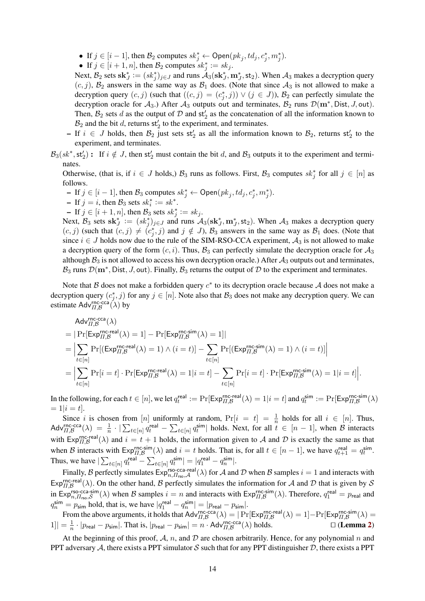- *•* If *j* ∈ [*i* − 1], then  $\mathcal{B}_2$  computes  $sk_j^*$  ← Open $(pk_j, td_j, c_j^*, m_j^*)$ .
- If  $j \in [i+1, n]$ , then  $\mathcal{B}_2$  computes  $sk_j^* := sk_j$ .

Next,  $\mathcal{B}_2$  sets  $\mathbf{sk}_J^* := (sk_j^*)_{j \in J}$  and runs  $\mathcal{A}_3(\mathbf{sk}_J^*, \mathbf{m}_J^*, \mathsf{st}_2)$ . When  $\mathcal{A}_3$  makes a decryption query  $(c, j)$ ,  $\mathcal{B}_2$  answers in the same way as  $\mathcal{B}_1$  does. (Note that since  $\mathcal{A}_3$  is not allowed to make a decryption query  $(c, j)$  (such that  $((c, j) = (c_j^*, j)) \vee (j \in J)$ ),  $B_2$  can perfectly simulate the decryption oracle for  $A_3$ .) After  $A_3$  outputs out and terminates,  $B_2$  runs  $\mathcal{D}(\mathbf{m}^*, \mathsf{Dist}, J, \mathsf{out})$ . Then,  $B_2$  sets *d* as the output of  $D$  and  $st'_2$  as the concatenation of all the information known to  $B_2$  and the bit *d*, returns  $st'_2$  to the experiment, and terminates.

 $\text{I}$  as all the information known to  $\mathcal{B}_2$ , returns st<sup>′</sup>/<sub>2</sub> to the experiment, and terminates.

 $B_3(k^*, st'_2)$ : If  $i \notin J$ , then  $st'_2$  must contain the bit *d*, and  $B_3$  outputs it to the experiment and terminates.

Otherwise, (that is, if  $i \in J$  holds,)  $\mathcal{B}_3$  runs as follows. First,  $\mathcal{B}_3$  computes  $sk_j^*$  for all  $j \in [n]$  as follows.

- *–* If *j* ∈ [*i* − 1], then *B*<sub>3</sub> computes  $sk_j^*$  ← Open $(pk_j, td_j, c_j^*, m_j^*)$ .
- $\blacksquare$  If  $j = i$ , then  $\mathcal{B}_3$  sets  $sk_i^* := sk^*$ .
- $-$  If  $j \in [i + 1, n]$ , then  $\mathcal{B}_3$  sets  $sk_j^* := sk_j$ .

Next,  $B_3$  sets  $sk_J^* := (sk_J^*)_{j \in J}$  and runs  $A_3(sk_J^*, m_J^*, st_2)$ . When  $A_3$  makes a decryption query  $(c, j)$  (such that  $(c, j) \neq (c_j^*, j)$  and  $j \notin J$ ),  $\mathcal{B}_3$  answers in the same way as  $\mathcal{B}_1$  does. (Note that since  $i \in J$  holds now due to the rule of the SIM-RSO-CCA experiment,  $A_3$  is not allowed to make a decryption query of the form  $(c, i)$ . Thus,  $B_3$  can perfectly simulate the decryption oracle for  $A_3$ although  $B_3$  is not allowed to access his own decryption oracle.) After  $A_3$  outputs out and terminates,  $B_3$  runs  $\mathcal{D}(\mathbf{m}^*, \text{Dist}, J, \text{out})$ . Finally,  $B_3$  returns the output of  $\mathcal{D}$  to the experiment and terminates.

Note that *B* does not make a forbidden query *c ∗* to its decryption oracle because *A* does not make a decryption query  $(c_j^*, j)$  for any  $j \in [n]$ . Note also that  $B_3$  does not make any decryption query. We can estimate  $Adv_{\Pi,B}^{\text{enc-cca}}(\lambda)$  by

$$
\begin{aligned} &\mathsf{Adv}_{\Pi,\mathcal{B}}^{\mathsf{rnc}\text{-}\mathsf{cca}}(\lambda)\\ &=|\Pr[\mathsf{Exp}_{\Pi,\mathcal{B}}^{\mathsf{rnc}\text{-}\mathsf{real}}(\lambda)=1]-\Pr[\mathsf{Exp}_{\Pi,\mathcal{B}}^{\mathsf{rnc}\text{-}\mathsf{sim}}(\lambda)=1]|\\ &=\Bigl|\sum_{t\in[n]}\Pr[(\mathsf{Exp}_{\Pi,\mathcal{B}}^{\mathsf{rnc}\text{-}\mathsf{real}}(\lambda)=1)\wedge(i=t)]-\sum_{t\in[n]}\Pr[(\mathsf{Exp}_{\Pi,\mathcal{B}}^{\mathsf{rnc}\text{-}\mathsf{sim}}(\lambda)=1)\wedge(i=t)]\Bigr|\\ &=\Bigl|\sum_{t\in[n]}\Pr[i=t]\cdot\Pr[\mathsf{Exp}_{\Pi,\mathcal{B}}^{\mathsf{rnc}\text{-}\mathsf{real}}(\lambda)=1|i=t]-\sum_{t\in[n]}\Pr[i=t]\cdot\Pr[\mathsf{Exp}_{\Pi,\mathcal{B}}^{\mathsf{rnc}\text{-}\mathsf{sim}}(\lambda)=1|i=t]\Bigr|. \end{aligned}
$$

In the following, for each  $t \in [n]$ , we let  $q_t^{\text{real}} := \Pr[\text{Exp}_{\Pi,\mathcal{B}}^{\text{real}}(\lambda) = 1 | i = t]$  and  $q_t^{\text{sim}} := \Pr[\text{Exp}_{\Pi,\mathcal{B}}^{\text{enc-sim}}(\lambda)$  $= 1|i = t$ .

Since *i* is chosen from [*n*] uniformly at random,  $Pr[i = t] = \frac{1}{n}$  holds for all  $i \in [n]$ . Thus, Adv<sup>rnc-cca</sup> $(\lambda) = \frac{1}{n} \cdot |\sum_{t \in [n]} q_t^{\text{real}} - \sum_{t \in [n]} q_t^{\text{sim}}|$  holds. Next, for all  $t \in [n-1]$ , when B interacts with  $Exp_{II,B}^{\text{inc-real}}(\lambda)$  and  $i = t + 1$  holds, the information given to *A* and *D* is exactly the same as that when *B* interacts with  $Exp_{II,B}^{rnc-sim}(\lambda)$  and  $i = t$  holds. That is, for all  $t \in [n-1]$ , we have  $q_{t+1}^{real} = q_t^{sim}$ . Thus, we have  $|\sum_{t \in [n]} q_t^{\text{real}} - \sum_{t \in [n]} q_t^{\text{sim}}| = |q_1^{\text{real}} - q_n^{\text{sim}}|$ .

Finally, *B* perfectly simulates  $Exp_{n,\Pi_{\text{res}},\mathcal{A}}^{\text{rso-cca-real}}(\lambda)$  for *A* and *D* when *B* samples  $i = 1$  and interacts with  $Exp_{\Pi,B}^{\text{inc-real}}(\lambda)$ . On the other hand, *B* perfectly simulates the information for *A* and *D* that is given by *S* in  $Exp_{n,\Pi_{\text{rso}},\mathcal{S}}^{\text{rso-cca-sim}}(\lambda)$  when *B* samples  $i = n$  and interacts with  $Exp_{\Pi,\mathcal{B}}^{\text{rnc-sim}}(\lambda)$ . Therefore,  $q_1^{\text{real}} = p_{\text{real}}$  and  $q_n^{\text{sim}} = p_{\text{sim}}$  hold, that is, we have  $|q_1^{\text{real}} - q_n^{\text{sim}}| = |p_{\text{real}} - p_{\text{sim}}|$ .

From the above arguments, it holds that  $Adv_{\Pi,\mathcal{B}}^{\text{inc-cca}}(\lambda) = |\Pr[\mathsf{Exp}_{\Pi,\mathcal{B}}^{\text{mc-real}}(\lambda) = 1] - \Pr[\mathsf{Exp}_{\Pi,\mathcal{B}}^{\text{mc-sim}}(\lambda) = 1]$  $|1| = \frac{1}{n}$  $\frac{1}{n} \cdot |p_{\mathsf{real}} - p_{\mathsf{sim}}|$ . That is,  $|p_{\mathsf{real}} - p_{\mathsf{sim}}| = n \cdot \mathsf{Adv}_{\Pi,\mathcal{B}}^{\mathsf{enc-cca}}$ (*λ*) holds. *⊓⊔* (Lemma 2)

At the beginning of this proof, *A*, *n*, and *D* are chosen arbitrarily. Hence, for any polynomial *n* and PPT adversary *A*, there exists a PPT simulator *S* such that for any PPT distinguisher *D*, there exists a PPT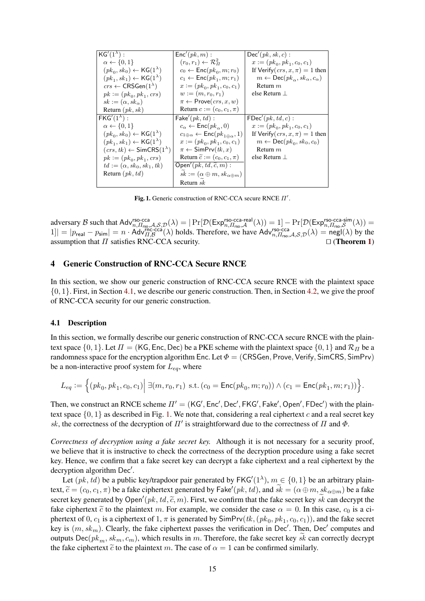| $KG'(1^{\lambda})$ :                                   | $Enc'(pk, m)$ :                                                    | $Dec'(pk, sk, c)$ :                                         |
|--------------------------------------------------------|--------------------------------------------------------------------|-------------------------------------------------------------|
| $\alpha \leftarrow \{0, 1\}$                           | $(r_0,r_1) \leftarrow \mathcal{R}_\pi^2$                           | $x := (pk_0, pk_1, c_0, c_1)$                               |
| $(pk_0, sk_0) \leftarrow {\sf KG}(1^{\lambda})$        | $c_0 \leftarrow \mathsf{Enc}(pk_0, m; r_0)$                        | If Verify $(crs, x, \pi) = 1$ then                          |
| $(pk_1, sk_1) \leftarrow {\sf KG}(1^{\lambda})$        | $c_1 \leftarrow \textsf{Enc}(pk_1, m; r_1)$                        | $m \leftarrow \textsf{Dec}(pk_\alpha, sk_\alpha, c_\alpha)$ |
| $\textit{crs} \leftarrow \textsf{CRSGen}(1^{\lambda})$ | $x := (pk_0, pk_1, c_0, c_1)$                                      | Return $m$                                                  |
| $pk := (pk_0, pk_1, crs)$                              | $w := (m, r_0, r_1)$                                               | else Return $\perp$                                         |
| $sk := (\alpha, sk_{\alpha})$                          | $\pi \leftarrow$ Prove $(crs, x, w)$                               |                                                             |
| Return $(pk, sk)$                                      | Return $c := (c_0, c_1, \pi)$                                      |                                                             |
| $FKG'(1^{\lambda})$ :                                  | $\mathsf{Fake}'(pk, td)$ :                                         | $\mathsf{FDec}'(pk, td, c)$ :                               |
| $\alpha \leftarrow \{0, 1\}$                           | $c_{\alpha} \leftarrow \textsf{Enc}(pk_{\alpha}, 0)$               | $x := (pk_0, pk_1, c_0, c_1)$                               |
| $(pk_0, sk_0) \leftarrow {\sf KG}(1^{\lambda})$        | $c_{1\oplus\alpha} \leftarrow \mathsf{Enc}(pk_{1\oplus\alpha}, 1)$ | If Verify $(crs, x, \pi) = 1$ then                          |
| $(pk_1, sk_1) \leftarrow {\sf KG}(1^{\lambda})$        | $x := (pk_0, pk_1, c_0, c_1)$                                      | $m \leftarrow \textsf{Dec}(pk_0, sk_0, c_0)$                |
| $(crs, tk) \leftarrow \mathsf{SimCRS}(1^{\lambda})$    | $\pi \leftarrow$ SimPrv $(tk, x)$                                  | Return $m$                                                  |
| $pk := (pk_0, pk_1, crs)$                              | Return $\tilde{c} := (c_0, c_1, \pi)$                              | else Return $\perp$                                         |
| $td := (\alpha, sk_0, sk_1, tk)$                       | Open $(pk, td, \tilde{c}, m)$ :                                    |                                                             |
| Return $(pk, td)$                                      | $sk := (\alpha \oplus m, sk_{\alpha \oplus m})$                    |                                                             |
|                                                        | Return $sk$                                                        |                                                             |

<span id="page-14-2"></span>Fig. 1. Generic construction of RNC-CCA secure RNCE *Π′* .

adversary B such that  $Adv_{n,\Pi_{\text{res}},\mathcal{A},\mathcal{S},\mathcal{D}}^{\text{rso-cca}}(\lambda) = |\Pr[\mathcal{D}(\text{Exp}_{n,\Pi_{\text{res}},\mathcal{A}}^{\text{rso-cca-real}}(\lambda)) = 1] - \Pr[\mathcal{D}(\text{Exp}_{n,\Pi_{\text{res}},\mathcal{S}}^{\text{rso-cca-sim}}(\lambda)) = 1]$  $|1| = |p_{\text{real}} - p_{\text{sim}}| = n \cdot \text{Adv}_{\Pi, \mathcal{B}}^{\text{inc-cca}}(\lambda)$  holds. Therefore, we have  $\text{Adv}_{n, \Pi_{\text{res}}, \mathcal{A}, \mathcal{S}, \mathcal{D}}^{\text{rso-cca}}(\lambda) = \text{negl}(\lambda)$  by the assumption that *Π* satisfies RNC-CCA security.  $□$  (Theorem 1)

# 4 Generic Construction of RNC-CCA Secure RNCE

<span id="page-14-0"></span>In this section, we show our generic construction of RNC-CCA secure RNCE with the plaintext spa[ce](#page-11-1) *{*0*,* 1*}*. First, in Section 4.1, we describe our generic construction. Then, in Section 4.2, we give the proof of RNC-CCA security for our generic construction.

## 4.1 Description

<span id="page-14-1"></span>In this section, we formally describe our generic construction of RNC-CCA secure RNCE with the plaintext space  $\{0, 1\}$ . Let  $\Pi = (KG, Enc, Dec)$  be a PKE scheme with the plaintext space  $\{0, 1\}$  and  $\mathcal{R}_{\Pi}$  be a randomness space for the encryption algorithm Enc. Let *Φ* = (CRSGen*,* Prove*,* Verify*,* SimCRS*,* SimPrv) be a non-interactive proof system for *Leq*, where

$$
L_{eq} := \Big\{ (pk_0, pk_1, c_0, c_1) \Big| \ \exists (m, r_0, r_1) \ \text{s.t.} \ (c_0 = \textsf{Enc}(pk_0, m; r_0)) \land (c_1 = \textsf{Enc}(pk_1, m; r_1)) \Big\}.
$$

*Then, we construct an RNCE scheme*  $\Pi' = (KG', Enc', Dec', FKG', Fake', Open', FDec')$  *with the plain*text space  $\{0, 1\}$  as described in Fig. 1. We note that, considering a real ciphertext *c* and a real secret key *sk*, the correctness of the decryption of *Π′* is straightforward due to the correctness of *Π* and *Φ*.

*Correctness of decryption using a fake secret key.* Although it is not necessary for a security proof, we believe that it is instructive to ch[ec](#page-14-2)k the correctness of the decryption procedure using a fake secret key. Hence, we confirm that a fake secret key can decrypt a fake ciphertext and a real ciphertext by the decryption algorithm Dec*′* .

Let  $(pk, td)$  be a public key/trapdoor pair generated by  $FKG'(1^{\lambda}), m \in \{0,1\}$  be an arbitrary plaintext,  $\tilde{c} = (c_0, c_1, \pi)$  be a fake ciphertext generated by Fake<sup>*'*</sup>( $pk$ ,  $td$ ), and  $\tilde{sk} = (\alpha \oplus m, sk_{\alpha \oplus m})$  be a fake secret key generated by Open<sup>'</sup>( $pk$ ,  $td$ ,  $\tilde{e}$ ,  $m$ ). First, we confirm that the fake secret key  $\tilde{sk}$  can decrypt the fake cinhertext  $\tilde{e}$  to the plaintext  $m$ . For example, we consider the case  $\alpha = 0$ , In th fake ciphertext  $\tilde{c}$  to the plaintext *m*. For example, we consider the case  $\alpha = 0$ . In this case,  $c_0$  is a ciphertext of 0,  $c_1$  is a ciphertext of 1,  $\pi$  is generated by  $\textsf{SimPrv}(tk, (pk_0, pk_1, c_0, c_1))$ , and the fake secret key is (*m, skm*). Clearly, the fake ciphertext passes the verification in Dec*′* . Then, Dec*′* computes and outputs  $\text{Dec}(pk_m, sk_m, c_m)$ , which results in *m*. Therefore, the fake secret key  $\tilde{sk}$  can correctly decrypt the fake ciphertext  $\tilde{c}$  to the plaintext *m*. The case of  $\alpha = 1$  can be confirmed similarly.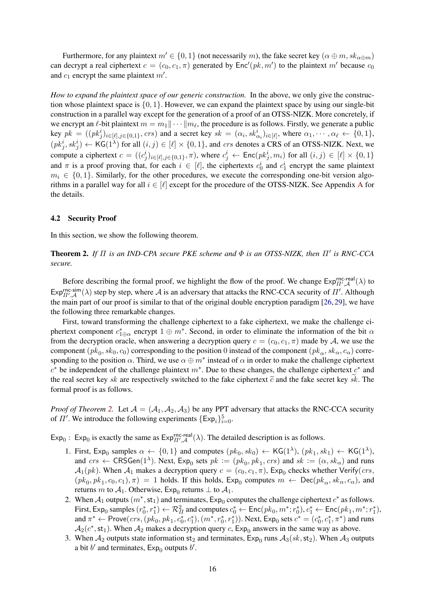Furthermore, for any plaintext  $m' \in \{0, 1\}$  (not necessarily *m*), the fake secret key ( $\alpha \oplus m$ ,  $sk_{\alpha \oplus m}$ ) can decrypt a real ciphertext  $c = (c_0, c_1, \pi)$  generated by  $Enc'(pk, m')$  to the plaintext  $m'$  because  $c_0$ and *c*<sup>1</sup> encrypt the same plaintext *m′* .

*How to expand the plaintext space of our generic construction.* In the above, we only give the construction whose plaintext space is *{*0*,* 1*}*. However, we can expand the plaintext space by using our single-bit construction in a parallel way except for the generation of a proof of an OTSS-NIZK. More concretely, if we encrypt an  $\ell$ -bit plaintext  $m = m_1 || \cdots || m_\ell$ , the procedure is as follows. Firstly, we generate a public key  $pk = ((pk_j^i)_{i \in [\ell], j \in \{0,1\}}, crs)$  and a secret key  $sk = (\alpha_i, sk_{\alpha_i}^i)_{i \in [\ell]},$  where  $\alpha_1, \dots, \alpha_\ell \leftarrow \{0,1\},$  $(pk_j^i, sk_j^i) \leftarrow KG(1^{\lambda})$  for all  $(i, j) \in [\ell] \times \{0, 1\}$ , and *crs* denotes a CRS of an OTSS-NIZK. Next, we compute a ciphertext  $c = ((c_j^i)_{i \in [\ell], j \in \{0,1\}}, \pi)$ , where  $c_j^i \leftarrow \text{Enc}(pk_j^i, m_i)$  for all  $(i, j) \in [\ell] \times \{0, 1\}$ and  $\pi$  is a proof proving that, for each  $i \in [\ell]$ , the ciphertexts  $c_0^i$  and  $c_1^i$  encrypt the same plaintext  $m_i \in \{0, 1\}$ . Similarly, for the other procedures, we execute the corresponding one-bit version algorithms in a parallel way for all *i ∈* [*ℓ*] except for the procedure of the OTSS-NIZK. See Appendix A for the details.

#### 4.2 Security Proof

In this section, we show the following theorem.

<span id="page-15-0"></span>Theorem 2. *If Π is an IND-CPA secure PKE scheme and Φ is an OTSS-NIZK, then Π′ is RNC-CCA secure.*

<span id="page-15-1"></span>Before describing the formal proof, we highlight the flow of the proof. We change  $Exp_{II',A}^{rnc-real}(\lambda)$  to  $Exp_{\Pi',\mathcal{A}}^{\text{inc-sim}}(\lambda)$  step by step, where *A* is an adversary that attacks the RNC-CCA security of  $\Pi'$ . Although the main part of our proof is similar to that of the original double encryption paradigm [26, 29], we have the following three remarkable changes.

First, toward transforming the challenge ciphertext to a fake ciphertext, we make the challenge ciphertext component  $c_{1\oplus\alpha}^*$  encrypt  $1\oplus m^*$ . Second, in order to eliminate the information of the bit  $\alpha$ from the decryption oracle[, w](#page-33-9)hen answering a decryption query  $c = (c_0, c_1, \pi)$  made [by](#page-33-14) *A*, we use the component  $(pk_0, sk_0, c_0)$  corresponding to the position 0 instead of the component  $(pk_\alpha, sk_\alpha, c_\alpha)$  corresponding to the position  $\alpha$ . Third, we use  $\alpha \oplus m^*$  instead of  $\alpha$  in order to make the challenge ciphertext  $c^*$  be independent of the challenge plaintext  $m^*$ . Due to these changes, the challenge ciphertext  $c^*$  and the real secret key *sk* are respectively switched to the fake ciphertext  $\tilde{c}$  and the fake secret key *sk*. The formal proof is as follows.

*Proof of Theorem 2.* Let  $A = (A_1, A_2, A_3)$  be any PPT adversary that attacks the RNC-CCA security of *Π'*. We introduce the following experiments  $\{Exp_i\}_{i=0}^5$ .

 $Exp_0$ :  $Exp_0$  is ex[ac](#page-15-1)tly the same as  $Exp_{II',A}^{rnc\text{-}real}(\lambda)$ . The detailed description is as follows.

- 1. First,  $Exp_0$  samples  $\alpha \leftarrow \{0, 1\}$  and computes  $(pk_0, sk_0) \leftarrow KG(1^{\lambda}), (pk_1, sk_1) \leftarrow KG(1^{\lambda}),$ and  $\text{crs} \leftarrow \text{CRSGen}(1^{\lambda})$ . Next,  $\text{Exp}_0$  sets  $pk := (pk_0, pk_1, \text{crs})$  and  $sk := (\alpha, sk_{\alpha})$  and runs  $A_1(pk)$ . When  $A_1$  makes a decryption query  $c = (c_0, c_1, \pi)$ , Exp<sub>0</sub> checks whether Verify(*crs,*  $(pk_0, pk_1, c_0, c_1), \pi) = 1$  holds. If this holds,  $Exp_0$  computes  $m \leftarrow Dec(pk_\alpha, sk_\alpha, c_\alpha)$ , and returns *m* to  $A_1$ . Otherwise, Exp<sub>0</sub> returns  $\perp$  to  $A_1$ .
- 2. When  $A_1$  outputs  $(m^*, \text{st}_1)$  and terminates,  $Exp_0$  computes the challenge ciphertext  $c^*$  as follows. First, Exp<sub>0</sub> samples  $(r_0^*, r_1^*) \leftarrow \mathcal{R}_H^2$  and computes  $c_0^* \leftarrow \mathsf{Enc}(pk_0, m^*; r_0^*)$ ,  $c_1^* \leftarrow \mathsf{Enc}(pk_1, m^*; r_1^*)$ , and  $\pi^* \leftarrow$  Prove $(crs, (pk_0, pk_1, c_0^*, c_1^*), (m^*, r_0^*, r_1^*)$ ). Next, Exp<sub>0</sub> sets  $c^* = (c_0^*, c_1^*, \pi^*)$  and runs  $A_2(c^*, st_1)$ . When  $A_2$  makes a decryption query *c*,  $Exp_0$  answers in the same way as above.
- 3. When  $A_2$  outputs state information  $st_2$  and terminates,  $Exp_0$  runs  $A_3(sk, st_2)$ . When  $A_3$  outputs a bit  $b'$  and terminates,  $Exp_0$  outputs  $b'$ .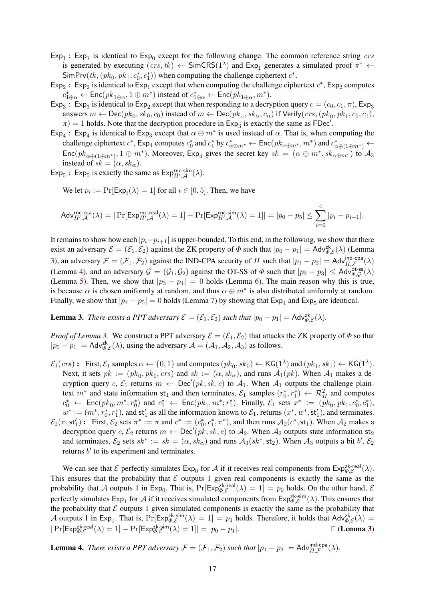- $Exp_1$ :  $Exp_1$  is identical to  $Exp_0$  except for the following change. The common reference string *crs* is generated by executing  $(crs, tk) \leftarrow$  SimCRS(1<sup> $\lambda$ </sup>) and Exp<sub>1</sub> generates a simulated proof  $\pi^* \leftarrow$ SimPrv( $tk$ ,  $(pk_0, pk_1, c_0^*, c_1^*)$ ) when computing the challenge ciphertext  $c^*$ .
- Exp<sub>2</sub>: Exp<sub>2</sub> is identical to Exp<sub>1</sub> except that when computing the challenge ciphertext  $c^*$ , Exp<sub>2</sub> computes  $c_{1\oplus\alpha}^*$  *←* Enc( $pk_{1\oplus\alpha}$ , 1  $\oplus$  *m*<sup>\*</sup>) instead of  $c_{1\oplus\alpha}^*$  *←* Enc( $pk_{1\oplus\alpha}$ ,  $m^*$ ).
- Exp<sub>3</sub>: Exp<sub>3</sub> is identical to Exp<sub>2</sub> except that when responding to a decryption query  $c = (c_0, c_1, \pi)$ , Exp<sub>3</sub> answers  $m \leftarrow \mathsf{Dec}(pk_0, sk_0, c_0)$  instead of  $m \leftarrow \mathsf{Dec}(pk_\alpha, sk_\alpha, c_\alpha)$  if  $\mathsf{Verify}(crs, (pk_0, pk_1, c_0, c_1),$  $\pi$ ) = 1 holds. Note that the decryption procedure in  $Exp_3$  is exactly the same as FDec<sup>'</sup>.
- $Exp_4$ :  $Exp_4$  is identical to  $Exp_3$  except that  $\alpha \oplus m^*$  is used instead of  $\alpha$ . That is, when computing the challenge ciphertext  $c^*$ ,  $Exp_4$  computes  $c_0^*$  and  $c_1^*$  by  $c_{\alpha \oplus m^*}^* \leftarrow Enc(pk_{\alpha \oplus m^*}, m^*)$  and  $c_{\alpha \oplus (1 \oplus m^*)}^* \leftarrow$  $\mathsf{Enc}(pk_{\alpha\oplus(1\oplus m^*)}, 1\oplus m^*)$ . Moreover,  $\mathsf{Exp}_4$  gives the secret key  $sk = (\alpha\oplus m^*, sk_{\alpha\oplus m^*})$  to  $\mathcal{A}_3$ instead of  $sk = (\alpha, sk_\alpha)$ .

 $Exp_5$ :  $Exp_5$  is exactly the same as  $Exp_{II',A}^{rnc-sim}(\lambda)$ .

We let  $p_i := \Pr[\text{Exp}_i(\lambda) = 1]$  for all  $i \in [0, 5]$ . Then, we have

$$
\mathsf{Adv}_{\Pi',\mathcal{A}}^{\mathsf{rnc}\text{-}\mathsf{cca}}(\lambda) = |\Pr[\mathsf{Exp}_{\Pi',\mathcal{A}}^{\mathsf{rnc}\text{-}\mathsf{real}}(\lambda) = 1] - \Pr[\mathsf{Exp}_{\Pi',\mathcal{A}}^{\mathsf{rnc}\text{-}\mathsf{sim}}(\lambda) = 1]| = |p_0 - p_5| \le \sum_{i=0}^4 |p_i - p_{i+1}|.
$$

It remains to show how each  $|p_i-p_{i+1}|$  is upper-bounded. To this end, in the following, we show that there exist an adversary  $\mathcal{E} = (\mathcal{E}_1, \mathcal{E}_2)$  against the ZK property of  $\Phi$  such that  $|p_0 - p_1| = \text{Adv}_{\Phi, \mathcal{E}}^{\mathsf{zk}}(\lambda)$  (Lemma 3), an adversary  $\mathcal{F} = (\mathcal{F}_1, \mathcal{F}_2)$  against the IND-CPA security of  $\Pi$  such that  $|p_1 - p_2| = \text{Adv}_{\Pi, \mathcal{F}}^{\text{ind-cpa}}(\lambda)$ (Lemma 4), and an adversary  $G = (G_1, G_2)$  against the OT-SS of  $\Phi$  such that  $|p_2 - p_3| \leq \text{Adv}_{\Phi, \mathcal{G}}^{\text{ot-ss}}(\lambda)$ (Lemma 5). Then, we show that  $|p_3 - p_4| = 0$  holds (Lemma 6). The main reason why this is true, is because  $\alpha$  is chosen uniformly at random, and thus  $\alpha \oplus m^*$  is also distributed uniformly at random. [F](#page-16-0)inally, [we](#page-16-1) show that  $|p_4 - p_5| = 0$  holds (Lemma 7) by showing that  $Exp_4$  and  $Exp_5$  are identical.

**Lemma [3.](#page-17-0)** *There exists a PPT adversary*  $\mathcal{E} = (\mathcal{E}_1, \mathcal{E}_2)$  *such that*  $|p_0 - p_1| = \text{Adv}_{\Phi, \mathcal{E}}^{\mathbf{z}k}(\lambda)$  $|p_0 - p_1| = \text{Adv}_{\Phi, \mathcal{E}}^{\mathbf{z}k}(\lambda)$  $|p_0 - p_1| = \text{Adv}_{\Phi, \mathcal{E}}^{\mathbf{z}k}(\lambda)$ *.* 

<span id="page-16-0"></span>*Proof of Lemma 3.* We construct a PPT adversary  $\mathcal{E} = (\mathcal{E}_1, \mathcal{E}_2)$  $\mathcal{E} = (\mathcal{E}_1, \mathcal{E}_2)$  $\mathcal{E} = (\mathcal{E}_1, \mathcal{E}_2)$  that attacks the ZK property of  $\Phi$  so that *|p*<sub>0</sub> − *p*<sub>1</sub> | = Adv<sup> $z$ k</sup><sub>*e*</sub><sub>*£*</sub>( $\lambda$ ), using the adversary  $A = (A_1, A_2, A_3)$  as follows.

- $\mathcal{E}_1(crs)$ : First,  $\mathcal{E}_1$  samples  $\alpha \leftarrow \{0, 1\}$  and computes  $(pk_0, sk_0) \leftarrow \mathsf{KG}(1^\lambda)$  and  $(pk_1, sk_1) \leftarrow \mathsf{KG}(1^\lambda)$ . Next, it sets  $pk := (pk_0, pk_1, crs)$  $pk := (pk_0, pk_1, crs)$  and  $sk := (\alpha, sk_\alpha)$ , and runs  $\mathcal{A}_1(pk)$ . When  $\mathcal{A}_1$  makes a decryption query *c*,  $\mathcal{E}_1$  returns  $m \leftarrow \text{Dec}'(pk, sk, c)$  to  $\mathcal{A}_1$ . When  $\mathcal{A}_1$  outputs the challenge plaintext  $m^*$  and state information  $st_1$  and then terminates,  $\mathcal{E}_1$  samples  $(r_0^*, r_1^*) \leftarrow \mathcal{R}_H^2$  and computes  $c_0^*$   $\leftarrow$  Enc $(pk_0, m^*; r_0^*)$  and  $c_1^*$   $\leftarrow$  Enc $(pk_1, m^*; r_1^*)$ . Finally,  $\mathcal{E}_1$  sets  $x^* := (pk_0, pk_1, c_0^*, c_1^*)$ ,  $w^* := (m^*, r_0^*, r_1^*)$ , and  $st_1'$  as all the information known to  $\mathcal{E}_1$ , returns  $(x^*, w^*, st_1')$ , and terminates.
- $\mathcal{E}_2(\pi, \text{st}'_1)$ : First,  $\mathcal{E}_2$  sets  $\pi^* := \pi$  and  $c^* := (c_0^*, c_1^*, \pi^*)$ , and then runs  $\mathcal{A}_2(c^*, \text{st}_1)$ . When  $\mathcal{A}_2$  makes a decryption query  $c, \mathcal{E}_2$  returns  $m \leftarrow \mathsf{Dec}'(pk, sk, c)$  to  $\mathcal{A}_2$ . When  $\mathcal{A}_2$  outputs state information  $st_2$ and terminates,  $\mathcal{E}_2$  sets  $sk^* := sk = (\alpha, sk_\alpha)$  and runs  $\mathcal{A}_3(k^*, \text{st}_2)$ . When  $\mathcal{A}_3$  outputs a bit  $b'$ ,  $\mathcal{E}_2$ returns *b ′* to its experiment and terminates.

We can see that *E* perfectly simulates  $Exp_0$  for *A* if it receives real components from  $Exp_{\Phi,\mathcal{E}}^{\mathsf{zk-real}}(\lambda)$ . This ensures that the probability that  $\mathcal E$  outputs 1 given real components is exactly the same as the probability that *A* outputs 1 in  $Exp_0$ . That is,  $Pr[Exp_{\Phi,\mathcal{E}}^{zk-real}(\lambda) = 1] = p_0$  holds. On the other hand,  $\mathcal{E}$ perfectly simulates  $Exp_1$  for *A* if it receives simulated components from  $Exp_{\Phi,\mathcal{E}}^{zk-sim}(\lambda)$ . This ensures that the probability that  $\mathcal E$  outputs 1 given simulated components is exactly the same as the probability that *A* outputs 1 in Exp<sub>1</sub>. That is,  $Pr[Exp_{\Phi,\mathcal{E}}^{zk-sim}(\lambda) = 1] = p_1$  holds. Therefore, it holds that  $Adv_{\Phi,\mathcal{E}}^{zk}(\lambda) =$  $|Pr[\text{Exp}_{\Phi,\mathcal{E}}^{\text{zk-real}}(\lambda) = 1] - Pr[\text{Exp}_{\Phi,\mathcal{E}}^{\text{zk-sim}}(\lambda) = 1]| = |p_0 - p_1|.$   $\Box$  (Lemma 3)

<span id="page-16-1"></span>**Lemma 4.** *There exists a PPT adversary*  $\mathcal{F} = (\mathcal{F}_1, \mathcal{F}_2)$  *such that*  $|p_1 - p_2| = \text{Adv}_{\Pi, \mathcal{F}}^{\text{ind-cpa}}(\lambda)$ *.*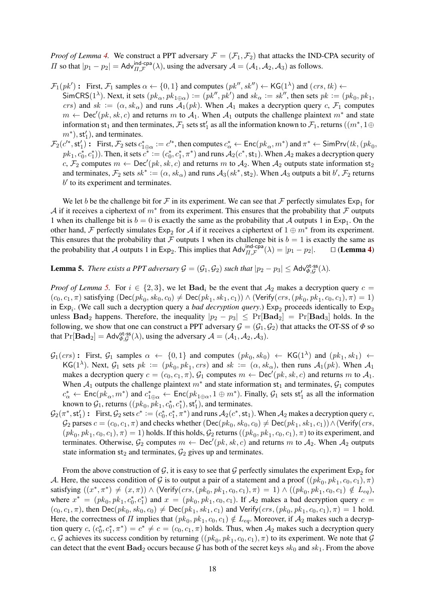*Proof of Lemma 4.* We construct a PPT adversary  $\mathcal{F} = (\mathcal{F}_1, \mathcal{F}_2)$  that attacks the IND-CPA security of *Π* so that  $|p_1 - p_2|$  = Adv $\frac{\text{ind-cpa}}{\text{d} \mathcal{F}}(\lambda)$ , using the adversary  $\mathcal{A} = (\mathcal{A}_1, \mathcal{A}_2, \mathcal{A}_3)$  as follows.

- $\mathcal{F}_1(pk')$ : First,  $\mathcal{F}_1$  samples  $\alpha \leftarrow \{0,1\}$  and computes  $(pk'', sk'') \leftarrow {\sf KG}(1^\lambda)$  and  $(crs, tk) \leftarrow$ SimCRS(1<sup> $\lambda$ </sup>)[. N](#page-16-1)ext, it sets  $(pk_{\alpha}, pk_{1\oplus \alpha}) := (pk'', pk')$  and  $sk_{\alpha} := sk''$ , then sets  $pk := (pk_0, pk_1,$ *crs*) and  $sk := (\alpha, sk_\alpha)$  and runs  $\mathcal{A}_1(pk)$ . When  $\mathcal{A}_1$  makes a decryption query  $c, \mathcal{F}_1$  computes  $m \leftarrow \text{Dec}'(pk, sk, c)$  and returns *m* to  $A_1$ . When  $A_1$  outputs the challenge plaintext  $m^*$  and state information  $\mathsf{st}_1$  and then terminates,  $\mathcal{F}_1$  sets  $\mathsf{st}'_1$  as all the information known to  $\mathcal{F}_1$ , returns  $((m^*, 1 \oplus$ *m*<sup>∗</sup>), st<sup>*′*</sup></sup><sub>1</sub>), and terminates.
- $\mathcal{F}_2(c^{\prime *}, \mathsf{st}'_1)$ : First,  $\mathcal{F}_2$  sets  $c^*_{1 \oplus \alpha} := c^{\prime *}$ , then computes  $c^*_{\alpha} \leftarrow \mathsf{Enc}(pk_{\alpha}, m^*)$  and  $\pi^* \leftarrow \mathsf{SimPrv}(tk, (pk_0,$  $pk_1, c_0^*, c_1^*)$ ). Then, it sets  $c^* := (c_0^*, c_1^*, \pi^*)$  and runs  $\mathcal{A}_2(c^*, \mathsf{st}_1)$ . When  $\mathcal{A}_2$  makes a decryption query  $c, \mathcal{F}_2$  computes  $m \leftarrow \text{Dec}'(pk, sk, c)$  and returns  $m$  to  $\mathcal{A}_2$ . When  $\mathcal{A}_2$  outputs state information st<sub>2</sub> and terminates,  $\mathcal{F}_2$  sets  $sk^* := (\alpha, sk_\alpha)$  and runs  $\mathcal{A}_3(kk^*, \text{st}_2)$ . When  $\mathcal{A}_3$  outputs a bit  $b'$ ,  $\mathcal{F}_2$  returns *b ′* to its experiment and terminates.

We let *b* be the challenge bit for  $F$  in its experiment. We can see that  $F$  perfectly simulates  $Exp_1$  for *A* if it receives a ciphertext of *m<sup>∗</sup>* from its experiment. This ensures that the probability that *F* outputs 1 when its challenge bit is  $b = 0$  is exactly the same as the probability that *A* outputs 1 in  $Exp_1$ . On the other hand, *F* perfectly simulates  $Exp_2$  for *A* if it receives a ciphertext of  $1 \oplus m^*$  from its experiment. This ensures that the probability that  $\mathcal F$  outputs 1 when its challenge bit is  $b = 1$  is exactly the same as the probability that *A* outputs 1 in Exp<sub>2</sub>. This implies that  $\text{Adv}_{\Pi,\mathcal{F}}^{\text{ind-cpa}}(\lambda) = |p_1 - p_2|$ .  $\Box$  (Lemma 4)

**Lemma 5.** *There exists a PPT adversary*  $G = (G_1, G_2)$  *such that*  $|p_2 - p_3| \leq \text{Adv}_{\Phi,G}^{\text{ot-ss}}(\lambda)$ *.* 

<span id="page-17-0"></span>*Proof of Lemma* 5. For  $i \in \{2,3\}$ , we let **Bad**<sub>*i*</sub> be the event that  $A_2$  makes a decryption query  $c =$  $c =$  $(c_0, c_1, \pi)$  satisfying  $(Dec(pk_0, sk_0, c_0) \neq Dec(pk_1, sk_1, c_1)) \wedge (Verify(crs, (pk_0, pk_1, c_0, c_1), \pi) = 1)$ in  $Exp_i$ . (We call such a decryption query a *bad decryption query*.) Exp<sub>2</sub> proceeds identically to Exp<sub>3</sub> unless  $\text{Bad}_2$  happens. Therefore, the inequality  $|p_2 - p_3| \leq \Pr[\text{Bad}_2] = \Pr[\text{Bad}_3]$  holds. In the foll[ow](#page-17-0)ing, we show that one can construct a PPT adversary  $\mathcal{G} = (\mathcal{G}_1, \mathcal{G}_2)$  that attacks the OT-SS of  $\Phi$  so that  $Pr[\text{Bad}_2] = \text{Adv}_{\Phi,G}^{\text{ot-ss}}(\lambda)$ , using the adversary  $\mathcal{A} = (\mathcal{A}_1, \mathcal{A}_2, \mathcal{A}_3)$ .

- $G_1(crs)$ : First,  $G_1$  samples  $\alpha \leftarrow \{0,1\}$  and computes  $(pk_0, sk_0) \leftarrow \mathsf{KG}(1^\lambda)$  and  $(pk_1, sk_1) \leftarrow$  $\mathsf{KG}(1^{\lambda})$ . Next,  $\mathcal{G}_1$  sets  $pk := (pk_0, pk_1, crs)$  and  $sk := (\alpha, sk_{\alpha})$ , then runs  $\mathcal{A}_1(pk)$ . When  $\mathcal{A}_1$ makes a decryption query  $c = (c_0, c_1, \pi)$ ,  $\mathcal{G}_1$  computes  $m \leftarrow \text{Dec}'(pk, sk, c)$  and returns  $m$  to  $\mathcal{A}_1$ . When  $A_1$  outputs the challenge plaintext  $m^*$  and state information  $st_1$  and terminates,  $G_1$  computes  $c^*_{\alpha} \leftarrow \text{Enc}(pk_{\alpha}, m^*)$  and  $c^*_{1 \oplus \alpha} \leftarrow \text{Enc}(pk_{1 \oplus \alpha}, 1 \oplus m^*)$ . Finally,  $\mathcal{G}_1$  sets st'<sub>1</sub> as all the information known to  $\mathcal{G}_1$ , returns  $((pk_0, pk_1, c_0^*, c_1^*), st_1'),$  and terminates.
- $\mathcal{G}_2(\pi^*,\mathsf{st}'_1)$ : First,  $\mathcal{G}_2$  sets  $c^*:=(c_0^*,c_1^*,\pi^*)$  and runs  $\mathcal{A}_2(c^*,\mathsf{st}_1)$ . When  $\mathcal{A}_2$  makes a decryption query  $c,$  $G_2$  parses  $c = (c_0, c_1, \pi)$  and checks whether  $(Dec(pk_0, sk_0, c_0) \neq Dec(pk_1, sk_1, c_1)) \wedge (Verify(crs,$  $(pk_0, pk_1, c_0, c_1), \pi) = 1)$  holds. If this holds,  $\mathcal{G}_2$  returns  $((pk_0, pk_1, c_0, c_1), \pi)$  to its experiment, and terminates. Otherwise,  $\mathcal{G}_2$  computes  $m \leftarrow \text{Dec}'(pk, sk, c)$  and returns  $m$  to  $\mathcal{A}_2$ . When  $\mathcal{A}_2$  outputs state information  $st_2$  and terminates,  $\mathcal{G}_2$  gives up and terminates.

From the above construction of  $G$ , it is easy to see that  $G$  perfectly simulates the experiment  $Exp_2$  for *A*. Here, the success condition of *G* is to output a pair of a statement and a proof  $((pk_0, pk_1, c_0, c_1), \pi)$ satisfying  $((x^*, \pi^*) \neq (x, \pi)) \wedge (\text{Verify}(crs, (pk_0, pk_1, c_0, c_1), \pi) = 1) \wedge ((pk_0, pk_1, c_0, c_1) \notin L_{eq}),$ where  $x^* = (pk_0, pk_1, c_0^*, c_1^*)$  and  $x = (pk_0, pk_1, c_0, c_1)$ . If  $A_2$  makes a bad decryption query  $c =$  $(c_0, c_1, \pi)$ , then Dec $(pk_0, sk_0, c_0) \neq \text{Dec}(pk_1, sk_1, c_1)$  and Verify $(crs, (pk_0, pk_1, c_0, c_1), \pi) = 1$  hold. Here, the correctness of *Π* implies that  $(pk_0, pk_1, c_0, c_1) \notin L_{eq}$ . Moreover, if  $A_2$  makes such a decryption query  $c, (c_0^*, c_1^*, \pi^*) = c^* \neq c = (c_0, c_1, \pi)$  holds. Thus, when  $A_2$  makes such a decryption query *c*, *G* achieves its success condition by returning  $((pk_0, pk_1, c_0, c_1), \pi)$  to its experiment. We note that *G* can detect that the event  $\textbf{Bad}_2$  occurs because G has both of the secret keys  $sk_0$  and  $sk_1$ . From the above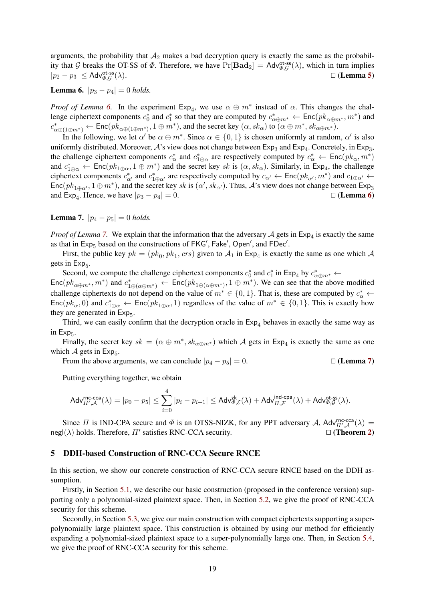arguments, the probability that  $A_2$  makes a bad decryption query is exactly the same as the probability that *G* breaks the OT-SS of  $\Phi$ . Therefore, we have  $Pr[Bad_2] = Adv_{\Phi,G}^{ot-ss}(\lambda)$ , which in turn implies  $|p_2 - p_3| \leq \mathsf{Adv}_{\varPhi, \mathcal{G}}^{\mathsf{ot}\text{-ss}}$ (*λ*). *⊓⊔* (Lemma 5)

**Lemma 6.**  $|p_3 - p_4| = 0$  *holds.* 

<span id="page-18-1"></span>*Proof of Lemma* 6. In the experiment  $Exp_4$ , we use  $\alpha \oplus m^*$  instead of  $\alpha$ . This changes the ch[al](#page-17-0)lenge ciphertext components  $c_0^*$  and  $c_1^*$  so that they are computed by  $c_{\alpha\oplus m^*}^* \leftarrow \text{Enc}(pk_{\alpha\oplus m^*}, m^*)$  and  $c^*_{\alpha\oplus(1\oplus m^*)} \leftarrow \mathsf{Enc}(pk_{\alpha\oplus(1\oplus m^*)}, 1\oplus m^*)$ , and the secret key  $(\alpha, sk_\alpha)$  to  $(\alpha\oplus m^*, sk_{\alpha\oplus m^*})$ .

In the following, we let  $\alpha'$  be  $\alpha \oplus m^*$ . Since  $\alpha \in \{0,1\}$  is chosen uniformly at random,  $\alpha'$  is also uniformly distrib[ute](#page-18-1)d. Moreover,  $A$ 's view does not change between  $Exp_3$  and  $Exp_4$ . Concretely, in  $Exp_3$ , the challenge ciphertext components  $c^*_{\alpha}$  and  $c^*_{1\oplus \alpha}$  are respectively computed by  $c^*_{\alpha} \leftarrow \text{Enc}(pk_{\alpha}, m^*)$ and  $c_{1\oplus\alpha}^*$   $\leftarrow$  Enc( $pk_{1\oplus\alpha}$ , 1  $\oplus$   $m^*$ ) and the secret key *sk* is ( $\alpha$ ,  $sk_\alpha$ ). Similarly, in Exp<sub>4</sub>, the challenge ciphertext components  $c^*_{\alpha'}$  and  $c^*_{1\oplus \alpha'}$  are respectively computed by  $c_{\alpha'} \leftarrow \text{Enc}(pk_{\alpha'}, m^*)$  and  $c_{1\oplus \alpha'} \leftarrow$  $Enc(pk_{1\oplus\alpha'}, 1\oplus m^*)$ , and the secret key *sk* is  $(\alpha', sk_{\alpha'})$ . Thus, *A*'s view does not change between  $Exp_3$ and Exp<sub>4</sub>. Hence, we have  $|p_3 - p_4| = 0$ .  $\Box$  (Lemma 6)

**Lemma 7.**  $|p_4 - p_5| = 0$  *holds.* 

*Proof of Lemma* 7. We explain that the information that the adversary  $A$  gets in  $Exp_4$  is exactly the sa[me](#page-18-1) as that in  $Exp_5$  based on the constructions of  $FKG'$ , Fake', Open', and FDec'.

<span id="page-18-2"></span>First, the public key  $pk = (pk_0, pk_1, crs)$  given to  $A_1$  in  $Exp_4$  is exactly the same as one which  $A$ gets in  $Exp_5$ .

Se[co](#page-18-2)nd, we compute the challenge ciphertext components  $c_0^*$  and  $c_1^*$  in Exp<sub>4</sub> by  $c_{\alpha \oplus m^*}^*$   $\leftarrow$ 

 $\mathsf{Enc}(pk_{\alpha\oplus m^*}, m^*)$  and  $c^*_{1\oplus(\alpha\oplus m^*)} \leftarrow \mathsf{Enc}(pk_{1\oplus(\alpha\oplus m^*)}, 1\oplus m^*)$ . We can see that the above modified challenge ciphertexts do not depend on the value of  $m^* \in \{0, 1\}$ . That is, these are computed by  $c^*_{\alpha} \leftarrow$  $Enc(pk_{\alpha}, 0)$  and  $c_{1\oplus \alpha}^* \leftarrow Enc(pk_{1\oplus \alpha}, 1)$  regardless of the value of  $m^* \in \{0, 1\}$ . This is exactly how they are generated in  $Exp_5$ .

Third, we can easily confirm that the decryption oracle in  $Exp_4$  behaves in exactly the same way as in  $\textsf{Exp}_5$ .

Finally, the secret key  $sk = (\alpha \oplus m^*, sk_{\alpha \oplus m^*})$  which *A* gets in Exp<sub>4</sub> is exactly the same as one which  $A$  gets in  $Exp_5$ .

From the above arguments, we can conclude  $|p_4 - p_5| = 0$ .  $\Box$  (Lemma 7)

Putting everything together, we obtain

$$
\mathsf{Adv}_{\varPi',\mathcal{A}}^{\mathsf{rnc}\text{-}\mathsf{cca}}(\lambda) = |p_0-p_5| \leq \sum_{i=0}^4 |p_i-p_{i+1}| \leq \mathsf{Adv}_{\varPhi,\mathcal{E}}^{\mathsf{zk}}(\lambda) + \mathsf{Adv}_{\varPi,\mathcal{F}}^{\mathsf{ind}\text{-}\mathsf{cpa}}(\lambda) + \mathsf{Adv}_{\varPhi,\mathcal{G}}^{\mathsf{ot}\text{-}\mathsf{ss}}(\lambda).
$$

Since *Π* is IND-CPA secure and  $\Phi$  is an OTSS-NIZK, for any PPT adversary *A*, Adv<sup>rnc-cca</sup>( $\lambda$ ) = negl(*λ*) holds. Therefore, *Π′* satisfies RNC-CCA security. *⊓⊔* (Theorem 2)

## 5 DDH-based Construction of RNC-CCA Secure RNCE

In this section, we show our concrete construction of RNC-CCA secure RNCE based on the DDH [as](#page-15-1)sumption.

<span id="page-18-0"></span>Firstly, in Section 5.1, we describe our basic construction (proposed in the conference version) supporting only a polynomial-sized plaintext space. Then, in Section 5.2, we give the proof of RNC-CCA security for this scheme.

Secondly, in Section 5.3, we give our main construction with compact ciphertexts supporting a superpolynomially large pl[aint](#page-19-0)ext space. This construction is obtained by using our method for efficiently expanding a polynomial-sized plaintext space to a super-polynom[ially](#page-20-0) large one. Then, in Section 5.4, we give the proof of RN[C-C](#page-25-0)CA security for this scheme.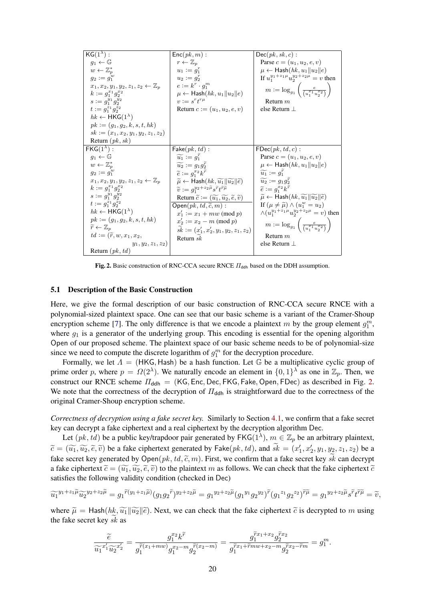| $KG(1^{\lambda})$ :                                    | $Enc(pk, m)$ :                                                                                            | $Dec(pk, sk, c)$ :                                                                               |
|--------------------------------------------------------|-----------------------------------------------------------------------------------------------------------|--------------------------------------------------------------------------------------------------|
| $q_1 \leftarrow \mathbb{G}$                            | $r \leftarrow \mathbb{Z}_n$                                                                               | Parse $c = (u_1, u_2, e, v)$                                                                     |
| $w \leftarrow \mathbb{Z}_n^*$                          | $u_1 := q_1^r$                                                                                            | $\mu \leftarrow$ Hash $(hk, u_1    u_2    e)$                                                    |
| $q_2 := q_1^w$                                         | $u_2 := a_2^r$                                                                                            | If $u_1^{y_1+z_1\mu}u_2^{y_2+z_2\mu} = v$ then                                                   |
| $x_1, x_2, y_1, y_2, z_1, z_2 \leftarrow \mathbb{Z}_p$ | $e := k^r \cdot q_1^m$                                                                                    |                                                                                                  |
| $k := q_1^{x_1} q_2^{x_2}$                             | $\mu \leftarrow$ Hash $(hk, u_1    u_2    e)$                                                             | $m := \log_{g_1}\left(\frac{e}{(u_1^{x_1}u_2^{x_2})}\right)$                                     |
| $s \coloneqq q_1^{y_1} q_2^{y_2}$                      | $v := s^r t^{r\mu}$                                                                                       | Return $m$                                                                                       |
| $t := q_1^{z_1} q_2^{z_2}$                             | Return $c := (u_1, u_2, e, v)$                                                                            | else Return $\perp$                                                                              |
| $hk \leftarrow$ HKG( $1^{\lambda}$ )                   |                                                                                                           |                                                                                                  |
| $pk := (q_1, q_2, k, s, t, hk)$                        |                                                                                                           |                                                                                                  |
| $sk := (x_1, x_2, y_1, y_2, z_1, z_2)$                 |                                                                                                           |                                                                                                  |
| Return $(pk, sk)$                                      |                                                                                                           |                                                                                                  |
| $FKG(1^{\lambda})$ :                                   | $\mathsf{Fake}(pk, td)$ :                                                                                 | $\mathsf{FDec}(pk, td, c):$                                                                      |
| $q_1 \leftarrow \mathbb{G}$                            | $\widetilde{u_1} := q_1^r$                                                                                | Parse $c = (u_1, u_2, e, v)$                                                                     |
| $w \leftarrow \mathbb{Z}_p^*$                          | $\widetilde{u_2} := g_1 g_2^r$                                                                            | $\mu \leftarrow$ Hash $(hk, u_1    u_2    e)$                                                    |
| $q_2 := q_1^w$                                         | $\widetilde{e} := q_1^{x_2} k^{\widetilde{r}}$                                                            | $\widetilde{u_1} := q_1^r$                                                                       |
| $x_1, x_2, y_1, y_2, z_1, z_2 \leftarrow \mathbb{Z}_n$ | $\widetilde{\mu} \leftarrow \mathsf{Hash}(hk, \widetilde{u_1} \Vert \widetilde{u_2} \Vert \widetilde{e})$ | $\widetilde{u_2} := q_1 q_2^r$                                                                   |
| $k := q_1^{x_1} q_2^{x_2}$                             | $\widetilde{v} := q_1^{y_2 + z_2 \widetilde{\mu}} s^{\widetilde{r}} t^{\widetilde{r} \widetilde{\mu}}$    | $\widetilde{e} := q_1^{x_2} k^r$                                                                 |
| $s := q_1^{y_1} q_2^{y_2}$                             | Return $\widetilde{c} := (\widetilde{u_1}, \widetilde{u_2}, \widetilde{e}, \widetilde{v})$                | $\widetilde{\mu} \leftarrow \mathsf{Hash}(hk, \widetilde{u_1} \ \widetilde{u_2}\ \widetilde{e})$ |
| $t := g_1^{z_1} g_2^{z_2}$                             | Open $(pk, td, \widetilde{c}, m)$ :                                                                       | If $(\mu \neq \tilde{\mu}) \wedge (u_1^w = u_2)$                                                 |
| $hk \leftarrow$ HKG $(1^{\lambda})$                    | $x'_1 := x_1 + mw \pmod{p}$                                                                               | $\wedge (u_1^{y_1+z_1\mu}u_2^{y_2+z_2\mu}=v)$ then                                               |
| $pk := (g_1, g_2, k, s, t, hk)$                        | $x_2' := x_2 - m \pmod{p}$                                                                                |                                                                                                  |
| $\widetilde{r} \leftarrow \mathbb{Z}_n$                | $sk := (x'_1, x'_2, y_1, y_2, z_1, z_2)$                                                                  | $m := \log_{g_1}\left(\frac{e}{(u_1^{x_1}u_2^{x_2})}\right)$                                     |
| $td := (\widetilde{r}, w, x_1, x_2,$                   |                                                                                                           | Return $m$                                                                                       |
| $y_1, y_2, z_1, z_2$                                   | Return sk                                                                                                 | else Return $\perp$                                                                              |
| Return $(pk, td)$                                      |                                                                                                           |                                                                                                  |

<span id="page-19-1"></span>Fig. 2. Basic construction of RNC-CCA secure RNCE  $\Pi_{\text{ddh}}$  based on the DDH assumption.

#### 5.1 Description of the Basic Construction

<span id="page-19-0"></span>Here, we give the formal description of our basic construction of RNC-CCA secure RNCE with a polynomial-sized plaintext space. One can see that our basic scheme is a variant of the Cramer-Shoup encryption scheme [7]. The only difference is that we encode a plaintext m by the group element  $g_1^m$ , where  $g_1$  is a generator of the underlying group. This encoding is essential for the opening algorithm Open of our proposed scheme. The plaintext space of our basic scheme needs to be of polynomial-size since we need to compute the discrete logarithm of  $g_1^m$  for the decryption procedure.

Formally, we let *[Λ](#page-33-7)* = (HKG*,* Hash) be a hash function. Let G be a multiplicative cyclic group of prime order *p*, where  $p = \Omega(2^{\lambda})$ . We naturally encode an element in  $\{0,1\}^{\lambda}$  as one in  $\mathbb{Z}_p$ . Then, we construct our RNCE scheme  $\Pi_{\text{ddh}} = (KG, Enc, Dec, FKG, False, Open, FDec)$  as described in Fig. 2. We note that the correctness of the decryption of *Π*<sub>ddh</sub> is straightforward due to the correctness of the original Cramer-Shoup encryption scheme.

*Correctness of decryption using a fake secret key.* Similarly to Section 4.1, we confirm that a fake sec[ret](#page-19-1) key can decrypt a fake ciphertext and a real ciphertext by the decryption algorithm Dec.

Let  $(pk, td)$  be a public key/trapdoor pair generated by  $\mathsf{FKG}(1^{\lambda}), m \in \mathbb{Z}_p$  be an arbitrary plaintext,  $\widetilde{c} = (\widetilde{u_1}, \widetilde{u_2}, \widetilde{e}, \widetilde{v})$  $\widetilde{c} = (\widetilde{u_1}, \widetilde{u_2}, \widetilde{e}, \widetilde{v})$  $\widetilde{c} = (\widetilde{u_1}, \widetilde{u_2}, \widetilde{e}, \widetilde{v})$  be a fake ciphertext generated by Fake(pk, td), and  $sk = (x'_1, x'_2, y_1, y_2, z_1, z_2)$  be a fake second level conserved by  $\Omega$  and  $sk$ . First, we confirm that a false second level of fake secret key generated by Open( $pk$ ,  $td$ ,  $\tilde{c}$ ,  $m$ ). First, we confirm that a fake secret key  $sk$  can decrypt a fake ciphertext  $\tilde{c} = (\tilde{u}_1, \tilde{u}_2, \tilde{e}, \tilde{v})$  to the plaintext *m* as follows. We can check that the fake ciphertext  $\tilde{c}$ satisfies the following validity condition (checked in Dec)

$$
\widetilde{u_1}^{y_1+z_1\widetilde{\mu}}\widetilde{u_2}^{y_2+z_2\widetilde{\mu}}=g_1^{\widetilde{r}(y_1+z_1\widetilde{\mu})}(g_1g_2^{\widetilde{r}})^{y_2+z_2\widetilde{\mu}}=g_1^{y_2+z_2\widetilde{\mu}}(g_1^{y_1}g_2^{y_2})^{\widetilde{r}}(g_1^{z_1}g_2^{z_2})^{\widetilde{r}\widetilde{\mu}}=g_1^{y_2+z_2\widetilde{\mu}}s^{\widetilde{r}}t^{\widetilde{r}\widetilde{\mu}}=\widetilde{v},
$$

where  $\tilde{\mu} =$  Hash $(hk, \tilde{u}_1 || \tilde{u}_2 || \tilde{e})$ . Next, we can check that the fake ciphertext  $\tilde{e}$  is decrypted to *m* using the fake secret key *sk* as

$$
\frac{\widetilde{e}}{\widetilde{u_1}^{x'_1}\widetilde{u_2}^{x'_2}} = \frac{g_1^{x_2}k^{\widetilde{r}}}{g_1^{\widetilde{r}(x_1+mw)}g_1^{x_2-m}g_2^{\widetilde{r}(x_2-m)}} = \frac{g_1^{\widetilde{r}x_1+x_2}g_2^{\widetilde{r}x_2}}{g_1^{\widetilde{r}x_1+\widetilde{r}mw+x_2-m}g_2^{\widetilde{r}x_2-\widetilde{r}m}} = g_1^m.
$$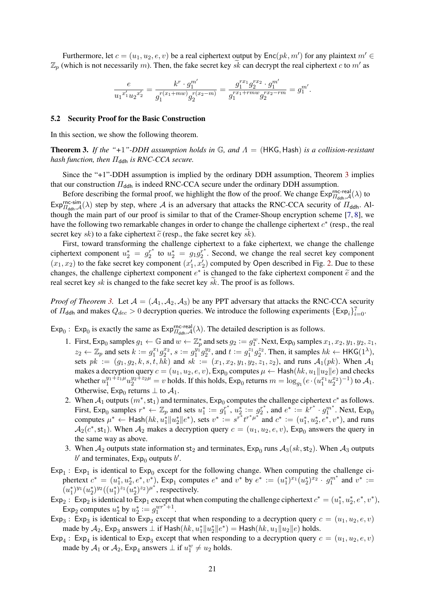Furthermore, let  $c = (u_1, u_2, e, v)$  be a real ciphertext output by  $\mathsf{Enc}(pk, m')$  for any plaintext  $m' \in$  $\mathbb{Z}_p$  (which is not necessarily *m*). Then, the fake secret key  $\tilde{sk}$  can decrypt the real ciphertext *c* to *m'* as

<span id="page-20-1"></span>
$$
\frac{e}{u_1^{x'_1}u_2^{x'_2}} = \frac{k^r \cdot g_1^{m'}}{g_1^{r(x_1+mw)}g_2^{r(x_2-m)}} = \frac{g_1^{rx_1}g_2^{rx_2} \cdot g_1^{m'}}{g_1^{rx_1+rmw}g_2^{rx_2-rm}} = g_1^{m'}.
$$

#### 5.2 Security Proof for the Basic Construction

In this section, we show the following theorem.

<span id="page-20-0"></span>**Theorem 3.** If the "+1"-DDH assumption holds in  $\mathbb{G}$ , and  $\Lambda =$  (HKG, Hash) is a collision-resistant *hash function, then*  $\Pi_{\text{ddh}}$  *is RNC-CCA secure.* 

Since the "+1"-DDH assumption is implied by the ordinary DDH assumption, Theorem 3 implies that our construction  $\Pi_{\text{ddh}}$  is indeed RNC-CCA secure under the ordinary DDH assumption.

Before describing the formal proof, we highlight the flow of the proof. We change  $Exp_{H_{\text{ddh}},\mathcal{A}}^{rnc\text{-real}}(\lambda)$  to  $Exp_{H_{\text{ddh}},\mathcal{A}}^{rnc-sim}(\lambda)$  step by step, where *A* is an adversary that attacks the RNC-CCA security of  $H_{\text{ddh}}$ . Although the main part of our proof is similar to that of the Cramer-Shoup encryption scheme [7, 8], we have the following two remarkable changes in order to change the challenge ciphertext *c ∗* (resp., the real secret key  $sk$ ) to a fake ciphertext  $\tilde{c}$  (resp., the fake secret key  $sk$ ).

First, toward transforming the challenge ciphertext to a fake ciphertext, we change the challenge ciphertext component  $u_2^* = g_2^{r^*}$  $y_2^r$  to  $u_2^* = g_1 g_2^{r^*}$  $i_2^r$ . Second, we change the real secret key c[om](#page-33-7)[po](#page-33-10)nent  $(x_1, x_2)$  to the fake secret key component  $(x'_1, x'_2)$  computed by Open described in Fig. 2. Due to these changes, the challenge ciphertext component  $e^*$  is changed to the fake ciphertext component  $\tilde{e}$  and the real secret key  $e^k$  is changed to the fake secret key  $\tilde{e}^k$ . The proof is as follows real secret key *sk* is changed to the fake secret key *sk*. The proof is as follows.

*Proof of Theorem 3.* Let  $A = (A_1, A_2, A_3)$  be any PPT adversary that attacks the RN[C-](#page-19-1)CCA security of  $\Pi_{\text{ddh}}$  and makes  $Q_{dec} > 0$  decryption queries. We introduce the following experiments  $\{\text{Exp}_i\}_{i=0}^7$ .

 $Exp_0$ :  $Exp_0$  is exactly the same as  $Exp_{\Pi_{\text{ddh}},\mathcal{A}}^{\text{inc-real}}(\lambda)$ . The detailed description is as follows.

- 1. Fir[s](#page-20-1)t,  $Exp_0$  samples  $g_1 \leftarrow \mathbb{G}$  and  $w \leftarrow \mathbb{Z}_p^*$  and sets  $g_2 := g_1^w$ . Next,  $Exp_0$  samples  $x_1, x_2, y_1, y_2, z_1$ ,  $z_2 \leftarrow \mathbb{Z}_p$  and sets  $k := g_1^{x_1} g_2^{x_2}$ ,  $s := g_1^{y_1} g_2^{y_2}$ , and  $t := g_1^{z_1} g_2^{z_2}$ . Then, it samples  $hk \leftarrow \mathsf{HKG}(1^{\lambda}),$ sets  $pk := (g_1, g_2, k, s, t, hk)$  and  $sk := (x_1, x_2, y_1, y_2, z_1, z_2)$ , and runs  $A_1(pk)$ . When  $A_1$ makes a decryption query  $c = (u_1, u_2, e, v)$ , Exp<sub>0</sub> computes  $\mu \leftarrow \mathsf{Hash}(hk, u_1 \| u_2 \| e)$  and checks whether  $u_1^{y_1+\bar{z}_1\mu}u_2^{y_2+z_2\mu} = v$  holds. If this holds,  $Exp_0$  returns  $m = \log_{g_1}(e \cdot (u_1^{x_1} u_2^{x_2})^{-1})$  to  $\mathcal{A}_1$ . Otherwise,  $Exp_0$  returns  $\perp$  to  $\mathcal{A}_1$ .
- 2. When  $A_1$  outputs  $(m^*, \text{st}_1)$  and terminates,  $Exp_0$  computes the challenge ciphertext  $c^*$  as follows. First,  $Exp_0$  samples  $r^* \leftarrow \mathbb{Z}_p$  and sets  $u_1^* := g_1^{r^*}$  $y_1^{r^*}, u_2^* := g_2^{r^*}$  $x_2^*$ , and  $e^* := \overline{k}^r \cdot g_1^{m^*}$ . Next,  $Exp_0$ computes  $\mu^* \leftarrow$  Hash $(hk, u_1^*||u_2^*||e^*)$ , sets  $v^* := s^{r^*}t^{r^*\mu^*}$  and  $c^* := (u_1^*, u_2^*, e^*, v^*)$ , and runs  $A_2(c^*, st_1)$ . When  $A_2$  makes a decryption query  $c = (u_1, u_2, e, v)$ , Exp<sub>0</sub> answers the query in the same way as above.
- 3. When  $A_2$  outputs state information  $st_2$  and terminates,  $Exp_0$  runs  $A_3(sk, st_2)$ . When  $A_3$  outputs  $b'$  and terminates,  $Exp_0$  outputs  $b'$ .
- $Exp_1$ :  $Exp_1$  is identical to  $Exp_0$  except for the following change. When computing the challenge ciphertext  $c^* = (u_1^*, u_2^*, e^*, v^*)$ , Exp<sub>1</sub> computes  $e^*$  and  $v^*$  by  $e^* := (u_1^*)^{x_1} (u_2^*)^{x_2} \cdot g_1^{m^*}$  and  $v^* :=$  $(u_1^*)^{y_1} (u_2^*)^{y_2} ((u_1^*)^{z_1} (u_2^*)^{z_2})^{\mu^*}$ , respectively.
- Exp<sub>2</sub>: Exp<sub>2</sub> is identical to Exp<sub>1</sub> except that when computing the challenge ciphertext  $c^* = (u_1^*, u_2^*, e^*, v^*)$ ,  $\sum_{n=1}^{\infty}$  computes  $u_2^*$  by  $u_2^* := g_1^{w r^* + 1}$ .
- $Exp_3$ :  $Exp_3$  is identical to  $Exp_2$  except that when responding to a decryption query  $c = (u_1, u_2, e, v)$ made by  $\mathcal{A}_2$ , Exp<sub>3</sub> answers  $\bot$  if  $\mathsf{Hash}(hk, u_1^*||u_2^*||e^*) = \mathsf{Hash}(hk, u_1||u_2||e)$  holds.
- $Exp_4$ :  $Exp_4$  is identical to  $Exp_3$  except that when responding to a decryption query  $c = (u_1, u_2, e, v)$ made by  $A_1$  or  $A_2$ ,  $Exp_4$  answers  $\perp$  if  $u_1^w \neq u_2$  holds.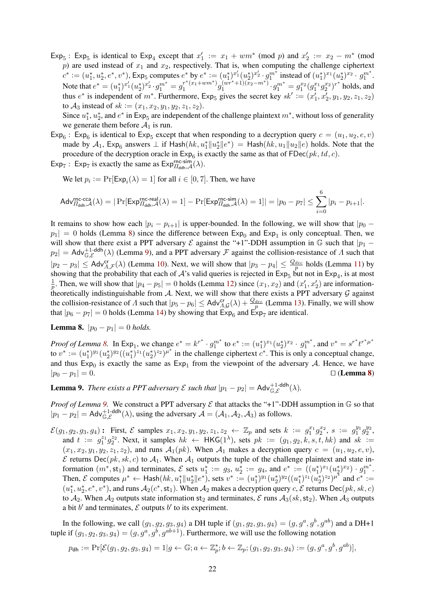$Exp_5$ :  $Exp_5$  is identical to  $Exp_4$  except that  $x'_1 := x_1 + w^2$  (mod *p*) and  $x'_2 := x_2 - m^*$  (mod  $p$ ) are used instead of  $x_1$  and  $x_2$ , respectively. That is, when computing the challenge ciphertext  $c^* := (u_1^*, u_2^*, e^*, v^*)$ , Exp<sub>5</sub> computes  $e^*$  by  $e^* := (u_1^*)^{x_1'} (u_2^*)^{x_2'} \cdot g_1^{m^*}$  instead of  $(u_1^*)^{x_1} (u_2^*)^{x_2} \cdot g_1^{m^*}$ . Note that  $e^* = (u_1^*)^{x_1'} (u_2^*)^{x_2'} \cdot g_1^{m^*} = g_1^{r^*(x_1 + w m^*)}$  $g_1^{(wr^*+1)(x_2-m^*)}$ <br>  $g_1^{(wr^*+1)(x_2-m^*)}$  $\int_1^{(wr^*+1)(x_2-m^*)} \cdot g_1^{m^*} = g_1^{x_2} (g_1^{x_1} g_2^{x_2})^{r^*}$  holds, and thus  $e^*$  is independent of  $m^*$ . Furthermore,  $Exp_5$  gives the secret key  $sk' := (x'_1, x'_2, y_1, y_2, z_1, z_2)$ to  $A_3$  instead of  $sk := (x_1, x_2, y_1, y_2, z_1, z_2)$ . Since  $u_1^*, u_2^*$ , and  $e^*$  in Exp<sub>5</sub> are independent of the challenge plaintext  $m^*$ , without loss of generality we generate them before  $A_1$  is run.

 $Exp_6$ :  $Exp_6$  is identical to  $Exp_5$  except that when responding to a decryption query  $c = (u_1, u_2, e, v)$ made by  $\mathcal{A}_1$ , Exp<sub>6</sub> answers  $\bot$  if Hash $(hk, u_1^*||u_2^*||e^*)$  = Hash $(hk, u_1||u_2||e)$  holds. Note that the procedure of the decryption oracle in  $Exp_6$  is exactly the same as that of  $FDec(pk, td, c)$ .

 $Exp_7$ :  $Exp_7$  is exactly the same as  $Exp_{\Pi_{\text{ddh}},\mathcal{A}}^{\text{rnc-sim}}(\lambda)$ .

We let  $p_i := \Pr[\text{Exp}_i(\lambda) = 1]$  for all  $i \in [0, 7]$ . Then, we have

$$
\mathsf{Adv}_{\Pi_{\mathsf{ddh}},\mathcal{A}}^{\mathsf{rnc}\text{-}\mathsf{cca}}(\lambda) = |\Pr[\mathsf{Exp}_{\Pi_{\mathsf{ddh}},\mathcal{A}}^{\mathsf{rnc}\text{-}\mathsf{real}}(\lambda) = 1] - \Pr[\mathsf{Exp}_{\Pi_{\mathsf{ddh}},\mathcal{A}}^{\mathsf{rnc}\text{-}\mathsf{sim}}(\lambda) = 1]| = |p_0 - p_7| \le \sum_{i=0}^6 |p_i - p_{i+1}|.
$$

It remains to show how each  $|p_i - p_{i+1}|$  is upper-bounded. In the following, we will show that  $|p_0 - p_{i+1}|$  $|p_1| = 0$  holds (Lemma 8) since the difference between  $Exp_0$  and  $Exp_1$  is only conceptual. Then, we will show that there exist a PPT adversary  $\mathcal E$  against the "+1"-DDH assumption in  $\mathbb G$  such that  $|p_1 - p_2|$  $p_2$  = Adv<sup>+1-ddh</sup> ( $\lambda$ ) (Lemma 9), and a PPT adversary *F* against the collision-resistance of *Λ* such that  $|p_2 - p_3| \leq$  Adv ${}_{A,\mathcal{F}}^{cr}(\lambda)$  [\(L](#page-21-0)emma 10). Next, we will show that  $|p_3 - p_4| \leq \frac{Q_{dec}}{p}$  holds (Lemma 11) by showing that the probability that each of  $A$ 's valid queries is rejected in  $Exp_5$  but not in  $Exp_4$ , is at most 1 *p*<sup>1</sup>. Then, we will show that  $|p_4 - p_5| = 0$  holds (Lemma 12) since  $(x_1, x_2)$  and  $(x'_1, x'_2)$  are informationtheoretically indistinguishable from *A*. Next, we will show that there exists a PPT adversary *G* against the collision-resistance of *Λ* such [tha](#page-22-0)t  $|p_5 - p_6| \leq \text{Adv}_{A,G}^{\text{cr}}(\lambda) + \frac{Q_{dec}}{p}$  (Lemma 13). Finally, we wi[ll sh](#page-22-1)ow that  $|p_6 - p_7| = 0$  $|p_6 - p_7| = 0$  $|p_6 - p_7| = 0$  holds (Lemma 14) by showing that  $Exp_6$  and  $Exp_7$  are identical.

**Lemma 8.**  $|p_0 - p_1| = 0$  *holds.* 

<span id="page-21-0"></span>*Proof of Lemma 8.* In Exp<sub>1</sub>, we c[han](#page-24-0)ge  $e^* = k^{r^*} \cdot g_1^{m^*}$  to  $e^* := (u_1^*)^{x_1}(u_2^*)^{x_2} \cdot g_1^{m^*}$ , and  $v^* = s^{r^*}t^{r^*\mu^*}$ to  $v^* := (u_1^*)^{y_1}(u_2^*)^{y_2}((u_1^*)^{z_1}(u_2^*)^{z_2})^{\mu^*}$  in the challenge ciphertext  $c^*$ . This is only a conceptual change, and thus  $Exp_0$  is exactly the same as  $Exp_1$  from the viewpoint of the adversary *A*. Hence, we have *|p*<sup>0</sup> *− p*1*|* = 0. *⊓⊔* (Lemma 8)

**Lemma 9.** *There exists a PPT adversary*  $\mathcal E$  *such that*  $|p_1 - p_2| = \text{Adv}_{\mathbb G,\mathcal E}^{+1-\text{ddh}}(\lambda)$ *.* 

*Proof of Lemma 9.* We construct a PPT adversary  $\mathcal E$  t[ha](#page-21-0)t attacks the "+1"-DDH assumption in  $\mathbb G$  so that *|p*<sub>1</sub> − *p*<sub>2</sub>*|* = Adv<sup>+1-ddh</sup>( $\lambda$ ), using the adversary  $\mathcal{A}$  = ( $\mathcal{A}_1$ ,  $\mathcal{A}_2$ ,  $\mathcal{A}_3$ ) as follows.

<span id="page-21-1"></span> $\mathcal{E}(g_1, g_2, g_3, g_4)$ : First,  $\mathcal{E}$  samples  $x_1, x_2, y_1, y_2, z_1, z_2 \leftarrow \mathbb{Z}_p$  and sets  $k := g_1^{x_1} g_2^{x_2}, s := g_1^{y_1} g_2^{y_2}$ , and  $t := g_1^{z_1} g_2^{z_2}$  $t := g_1^{z_1} g_2^{z_2}$  $t := g_1^{z_1} g_2^{z_2}$ . Next, it samples  $hk \leftarrow \text{HKG}(1^{\lambda})$ , sets  $pk := (g_1, g_2, k, s, t, hk)$  and  $sk :=$  $(x_1, x_2, y_1, y_2, z_1, z_2)$ , and runs  $\mathcal{A}_1(pk)$ . When  $\mathcal{A}_1$  makes a decryption query  $c = (u_1, u_2, e, v)$ ,  $\mathcal E$  returns Dec( $pk, sk, c$ ) to  $\mathcal A_1$ . When  $\mathcal A_1$  outputs the tuple of the challenge plaintext and state information  $(m^*, \text{st}_1)$  and terminates,  $\mathcal E$  sets  $u_1^* := g_3$ ,  $u_2^* := g_4$ , and  $e^* := ((u_1^*)^{x_1}(u_2^*)^{x_2}) \cdot g_1^{m^*}$ . Then,  $\mathcal E$  computes  $\mu^* \leftarrow \mathsf{Hash}(hk, u_1^*||u_2^*||e^*),$  sets  $v^* := (u_1^*)^{y_1}(u_2^*)^{y_2}((u_1^*)^{z_1}(u_2^*)^{z_2})^{\mu^*}$  and  $c^* :=$  $(u_1^*, u_2^*, e^*, v^*)$ , and runs  $\mathcal{A}_2(c^*, \mathsf{st}_1)$ . When  $\mathcal{A}_2$  makes a decryption query  $c, \mathcal{E}$  returns  $\mathsf{Dec}(pk, sk, c)$ to  $A_2$ . When  $A_2$  outputs state information  $st_2$  and terminates,  $\mathcal E$  runs  $A_3(sk, st_2)$ . When  $A_3$  outputs a bit  $b'$  and terminates,  $\mathcal E$  outputs  $b'$  to its experiment.

In the following, we call  $(g_1, g_2, g_3, g_4)$  a DH tuple if  $(g_1, g_2, g_3, g_4) = (g, g^a, g^b, g^{ab})$  and a DH+1 tuple if  $(g_1, g_2, g_3, g_4) = (g, g^a, g^b, g^{ab+1})$ . Furthermore, we will use the following notation

$$
p_{\text{dh}} := \Pr[\mathcal{E}(g_1, g_2, g_3, g_4) = 1 | g \leftarrow \mathbb{G}; a \leftarrow \mathbb{Z}_p^*; b \leftarrow \mathbb{Z}_p; (g_1, g_2, g_3, g_4) := (g, g^a, g^b, g^{ab})],
$$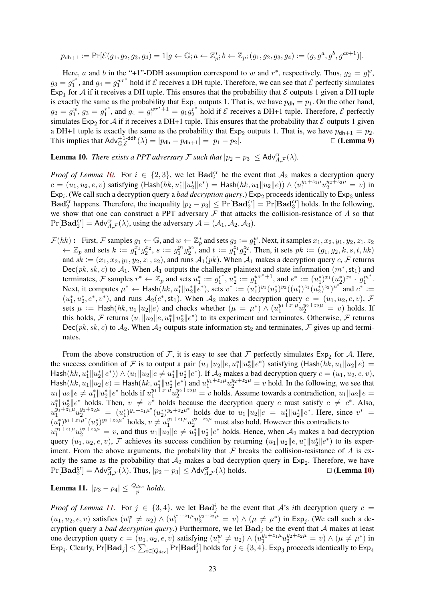$$
p_{\mathsf{dh}+1} := \Pr[\mathcal{E}(g_1, g_2, g_3, g_4) = 1 | g \leftarrow \mathbb{G}; a \leftarrow \mathbb{Z}_p^*; b \leftarrow \mathbb{Z}_p; (g_1, g_2, g_3, g_4) := (g, g^a, g^b, g^{ab+1})].
$$

Here, *a* and *b* in the "+1"-DDH assumption correspond to *w* and  $r^*$ , respectively. Thus,  $g_2 = g_1^w$ ,  $g_3 = g_1^{r^*}$  $j_1^*$ , and  $g_4 = g_1^{w r^*}$  hold if *E* receives a DH tuple. Therefore, we can see that *E* perfectly simulates Exp<sub>1</sub> for *A* if it receives a DH tuple. This ensures that the probability that  $\mathcal E$  outputs 1 given a DH tuple is exactly the same as the probability that  $Exp_1$  outputs 1. That is, we have  $p_{dh} = p_1$ . On the other hand,  $g_2 = g_1^w, g_3 = g_1^{r^*}$  $g_1^*$ , and  $g_4 = g_1^{wr^*+1} = g_1 g_2^{r^*}$  $i_2^r$  hold if  $\mathcal E$  receives a DH+1 tuple. Therefore,  $\mathcal E$  perfectly simulates  $Exp_2$  for *A* if it receives a DH+1 tuple. This ensures that the probability that  $\mathcal E$  outputs 1 given a DH+1 tuple is exactly the same as the probability that  $Exp_2$  outputs 1. That is, we have  $p_{dh+1} = p_2$ . This implies that  $\text{Adv}_{\mathbb{G}, \mathcal{E}}^{+1-\text{ddh}}(\lambda) = |p_{\text{dh}} - p_{\text{dh}+1}| = |p_1 - p_2|$ .  $\Box$  (Lemma 9)

**Lemma 10.** *There exists a PPT adversary*  $\mathcal F$  *such that*  $|p_2 - p_3| \leq \text{Adv}_{A,\mathcal F}^{cr}(\lambda)$ *.* 

<span id="page-22-0"></span>*Proof of Lemma 10.* For  $i \in \{2,3\}$ , we let  $\textbf{Bad}^{\text{cr}}_i$  be the event that  $\mathcal{A}_2$  makes a decryption qu[ery](#page-21-1)  $c=(u_1,u_2,e,v)$  satisfying  $(\mathsf{Hash}(hk,u_1^*\|u_2^*\|e^*)=\mathsf{Hash}(hk,u_1\|u_2\|e))\wedge (u_1^{y_1+z_1\mu}u_2^{y_2+\tilde{z}_2\mu}=v)$  in  $Exp_i$ . (We call such a decryption query a *bad decryption query*.)  $Exp_2$  proceeds identically to  $Exp_3$  unless  $\text{Bad}^{\text{cr}}_2$  happens. Therefore, the inequality  $|p_2 - p_3| \leq \Pr[\text{Bad}^{\text{cr}}_2] = \Pr[\text{Bad}^{\text{cr}}_3]$  holds. In the following, we show that on[e c](#page-22-0)an construct a PPT adversary *F* that attacks the collision-resistance of *Λ* so that  $Pr[\text{Bad}_2^{\text{cr}}] = \text{Adv}_{A,\mathcal{F}}^{\text{cr}}(\lambda)$ , using the adversary  $\mathcal{A} = (\mathcal{A}_1, \mathcal{A}_2, \mathcal{A}_3)$ .

 $\mathcal{F}(hk)$ : First, F samples  $g_1 \leftarrow \mathbb{G}$ , and  $w \leftarrow \mathbb{Z}_p^*$  and sets  $g_2 := g_1^w$ . Next, it samples  $x_1, x_2, y_1, y_2, z_1, z_2$  $\leftarrow \mathbb{Z}_p$  and sets  $k := g_1^{x_1} g_2^{x_2}$ ,  $s := g_1^{y_1} g_2^{y_2}$ , and  $t := g_1^{z_1} g_2^{z_2}$ . Then, it sets  $pk := (g_1, g_2, k, s, t, hk)$ and  $sk := (x_1, x_2, y_1, y_2, z_1, z_2)$ , and runs  $\mathcal{A}_1(pk)$ . When  $\mathcal{A}_1$  makes a decryption query  $c, \mathcal{F}$  returns Dec( $pk, sk, c$ ) to  $A_1$ . When  $A_1$  outputs the challenge plaintext and state information  $(m^*, \text{st}_1)$  and terminates,  $\overline{\mathcal{F}}$  samples  $r^* \leftarrow \mathbb{Z}_p$  and sets  $u_1^* := g_1^{r^*}$  $x_1^{r^*}, u_2^* := g_1^{wr^*+1}$ , and  $e^* := (u_1^*)^{x_1}(u_2^*)^{x_2} \cdot g_1^{m^*}$ . Next, it computes  $\mu^* \leftarrow \text{Hash}(hk, u_1^*||u_2^*||e^*), \text{ sets } v^* := (u_1^*)^{y_1}(u_2^*)^{y_2}((u_1^*)^{z_1}(u_2^*)^{z_2})^{\mu^*}$  and  $c^* :=$  $(u_1^*, u_2^*, e^*, v^*)$ , and runs  $\mathcal{A}_2(e^*, \mathsf{st}_1)$ . When  $\mathcal{A}_2$  makes a decryption query  $c = (u_1, u_2, e, v)$ ,  $\mathcal{F}$ sets  $\mu := \text{Hash}(hk, u_1||u_2||e)$  and checks whether  $(\mu = \mu^*) \wedge (u_1^{y_1 + z_1 \mu} u_2^{y_2 + z_2 \mu} = v)$  holds. If this holds, *F* returns  $(u_1||u_2||e, u_1^*||u_2^*||e^*)$  to its experiment and terminates. Otherwise, *F* returns Dec( $pk, sk, c$ ) to  $A_2$ . When  $A_2$  outputs state information st<sub>2</sub> and terminates,  $\mathcal F$  gives up and terminates.

From the above construction of  $F$ , it is easy to see that  $F$  perfectly simulates  $Exp_2$  for  $A$ . Here, the success condition of F is to output a pair  $(u_1||u_2||e, u_1^*||u_2^*||e^*)$  satisfying  $(Hash(hk, u_1||u_2||e)$  =  $\textsf{Hash}(hk, u_1^*||u_2^*||e^*)) \wedge (u_1||u_2||e \neq u_1^*||u_2^*||e^*)$ . If  $\mathcal{A}_2$  makes a bad decryption query  $c = (u_1, u_2, e, v)$ , Hash $(hk, u_1||u_2||e)$  = Hash $(hk, u_1^*||u_2^*||e^*)$  and  $u_1^{y_1+z_1\mu}u_2^{y_2+z_2\mu} = v$  hold. In the following, we see that  $u_1||u_2||e \neq u_1^*||u_2^*||e^*$  holds if  $u_1^{y_1+z_1\mu}u_2^{y_2+z_2\mu} = v$  holds. Assume towards a contradiction,  $u_1||u_2||e =$  $u_1^*||u_2^*||e^*$  holds. Then,  $v \neq v^*$  holds because the decryption query c must satisfy  $c \neq c^*$ . Also,  $u_1^{\bar{y}_1+\bar{z}_1\mu}u_2^{y_2+z_2\mu} = (u_1^*)^{y_1+z_1\mu^*}(u_2^*)^{y_2+z_2\mu^*}$  holds due to  $u_1||u_2||e = u_1^*||u_2^*||e^*$ . Here, since  $v^* =$  $(u_1^*)^{y_1+z_1\mu^*}(u_2^*)^{y_2+z_2\mu^*}$  holds,  $v \neq u_1^{y_1+z_1\mu}u_2^{y_2+z_2\mu}$  must also hold. However this contradicts to  $u_1^{y_1+z_1\mu}u_2^{y_2+z_2\mu} = v$ , and thus  $u_1||u_2||e \neq u_1^*||u_2^*||e^*$  holds. Hence, when  $\mathcal{A}_2$  makes a bad decryption query  $(u_1, u_2, e, v)$ , *F* achieves its success condition by returning  $(u_1||u_2||e, u_1^*||u_2^*||e^*)$  to its experiment. From the above arguments, the probability that *F* breaks the collision-resistance of *Λ* is exactly the same as the probability that  $A_2$  makes a bad decryption query in  $Exp_2$ . Therefore, we have  $Pr[\text{Bad}_{2}^{cr}] = \text{Adv}_{A,\mathcal{F}}^{cr}(\lambda)$ . Thus,  $|p_2 - p_3| \leq \text{Adv}_{A,\mathcal{F}}^{cr}(\lambda)$  holds.  $\Box$  (Lemma 10)

**Lemma 11.**  $|p_3 - p_4|$  ≤  $\frac{Q_{dec}}{p}$  holds.

<span id="page-22-1"></span>*Proof of Lemma 11.* For  $j \in \{3, 4\}$ , we let  $\textbf{Bad}^i_j$  be the event that *A*'s *i*th decryption query  $c =$  $c =$  $(u_1, u_2, e, v)$  satisfies  $(u_1^w \neq u_2) \wedge (u_1^{y_1+z_1\mu} u_2^{y_2+z_2\mu} = v) \wedge (\mu \neq \mu^*)$  in Exp<sub>j</sub>. (We call such a decryption query a *bad decryption query*.) Furthermore, we let **Bad***<sup>j</sup>* be the event that *A* makes at least one decryption q[uer](#page-22-1)y  $c = (u_1, u_2, e, v)$  satisfying  $(u_1^w \neq u_2) \wedge (u_1^{y_1+z_1\mu} u_2^{y_2+z_2\mu} = v) \wedge (\mu \neq \mu^*)$  in  $\text{Exp}_j$ . Clearly,  $\Pr[\text{Bad}_j] \leq \sum_{i \in [Q_{dec}]} \Pr[\text{Bad}_j^i]$  holds for  $j \in \{3, 4\}$ . Exp<sub>3</sub> proceeds identically to Exp<sub>4</sub>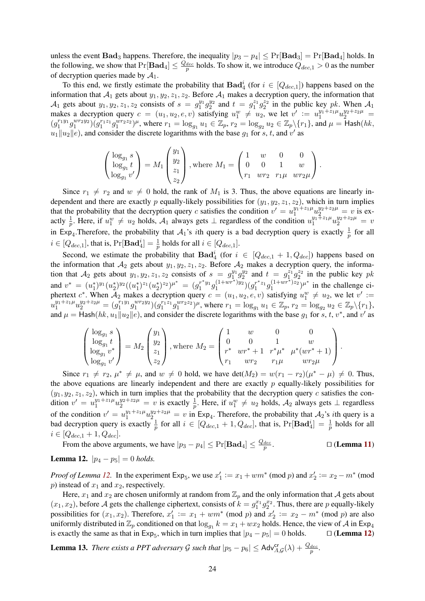unless the event  $\textbf{Bad}_3$  happens. Therefore, the inequality  $|p_3 - p_4| \leq \Pr[\textbf{Bad}_3] = \Pr[\textbf{Bad}_4]$  holds. In the following, we show that  $Pr[Bad_4] \leq \frac{Q_{dec}}{p}$  holds. To show it, we introduce  $Q_{dec,1} > 0$  as the number of decryption queries made by  $A_1$ .

To this end, we firstly estimate the probability that  $\textbf{Bad}^i_4$  (for  $i \in [Q_{dec,1}]$ ) happens based on the information that  $A_1$  gets about  $y_1, y_2, z_1, z_2$ . Before  $A_1$  makes a decryption query, the information that  $A_1$  gets about  $y_1, y_2, z_1, z_2$  consists of  $s = g_1^{y_1}g_2^{y_2}$  and  $t = g_1^{z_1}g_2^{z_2}$  in the public key pk. When  $A_1$ makes a decryption query  $c = (u_1, u_2, e, v)$  satisfying  $u_1^w \neq u_2$ , we let  $v' := u_1^{y_1 + z_1 \mu} u_2^{y_2 + z_2 \mu}$  $(g_1^{r_1y_1}g_1^{wr_2y_2})(g_1^{r_1z_1}g_1^{wr_2z_2})^{\mu}$ , where  $r_1 = \log_{g_1} u_1 \in \mathbb{Z}_p$ ,  $r_2 = \log_{g_2} u_2 \in \mathbb{Z}_p \setminus \{r_1\}$ , and  $\mu = \text{Hash}(hk)$ ,  $u_1||u_2||e$ , and consider the discrete logarithms with the base  $g_1$  for *s*, *t*, and *v*<sup>*'*</sup> as

$$
\begin{pmatrix} \log_{g_1} s \\ \log_{g_1} t \\ \log_{g_1} v' \end{pmatrix} = M_1 \begin{pmatrix} y_1 \\ y_2 \\ z_1 \\ z_2 \end{pmatrix}, \text{where } M_1 = \begin{pmatrix} 1 & w & 0 & 0 \\ 0 & 0 & 1 & w \\ r_1 & wr_2 & r_1\mu & wr_2\mu \end{pmatrix}.
$$

Since  $r_1 \neq r_2$  and  $w \neq 0$  hold, the rank of  $M_1$  is 3. Thus, the above equations are linearly independent and there are exactly *p* equally-likely possibilities for  $(y_1, y_2, z_1, z_2)$ , which in turn implies that the probability that the decryption query *c* satisfies the condition  $v' = u_1^{y_1+z_1\mu}u_2^{y_2+z_2\mu} = v$  is exactly  $\frac{1}{p}$ . Here, if  $u_1^w \neq u_2$  holds,  $\mathcal{A}_1$  always gets  $\perp$  regardless of the condition  $u_1^{y_1 + z_1 \mu} u_2^{y_2 + z_2 \mu} = v$ in Exp<sub>4</sub>. Therefore, the probability that  $A_1$ 's *i*th query is a bad decryption query is exactly  $\frac{1}{p}$  for all *i* ∈ [ $Q_{dec,1}$ ], that is, Pr[**Bad**<sup>*i*</sup><sub>4</sub>] =  $\frac{1}{p}$  holds for all *i* ∈ [ $Q_{dec,1}$ ].

Second, we estimate the probability that  $\textbf{Bad}^i_4$  (for  $i \in [Q_{dec,1} + 1, Q_{dec}]$ ) happens based on the information that  $A_2$  gets about  $y_1, y_2, z_1, z_2$ . Before  $A_2$  makes a decryption query, the information that  $A_2$  gets about  $y_1, y_2, z_1, z_2$  consists of  $s = g_1^{y_1} g_2^{y_2}$  and  $t = g_1^{z_1} g_2^{z_2}$  in the public key *pk* and  $v^* = (u_1^*)^{y_1}(u_2^*)^{y_2}((u_1^*)^{z_1}(u_2^*)^{z_2})^{\mu^*} = (g_1^{r^*y_1}g_1^{(1+wr^*)y_2})$  $(g_1^{r^*z_1}g_1^{(1+wr^*)z_2})$  $\binom{(1+wr^*)z_2}{1}$ <sup>\*</sup> in the challenge ciphertext  $c^*$ . When  $\mathcal{A}_2$  makes a decryption query  $c = (u_1, u_2, e, v)$  satisfying  $u_1^w \neq u_2$ , we let  $v' :=$  $u_1^{y_1+z_1\mu}u_2^{y_2+z_2\mu} = (g_1^{r_1y_1}g_1^{wr_2y_2})(g_1^{r_1z_1}g_1^{wr_2z_2})^{\mu}$ , where  $r_1 = \log_{g_1} u_1 \in \mathbb{Z}_p$ ,  $r_2 = \log_{g_2} u_2 \in \mathbb{Z}_p \setminus \{r_1\}$ , and  $\mu = \text{Hash}(hk, u_1||u_2||e)$ , and consider the discrete logarithms with the base  $g_1$  for  $\overline{s}$ ,  $t$ ,  $v^*$ , and  $v'$  as

$$
\begin{pmatrix} \log_{g_1} s \\ \log_{g_1} t \\ \log_{g_1} v^* \\ \log_{g_1} v' \end{pmatrix} = M_2 \begin{pmatrix} y_1 \\ y_2 \\ z_1 \\ z_2 \end{pmatrix}, \text{where } M_2 = \begin{pmatrix} 1 & w & 0 & 0 \\ 0 & 0 & 1 & w \\ r^* & wr^* + 1 & r^* \mu^* & \mu^* (wr^* + 1) \\ r_1 & wr_2 & r_1 \mu & wr_2 \mu \end{pmatrix}.
$$

Since  $r_1 \neq r_2$ ,  $\mu^* \neq \mu$ , and  $w \neq 0$  hold, we have  $\det(M_2) = w(r_1 - r_2)(\mu^* - \mu) \neq 0$ . Thus, the above equations are linearly independent and there are exactly *p* equally-likely possibilities for  $(y_1, y_2, z_1, z_2)$ , which in turn implies that the probability that the decryption query *c* satisfies the condition  $v' = u_1^{y_1 + z_1 \mu} u_2^{y_2 + z_2 \mu} = v$  is exactly  $\frac{1}{p}$ . Here, if  $u_1^w \neq u_2$  holds,  $\mathcal{A}_2$  always gets  $\perp$  regardless of the condition  $v' = u_1^{y_1+z_1\mu}u_2^{y_2+z_2\mu} = v$  in Exp<sub>4</sub>. Therefore, the probability that  $A_2$ 's *i*th query is a bad decryption query is exactly  $\frac{1}{p}$  for all  $i \in [Q_{dec,1} + 1, Q_{dec}]$ , that is,  $Pr[\text{Bad}_4^i] = \frac{1}{p}$  holds for all  $i \in [Q_{dec,1} + 1, Q_{dec}]$ .

From the above arguments, we have  $|p_3 - p_4| \le \Pr[\text{Bad}_4] \le \frac{Q_{dec}}{p}$ . *⊓⊔* (Lemma 11)

**Lemma 12.**  $|p_4 - p_5| = 0$  *holds.* 

*Proof of Lemma 12.* In the experiment  $Exp_5$ , we use  $x'_1 := x_1 + w^* \pmod{p}$  $x'_1 := x_1 + w^* \pmod{p}$  $x'_1 := x_1 + w^* \pmod{p}$  and  $x'_2 := x_2 - m^* \pmod{p}$ *p*) instead of *x*<sup>1</sup> and *x*2, respectively.

<span id="page-23-0"></span>Here,  $x_1$  and  $x_2$  are chosen uniformly at random from  $\mathbb{Z}_p$  and the only information that A gets about  $(x_1, x_2)$ , before *A* gets the challenge ciphertext, consists of  $k = g_1^{x_1} g_2^{x_2}$ . Thus, there are *p* equally-likely possibilities for  $(x_1, x_2)$  $(x_1, x_2)$  $(x_1, x_2)$ . Therefore,  $x'_1 := x_1 + w m^* \pmod{p}$  and  $x'_2 := x_2 - m^* \pmod{p}$  are also uniformly distributed in  $\mathbb{Z}_p$  conditioned on that  $\log_{g_1} k = x_1 + wx_2$  holds. Hence, the view of A in Exp<sub>4</sub> is exactly the same as that in Exp<sub>5</sub>, which in turn implies that  $|p_4 - p_5| = 0$  holds.  $\Box$  (Lemma 12)

<span id="page-23-1"></span>**Lemma 13.** *There exists a PPT adversary G such that*  $|p_5 - p_6| \leq \text{Adv}_{A,G}^{\text{cr}}(\lambda) + \frac{Q_{dec}}{p}$ .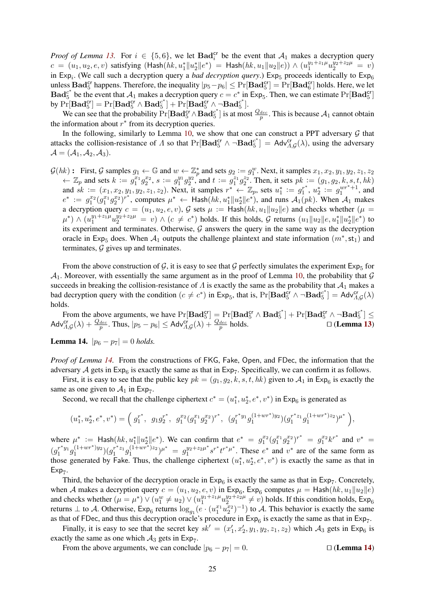*Proof of Lemma 13.* For  $i \in \{5, 6\}$ , we let  $\textbf{Bad}^{\text{cr}}_i$  be the event that  $\mathcal{A}_1$  makes a decryption query  $c = (u_1, u_2, e, v)$  satisfying  $($ Hash $(hk, u_1^*||u_2^*||e^*)$  = Hash $(hk, u_1||u_2||e)$ )  $\wedge$   $(u_1^{y_1+z_1\mu}u_2^{y_2+z_2\mu} = v)$ in  $Exp_i$ . (We call such a decryption query a *bad decryption query*.) Exp<sub>5</sub> proceeds identically to  $Exp_6$ unless  $Bad_5^{\text{cr}}$  happens. Therefore, the inequality  $|p_5-p_6|\leq \Pr[\text{Bad}_5^{\text{cr}}]=\Pr[\text{Bad}_6^{\text{cr}}]$  holds. Here, we let  $\textbf{Bad}^{c^*}_{5}$  be the eve[nt t](#page-23-1)hat  $\mathcal{A}_1$  makes a decryption query  $c = c^*$  in Exp<sub>5</sub>. Then, we can estimate Pr[ $\textbf{Bad}^{cr}_{5}$ ]  $\mathrm{b}\mathrm{y} \, \mathrm{Pr}[\mathbf{Bad}^\mathsf{cr}_5] = \mathrm{Pr}[\mathbf{Bad}^\mathsf{cr}_5 \wedge \mathbf{Bad}^\mathsf{cr}_5]$  $\left[ \begin{array}{c} c^* \ 5 \end{array} \right] + \Pr[\mathbf{Bad}^\mathsf{cr}_5 \wedge \neg \mathbf{Bad}^\mathsf{cr}_5]$  $\begin{bmatrix} c^* \ 5 \end{bmatrix}$ .

We can see that the probability  $Pr[\mathbf{Bad}^{\text{cr}}_5 \wedge \mathbf{Bad}^{\text{cr}}_5]$  $\frac{c^*}{5}$  is at most  $\frac{Q_{dec}}{p}$ . This is because  $A_1$  cannot obtain the information about  $r^*$  from its decryption queries.

In the following, similarly to Lemma 10, we show that one can construct a PPT adversary *G* that attacks the collision-resistance of *Λ* so that  $Pr[\text{Bad}_{5}^{c*} \wedge \neg \text{Bad}_{5}^{c*}]$  $\mathcal{L}_5^{c^*}$ ] = Adv $_{A,\mathcal{G}}^{cr}(\lambda)$ , using the adversary  $\mathcal{A} = (\mathcal{A}_1, \mathcal{A}_2, \mathcal{A}_3).$ 

 $\mathcal{G}(hk)$ : First,  $\mathcal G$  samples  $g_1 \leftarrow \mathbb G$  and  $w \leftarrow \mathbb Z_p^*$  and sets  $g_2 := g_1^w$ . Next, it samples  $x_1, x_2, y_1, y_2, z_1, z_2$  $\leftarrow \mathbb{Z}_p$  and sets  $k := g_1^{x_1} g_2^{x_2}$ ,  $s := g_1^{y_1} g_2^{y_2}$ , and  $t := g_1^{z_1} g_2^{z_2}$ . Then, it sets  $pk := (g_1, g_2, k, s, t, hk)$ and  $sk := (x_1, x_2, y_1, y_2, z_1, z_2)$ . Next, it samples  $r^* \leftarrow \mathbb{Z}_p$ , sets  $u_1^* := g_1^{r^*}$  $y_1^*, y_2^* := g_1^{wr^*+1}$ , and  $e^* := g_1^{x_2}(g_1^{x_1}g_2^{x_2})^{r^*}$ , computes  $\mu^* \leftarrow$  Hash $(hk, u_1^* || u_2^* || e^*)$ , and runs  $\mathcal{A}_1(pk)$ . When  $\mathcal{A}_1$  makes a decryption query  $c = (u_1, u_2, e, v)$ ,  $\mathcal G$  sets  $\mu := \text{Hash}(hk, u_1||u_2||e)$  and checks whether  $(\mu =$  $(\mu^*) \wedge (u_1^{y_1+z_1} u_2^{y_2+z_2\mu} = v) \wedge (c \neq c^*)$  holds. If this holds,  $\mathcal G$  returns  $(u_1||u_2||e, u_1^*||u_2^*||e^*)$  to its experiment and terminates. Otherwise, *G* answers the query in the same way as the decryption oracle in Exp<sub>5</sub> does. When  $A_1$  outputs the challenge plaintext and state information  $(m^*, \text{st}_1)$  and terminates,  $G$  gives up and terminates.

From the above construction of  $G$ , it is easy to see that  $G$  perfectly simulates the experiment  $Exp_5$  for  $A_1$ . Moreover, with essentially the same argument as in the proof of Lemma 10, the probability that  $G$ succeeds in breaking the collision-resistance of  $\Lambda$  is exactly the same as the probability that  $\mathcal{A}_1$  makes a bad decryption query with the condition  $(c \neq c^*)$  in Exp<sub>5</sub>, that is, Pr[Bad<sup>cr</sup>  $\wedge \neg \textbf{Bad}^{c^*}_{5}$  $\binom{c^*}{5}$  = Adv $\binom{cr}{A,\mathcal{G}}(\lambda)$ holds.

From the above arguments, we have  $Pr[\text{Bad}_5^{cr}] = Pr[\text{Bad}_5^{cr} \wedge \text{Bad}_5^{c^*}]$  $\left[ \begin{smallmatrix} c^* \ 5 \end{smallmatrix} \right] + \Pr[\mathbf{Bad}^{\mathsf{cr}}_5 \wedge \neg \mathbf{Bad}^{c^*}_5]$ 5 ] *≤*  $\left[\text{Adv}_{A,G}^{\text{cr}}(\lambda) + \frac{Q_{dec}}{p}.\text{ Thus, } |p_5 - p_6| \leq \text{Adv}_{A,G}^{\text{cr}}(\lambda) + \frac{Q_{dec}}{p}$ holds. *⊓⊔* (Lemma 13)

**Lemma 14.**  $|p_6 - p_7| = 0$  *holds.* 

<span id="page-24-0"></span>*Proof of Lemma 14.* From the constructions of FKG, Fake, Open, and FDec, the information that [the](#page-23-1) adversary A gets in  $Exp_6$  is exactly the same as that in  $Exp_7$ . Specifically, we can confirm it as follows.

First, it is easy to see that the public key  $pk = (g_1, g_2, k, s, t, hk)$  given to  $A_1$  in  $Exp_6$  is exactly the same as one given to  $A_1$  in Exp<sub>7</sub>.

Second, we r[eca](#page-24-0)ll that the challenge ciphertext  $c^* = (u_1^*, u_2^*, e^*, v^*)$  in Exp<sub>6</sub> is generated as

$$
(u_1^*, u_2^*, e^*, v^*) = \left(g_1^{r^*}, g_1 g_2^{r^*}, g_1^{x_2} (g_1^{x_1} g_2^{x_2})^{r^*}, (g_1^{r^* y_1} g_1^{(1+wr^*)y_2}) (g_1^{r^* z_1} g_1^{(1+wr^*)z_2})^{\mu^*}\right),
$$

where  $\mu^* := \text{Hash}(hk, u_1^*||u_2^*||e^*)$ . We can confirm that  $e^* = g_1^{x_2}(g_1^{x_1}g_2^{x_2})^{r^*} = g_1^{x_2}k^{r^*}$  and  $v^* =$  $(g_1^{r^*y_1}g_1^{(1+wr^*)y_2}$  $(g_1^{r^*z_1}g_1^{(1+wr^*)z_2})$  $j^{(1+wr^*)z_2}$  $\mu^* = g_1^{y_2+z_2\mu^*}$  $i^{y_2+z_2\mu^*} s^{r^*} t^{r^*\mu^*}$ . These  $e^*$  and  $v^*$  are of the same form as those generated by Fake. Thus, the challenge ciphertext  $(u_1^*, u_2^*, e^*, v^*)$  is exactly the same as that in  $Exp_7$ .

Third, the behavior of the decryption oracle in  $Exp_6$  is exactly the same as that in  $Exp_7$ . Concretely, when *A* makes a decryption query  $c = (u_1, u_2, e, v)$  in Exp<sub>6</sub>, Exp<sub>6</sub> computes  $\mu = \textsf{Hash}(hk, u_1 \| u_2 \| e)$ and checks whether  $(\mu = \mu^*) \vee (u_1^w \neq u_2) \vee (u_1^{y_1+z_1\mu} u_2^{y_2+z_2\mu} \neq v)$  holds. If this condition holds,  $Exp_6$ returns  $\perp$  to *A*. Otherwise,  $Exp_6$  returns  $log_{g_1}(e \cdot (u_1^{x_1} u_2^{x_2})^{-1})$  to *A*. This behavior is exactly the same as that of FDec, and thus this decryption oracle's procedure in  $Exp_6$  is exactly the same as that in  $Exp_7$ .

Finally, it is easy to see that the secret key  $sk' = (x'_1, x'_2, y_1, y_2, z_1, z_2)$  which  $A_3$  gets in  $Exp_6$  is exactly the same as one which  $A_3$  gets in Exp<sub>7</sub>.

From the above arguments, we can conclude  $|p_6 - p_7| = 0$ .  $\Box$  (Lemma 14)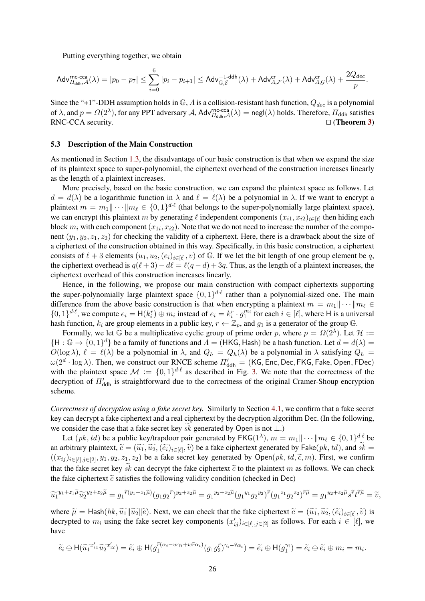Putting everything together, we obtain

$$
\mathsf{Adv}_{\Pi_{\mathsf{ddh}},\mathcal{A}}^{\mathsf{rnc}\text{-}\mathsf{cca}}(\lambda) = |p_0 - p_7| \le \sum_{i=0}^6 |p_i - p_{i+1}| \le \mathsf{Adv}_{\mathbb{G},\mathcal{E}}^{\mathsf{+1\text{-}ddh}}(\lambda) + \mathsf{Adv}_{\Lambda,\mathcal{F}}^{\mathsf{cr}}(\lambda) + \mathsf{Adv}_{\Lambda,\mathcal{G}}^{\mathsf{cr}}(\lambda) + \frac{2Q_{dec}}{p}.
$$

Since the "+1"-DDH assumption holds in G, *Λ* is a collision-resistant hash function, *Qdec* is a polynomial of  $\lambda$ , and  $p = \Omega(2^{\lambda})$ , for any PPT adversary  $\mathcal{A}$ , Adv<sup>mc-cca</sup> $(\lambda)$  = negl( $\lambda$ ) holds. Therefore,  $\Pi_{\text{ddh}}$  satisfies RNC-CCA security. *⊓⊔* (Theorem 3)

#### 5.3 Description of the Main Construction

As mentioned in Section 1.3, the disadvantage of our basic construction is that when we expand the si[ze](#page-20-1) of its plaintext space to super-polynomial, the ciphertext overhead of the construction increases linearly as the length of a plaintext increases.

<span id="page-25-0"></span>More precisely, based on the basic construction, we can expand the plaintext space as follows. Let  $d = d(\lambda)$  be a logarith[mic f](#page-3-0)unction in  $\lambda$  and  $\ell = \ell(\lambda)$  be a polynomial in  $\lambda$ . If we want to encrypt a plaintext  $m = m_1 || \cdots || m_\ell \in \{0,1\}^{d\ell}$  (that belongs to the super-polynomially large plaintext space), we can encrypt this plaintext *m* by generating *ℓ* independent components (*xi*1*, xi*2)*i∈*[*ℓ*] then hiding each block  $m_i$  with each component  $(x_{1i}, x_{i2})$ . Note that we do not need to increase the number of the component  $(y_1, y_2, z_1, z_2)$  for checking the validity of a ciphertext. Here, there is a drawback about the size of a ciphertext of the construction obtained in this way. Specifically, in this basic construction, a ciphertext consists of  $\ell + 3$  elements  $(u_1, u_2, (e_i)_{i \in [\ell]}, v)$  of  $\mathbb{G}$ . If we let the bit length of one group element be  $q$ , the ciphertext overhead is  $q(\ell+3) - d\ell = \ell(q-d) + 3q$ . Thus, as the length of a plaintext increases, the ciphertext overhead of this construction increases linearly.

Hence, in the following, we propose our main construction with compact ciphertexts supporting the super-polynomially large plaintext space  $\{0,1\}^{d\ell}$  rather than a polynomial-sized one. The main difference from the above basic construction is that when encrypting a plaintext  $m = m_1 || \cdots || m_\ell \in$  $\{0,1\}^{d \cdot \ell}$ , we compute  $e_i = \mathsf{H}(k_i^r) \oplus m_i$  instead of  $e_i = k_i^r \cdot g_1^{m_i}$  for each  $i \in [\ell]$ , where H is a universal hash function,  $k_i$  are group elements in a public key,  $r \leftarrow \mathbb{Z}_p$ , and  $g_1$  is a generator of the group  $\mathbb{G}$ .

Formally, we let  $\mathbb G$  be a multiplicative cyclic group of prime order *p*, where  $p = \Omega(2^{\lambda})$ . Let  $\mathcal H :=$  ${H : \mathbb{G} \to \{0,1\}^d\}$  be a family of functions and  $\Lambda = (HKG, Hash)$  be a hash function. Let  $d = d(\lambda) =$  $O(\log \lambda)$ ,  $\ell = \ell(\lambda)$  be a polynomial in  $\lambda$ , and  $Q_h = Q_h(\lambda)$  be a polynomial in  $\lambda$  satisfying  $Q_h =$  $ω(2<sup>d</sup> · log λ)$ . Then, we construct our RNCE scheme  $\Pi'_{\sf ddh} =$  (KG, Enc, Dec, FKG, Fake, Open, FDec) with the plaintext space  $\mathcal{M} := \{0,1\}^{d \cdot \ell}$  as described in Fig. 3. We note that the correctness of the decryption of  $\Pi'_{\text{ddh}}$  is straightforward due to the correctness of the original Cramer-Shoup encryption scheme.

*Correctness of decryption using a fake secret key.* Similarly to S[ec](#page-26-1)tion 4.1, we confirm that a fake secret key can decrypt a fake ciphertext and a real ciphertext by the decryption algorithm Dec. (In the following, we consider the case that a fake secret key *sk* generated by Open is not ⊥.)

Let  $(pk, td)$  be a public key/trapdoor pair generated by  $FKG(1^{\lambda}), m = m_1 || \cdots || m_{\ell} \in \{0,1\}^{d_{\ell}}$  be an arbitrary plaintext,  $\tilde{c} = (\tilde{u}_1, \tilde{u}_2, (\tilde{e}_i)_{i \in [\ell]}, \tilde{v})$  be a fake ciphertext gen[erat](#page-14-1)ed by Fake(pk, td), and sk =  $((x_{ij})_{i\in[\ell],j\in[2]},y_1,y_2,z_1,z_2)$  be a fake secret key generated by Open $(pk, td, \tilde{c}, m)$ . First, we confirm that the fake secret key *sk* can decrypt the fake ciphertext  $\tilde{c}$  to the plaintext *m* as follows. We can check the fake ciphertext  $\tilde{c}$  satisfies the following validity condition (checked in Dec)

$$
\widetilde{u_1}^{y_1+z_1\widetilde{\mu}}\widetilde{u_2}^{y_2+z_2\widetilde{\mu}}=g_1^{\widetilde{r}(y_1+z_1\widetilde{\mu})}(g_1g_2^{\widetilde{r}})^{y_2+z_2\widetilde{\mu}}=g_1^{y_2+z_2\widetilde{\mu}}(g_1^{y_1}g_2^{y_2})^{\widetilde{r}}(g_1^{z_1}g_2^{z_2})^{\widetilde{r}\widetilde{\mu}}=g_1^{y_2+z_2\widetilde{\mu}}s^{\widetilde{r}}t^{\widetilde{r}\widetilde{\mu}}=\widetilde{v},
$$

where  $\tilde{\mu} = \text{Hash}(hk, \tilde{u}_1 || \tilde{u}_2 || \tilde{e})$ . Next, we can check that the fake ciphertext  $\tilde{c} = (\tilde{u}_1, \tilde{u}_2, (\tilde{e}_i)_{i \in [\ell]}, \tilde{v})$  is decrypted to me using the fake secret key components  $(x')$ ,  $(x, y)$  as follows. For decrypted to  $m_i$  using the fake secret key components  $(x'_{ij})_{i \in [\ell], j \in [2]}$  as follows. For each  $i \in [\ell]$ , we have

$$
\widetilde{e_i} \oplus \mathsf{H}(\widetilde{u_1}^{x'_{i1}} \widetilde{u_2}^{x'_{i2}}) = \widetilde{e_i} \oplus \mathsf{H}(g_1^{\widetilde{r}(\alpha_i - w\gamma_i + w\widetilde{r}\alpha_i)}(g_1g_2^{\widetilde{r}})^{\gamma_i - \widetilde{r}\alpha_i}) = \widetilde{e_i} \oplus \mathsf{H}(g_1^{\gamma_i}) = \widetilde{e_i} \oplus \widetilde{e_i} \oplus m_i = m_i.
$$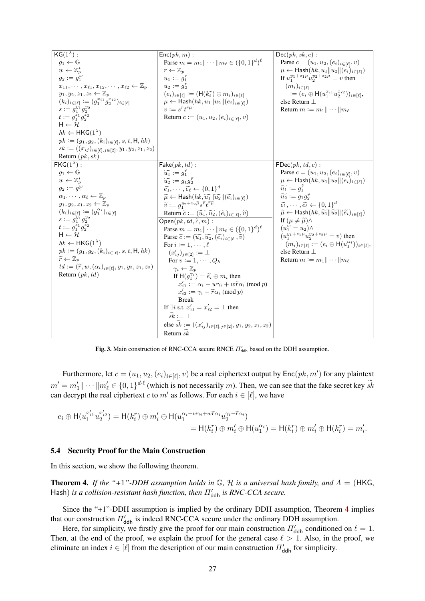| $KG(1^{\lambda})$ :<br>$q_1 \leftarrow \mathbb{G}$<br>$w \leftarrow \mathbb{Z}_p^*$<br>$g_2 := g_1^w$<br>$x_{11},\cdots,x_{\ell 1},x_{12},\cdots,x_{\ell 2}\leftarrow\mathbb{Z}_p$<br>$y_1, y_2, z_1, z_2 \leftarrow \mathbb{Z}_p$<br>$(k_i)_{i \in [\ell]} := (g_1^{x_{i1}} g_2^{x_{i2}})_{i \in [\ell]}$<br>$s := g_1^{y_1} g_2^{y_2}$<br>$t := g_1^{z_1} g_2^{z_2}$<br>$H \leftarrow H$<br>$hk \leftarrow$ HKG $(1^{\lambda})$                                                                                                                                                                            | $\mathsf{Enc}(p\overline{k,m)}$ :<br>Parse $m = m_1    \cdots    m_\ell \in (\{0, 1\}^d)^{\ell}$<br>$r \leftarrow \mathbb{Z}_n$<br>$u_1 := g_1^r$<br>$u_2 := g_2^r$<br>$(e_i)_{i \in [\ell]} := (H(k_i^r) \oplus m_i)_{i \in [\ell]}$<br>$\mu \leftarrow$ Hash $(hk, u_1    u_2    (e_i)_{i \in [\ell]} )$<br>$v := s^r t^{r\mu}$<br>Return $c := (u_1, u_2, (e_i)_{i \in [\ell]}, v)$                                                                                                                                                                                                                                                                                                                                                                                                                                                                                                                                                                                                                                                                                                                                                                                                                                                                                                               | $Dec(pk, sk, c)$ :<br>Parse $c = (u_1, u_2, (e_i)_{i \in [\ell]}, v)$<br>$\mu \leftarrow$ Hash $(hk, u_1    u_2    (e_i)_{i \in [\ell]})$<br>If $u_1^{y_1+z_1\mu}u_2^{y_2+z_2\mu} = v$ then<br>$(m_i)_{i\in[\ell]}$<br>$:= (e_i \oplus \mathsf{H}(u_1^{x_{i1}}u_2^{x_{i2}}))_{i \in [\ell]},$<br>else Return $\perp$<br>Return $m := m_1    \cdots    m_\ell$                                                                                                                                                                                                                                                                                                                                |
|--------------------------------------------------------------------------------------------------------------------------------------------------------------------------------------------------------------------------------------------------------------------------------------------------------------------------------------------------------------------------------------------------------------------------------------------------------------------------------------------------------------------------------------------------------------------------------------------------------------|------------------------------------------------------------------------------------------------------------------------------------------------------------------------------------------------------------------------------------------------------------------------------------------------------------------------------------------------------------------------------------------------------------------------------------------------------------------------------------------------------------------------------------------------------------------------------------------------------------------------------------------------------------------------------------------------------------------------------------------------------------------------------------------------------------------------------------------------------------------------------------------------------------------------------------------------------------------------------------------------------------------------------------------------------------------------------------------------------------------------------------------------------------------------------------------------------------------------------------------------------------------------------------------------------|----------------------------------------------------------------------------------------------------------------------------------------------------------------------------------------------------------------------------------------------------------------------------------------------------------------------------------------------------------------------------------------------------------------------------------------------------------------------------------------------------------------------------------------------------------------------------------------------------------------------------------------------------------------------------------------------|
| $pk := (g_1, g_2, (k_i)_{i \in [\ell]}, s, t, H, hk)$<br>$sk := ((x_{ij})_{i \in [\ell], j \in [2]}, y_1, y_2, z_1, z_2)$<br>Return $(pk, sk)$                                                                                                                                                                                                                                                                                                                                                                                                                                                               |                                                                                                                                                                                                                                                                                                                                                                                                                                                                                                                                                                                                                                                                                                                                                                                                                                                                                                                                                                                                                                                                                                                                                                                                                                                                                                      |                                                                                                                                                                                                                                                                                                                                                                                                                                                                                                                                                                                                                                                                                              |
| $FKG(1^{\lambda})$ :<br>$q_1 \leftarrow \mathbb{G}$<br>$w \leftarrow \mathbb{Z}_p^*$<br>$g_2 := g_1^w$<br>$\alpha_1, \cdots, \alpha_\ell \leftarrow \mathbb{Z}_p$<br>$y_1, y_2, z_1, z_2 \leftarrow \mathbb{Z}_p$<br>$(k_i)_{i \in [\ell]} := (g_1^{\alpha_i})_{i \in [\ell]}$<br>$s := g_1^{y_1} g_2^{y_2}$<br>$t := g_1^{z_1} g_2^{z_2}$<br>$H \leftarrow H$<br>$hk \leftarrow$ HKG( $1^{\lambda}$ )<br>$pk := (g_1, g_2, (k_i)_{i \in [\ell]}, s, t, H, hk)$<br>$\widetilde{r} \leftarrow \mathbb{Z}_n$<br>$td := (\widetilde{r}, w, (\alpha_i)_{i \in [\ell]}, y_1, y_2, z_1, z_2)$<br>Return $(pk, td)$ | Fake $(pk, td)$ :<br>$\widetilde{u_1} := g_1^{\widetilde{r}}$<br>$\widetilde{u_2} := g_1 g_2^{\widetilde{r}}$<br>$\widetilde{e_1}, \cdots, \widetilde{e_{\ell}} \leftarrow \{0,1\}^d$<br>$\widetilde{\mu} \leftarrow \mathsf{Hash}(hk, \widetilde{u_1} \Vert \widetilde{u_2} \Vert (\widetilde{e_i})_{i \in [\ell]})$<br>$\widetilde{v} := g_1^{y_2 + z_2 \widetilde{\mu}} s^{\widetilde{r}} t^{\widetilde{r} \widetilde{\mu}}$<br>Return $\widetilde{c} := (\widetilde{u_1}, \widetilde{u_2}, (\widetilde{e_i})_{i \in [\ell]}, \widetilde{v})$<br>$Open(pk, td, \widetilde{c}, m)$ :<br>Parse $m = m_1    \cdots    m_\ell \in (\{0, 1\}^d)^\ell$<br>Parse $\widetilde{c} := (\widetilde{u_1}, \widetilde{u_2}, (\widetilde{e_i})_{i \in [\ell]}, \widetilde{v})$<br>For $i \coloneqq 1, \cdots, \ell$<br>$(x'_{ij})_{i\in[2]}:=\perp$<br>For $v := 1, \dots, Q_h$<br>$\gamma_i \leftarrow \mathbb{Z}_p$<br>If $H(g_1^{\gamma_i}) = \tilde{e_i} \oplus m_i$ then<br>$x'_{i1} := \alpha_i - w\gamma_i + w\widetilde{r}\alpha_i \pmod{p}$<br>$x'_{i2} := \gamma_i - \widetilde{r}\alpha_i \pmod{p}$<br><b>Break</b><br>If $\exists i$ s.t. $x'_{i1} = x'_{i2} = \bot$ then<br>$s\tilde{k} := \bot$<br>else $s\overline{k} := ((x_{ij}')_{i \in [\ell], j \in [2]}, y_1, y_2, z_1, z_2)$<br>Return sk | $\mathsf{FDec}(pk, td, c)$ :<br>Parse $c = (u_1, u_2, (e_i)_{i \in [\ell]}, v)$<br>$\mu \leftarrow$ Hash $(hk, u_1    u_2    (e_i)_{i \in [\ell]})$<br>$\widetilde{u_1} := q_1^r$<br>$\widetilde{u_2} := q_1 q_2^r$<br>$\widetilde{e_1}, \cdots, \widetilde{e_{\ell}} \leftarrow \{0,1\}^d$<br>$\widetilde{\mu} \leftarrow \mathsf{Hash}(hk, \widetilde{u_1} \Vert \widetilde{u_2} \Vert (\widetilde{e_i})_{i \in [\ell]})$<br>If $(\mu \neq \tilde{\mu}) \wedge$<br>$(u_1^w=u_2)\wedge$<br>$(u_1^{y_1+z_1\mu}u_2^{y_2+z_2\mu}=v)$ then<br>$(m_i)_{i \in [\ell]} := (e_i \oplus \mathsf{H}(u_1^{\alpha_i}))_{i \in [\ell]},$<br>else Return $\perp$<br>Return $m := m_1    \cdots    m_\ell$ |

<span id="page-26-1"></span>Fig. 3. Main construction of RNC-CCA secure RNCE  $\Pi'_{\sf ddh}$  based on the DDH assumption.

Furthermore, let  $c = (u_1, u_2, (e_i)_{i \in [\ell]}, v)$  be a real ciphertext output by  $\mathsf{Enc}(pk, m')$  for any plaintext  $m' = m'_1 || \cdots || m'_\ell \in \{0, 1\}^{d \cdot \ell}$  (which is not necessarily *m*). Then, we can see that the fake secret key *sk* can decrypt the real ciphertext *c* to  $m'$  as follows. For each  $i \in [\ell]$ , we have

$$
e_i \oplus \mathsf{H}(u_1^{x'_{i1}} u_2^{x'_{i2}}) = \mathsf{H}(k_i^r) \oplus m_i' \oplus \mathsf{H}(u_1^{\alpha_i - w\gamma_i + w\widetilde{r}\alpha_i} u_2^{\gamma_i - \widetilde{r}\alpha_i})
$$
  
=  $\mathsf{H}(k_i^r) \oplus m_i' \oplus \mathsf{H}(u_1^{\alpha_i}) = \mathsf{H}(k_i^r) \oplus m_i' \oplus \mathsf{H}(k_i^r) = m_i'.$ 

#### 5.4 Security Proof for the Main Construction

In this section, we show the following theorem.

<span id="page-26-0"></span>**Theorem 4.** *If the "*+1*"-DDH assumption holds in*  $\mathbb{G}$ *, H is a universal hash family, and*  $\Lambda = (HKG)$ Hash) *is a collision-resistant hash function, then*  $\Pi'_{\text{ddh}}$  *is RNC-CCA secure.* 

<span id="page-26-2"></span>Since the "+1"-DDH assumption is implied by the ordinary DDH assumption, Theorem 4 implies that our construction  $\pi_{\text{ddh}}'$  is indeed RNC-CCA secure under the ordinary DDH assumption.

Here, for simplicity, we firstly give the proof for our main construction  $\Pi'_{\text{ddh}}$  conditioned on  $\ell = 1$ . Then, at the end of the proof, we explain the proof for the general case *ℓ >* 1. Also, in the [pr](#page-26-2)oof, we eliminate an index  $i \in [\ell]$  from the description of our main construction  $\pi'_{\text{ddh}}$  for simplicity.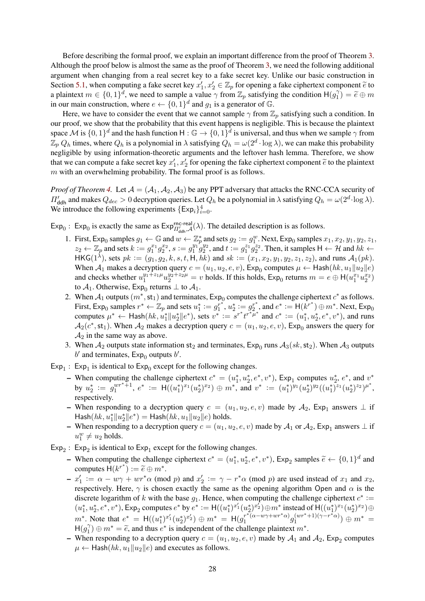Before describing the formal proof, we explain an important difference from the proof of Theorem 3. Although the proof below is almost the same as the proof of Theorem 3, we need the following additional argument when changing from a real secret key to a fake secret key. Unlike our basic construction in Section 5.1, when computing a fake secret key  $x'_1, x'_2 \in \mathbb{Z}_p$  for opening a fake ciphertext component  $\tilde{e}$  to a plaintext  $m \in \{0, 1\}^d$  we need to sample a value  $\alpha$  from  $\mathbb{Z}_p$  satisfying the condition  $H(a^{\$ a plaintext  $m \in \{0,1\}^d$ , we need to sample a value  $\gamma$  from  $\mathbb{Z}_p$  satisfying the condition  $H(g_1^{\gamma})$  $\widetilde{f}_1$ ) =  $\widetilde{e} \oplus m$  $\widetilde{e} \oplus m$ in our main construction, where  $e \leftarrow \{0, 1\}^d$  and  $g_1$  is a generator of  $\mathbb{G}$  $\mathbb{G}$  $\mathbb{G}$ .

Here, we have to consider the event that we cannot sample  $\gamma$  from  $\mathbb{Z}_p$  satisfying such a condition. In our pro[of, w](#page-19-0)e show that the probability that this event happens is negligible. This is because the plaintext space  $\mathcal M$  is  $\{0,1\}^d$  and the hash function  $H:\mathbb{G}\to\{0,1\}^d$  is universal, and thus when we sample  $\gamma$  from  $\mathbb{Z}_p$  *Q*<sup>*h*</sup> times, where *Q*<sup>*h*</sup> is a polynomial in  $\lambda$  satisfying  $Q_h = \omega(2^d \cdot \log \lambda)$ , we can make this probability negligible by using information-theoretic arguments and the leftover hash lemma. Therefore, we show that we can compute a fake secret key  $x'_1, x'_2$  for opening the fake ciphertext component  $\tilde{e}$  to the plaintext  $x_1$ ,  $x_2$  is the play of the play of the play of the play of the play of the play of the play of the p *m* with an overwhelming probability. The formal proof is as follows.

*Proof of Theorem 4.* Let  $A = (A_1, A_2, A_3)$  be any PPT adversary that attacks the RNC-CCA security of *Π*<sup> $'$ </sup><sub>ddh</sub> and makes  $Q_{dec} > 0$  decryption queries. Let  $Q_h$  be a polynomial in  $\lambda$  satisfying  $Q_h = \omega(2^d \cdot \log \lambda)$ . We introduce the following experiments  $\{Exp_i\}_{i=0}^4$ .

 $Exp_0$ :  $Exp_0$  is e[xac](#page-26-2)tly the same as  $Exp_{\Pi'_{\text{ddh}},\mathcal{A}}^{rnc\text{-real}}(\lambda)$ . The detailed description is as follows.

- 1. First,  $Exp_0$  samples  $g_1 \leftarrow \mathbb{G}$  and  $w \leftarrow \mathbb{Z}_p^*$  and sets  $g_2 := g_1^w$ . Next,  $Exp_0$  samples  $x_1, x_2, y_1, y_2, z_1$ ,  $z_2 \leftarrow \mathbb{Z}_p$  and sets  $k := g_1^{x_1} g_2^{x_2}$ ,  $s := g_1^{y_1} g_2^{y_2}$ , and  $t := g_1^{z_1} g_2^{z_2}$ . Then, it samples  $H \leftarrow H$  and  $hk \leftarrow$  $HKG(1^{\lambda})$ , sets  $pk := (g_1, g_2, k, s, t, H, hk)$  and  $sk := (x_1, x_2, y_1, y_2, z_1, z_2)$ , and runs  $\mathcal{A}_1(pk)$ . When  $A_1$  makes a decryption query  $c = (u_1, u_2, e, v)$ ,  $Exp_0$  computes  $\mu \leftarrow$  Hash $(hk, u_1 || u_2 || e)$ and checks whether  $u_1^{y_1+z_1\mu}u_2^{y_2+z_2\mu} = v$  holds. If this holds,  $Exp_0$  returns  $m = e \oplus H(u_1^{x_1}u_2^{x_2})$ to  $\mathcal{A}_1$ . Otherwise, Exp<sub>0</sub> returns  $\perp$  to  $\mathcal{A}_1$ .
- 2. When  $A_1$  outputs  $(m^*, \text{st}_1)$  and terminates,  $Exp_0$  computes the challenge ciphertext  $c^*$  as follows. First,  $Exp_0$  samples  $r^* \leftarrow \mathbb{Z}_p$  and sets  $u_1^* := g_1^{r^*}$  $u_1^*, u_2^* := g_2^{r^*}$  $2^{r^*}$ , and  $e^* := H(k^{r^*}) \oplus m^*$ . Next, Exp<sub>0</sub> computes  $\mu^* \leftarrow$  Hash $(hk, u_1^*||u_2^*||e^*)$ , sets  $v^* := s^{r^*}t^{r^*\mu^*}$  and  $c^* := (u_1^*, u_2^*, e^*, v^*)$ , and runs  $A_2(c^*, st_1)$ . When  $A_2$  makes a decryption query  $c = (u_1, u_2, e, v)$ , Exp<sub>0</sub> answers the query for  $A_2$  in the same way as above.
- 3. When  $A_2$  outputs state information  $st_2$  and terminates,  $Exp_0$  runs  $A_3(k, st_2)$ . When  $A_3$  outputs  $b'$  and terminates,  $Exp_0$  outputs  $b'$ .
- $Exp_1$ :  $Exp_1$  is identical to  $Exp_0$  except for the following changes.
	- $\bullet$  When computing the challenge ciphertext  $c^* = (u_1^*, u_2^*, e^*, v^*)$ , Exp<sub>1</sub> computes  $u_2^*, e^*,$  and  $v^*$ by  $u_2^* := g_1^{w*+1}, e^* := \mathsf{H}((u_1^*)^{x_1}(u_2^*)^{x_2}) \oplus m^*$ , and  $v^* := (u_1^*)^{y_1}(u_2^*)^{y_2}((u_1^*)^{z_1}(u_2^*)^{z_2})^{\mu^*}$ , respectively.
	- When responding to a decryption query  $c = (u_1, u_2, e, v)$  made by  $A_2$ ,  $Exp_1$  answers  $\perp$  if  $Hash(hk, u_1^*||u_2^*||e^*) = Hash(hk, u_1||u_2||e)$  holds.
	- When responding to a decryption query  $c = (u_1, u_2, e, v)$  made by  $\mathcal{A}_1$  or  $\mathcal{A}_2$ , Exp<sub>1</sub> answers  $\perp$  if  $u_1^w \neq u_2$  holds.
- $Exp_2$ :  $Exp_2$  is identical to  $Exp_1$  except for the following changes.
	- When computing the challenge ciphertext  $c^* = (u_1^*, u_2^*, e^*, v^*)$ , Exp<sub>2</sub> samples  $\tilde{e} \leftarrow \{0, 1\}^d$  and computes  $H(kr^*) := \tilde{e} \cap m^*$ computes  $H(k^{r^*}) := \tilde{e} \oplus m^*$ .<br>  $x' := e^{n}$ <br>
	<sup>2</sup>
	- $-x'_1 := \alpha w\gamma + wr^*\alpha$  (mod p) and  $x'_2 := \gamma r^*\alpha$  (mod p) are used instead of  $x_1$  and  $x_2$ , respectively. Here,  $\gamma$  is chosen exactly the same as the opening algorithm Open and  $\alpha$  is the discrete logarithm of *k* with the base  $g_1$ . Hence, when computing the challenge ciphertext  $c^* :=$  $(u_1^*, u_2^*, e^*, v^*)$ , Exp<sub>2</sub> computes  $e^*$  by  $e^* := H((u_1^*)^{x_1'} (u_2^*)^{x_2'}) \oplus m^*$  instead of  $H((u_1^*)^{x_1} (u_2^*)^{x_2}) \oplus$  $m^*$ . Note that  $e^* = H((u_1^*)^{x_1'}(u_2^*)^{x_2'}) \oplus m^* = H(g_1^{r^*(\alpha-w\gamma+w r^*\alpha)})$  $g_1^{*\pi(\alpha-w\gamma+wr^*\alpha)}g_1^{(wr^*+1)(\gamma-r^*\alpha)}$  $\binom{(wr^*+1)(\gamma-r^*\alpha)}{1} \oplus m^* =$  $H(g_1^{\gamma})$  $\widetilde{H}$   $\oplus$   $m^* = \widetilde{e}$ , and thus *e<sup>\*</sup>* is independent of the challenge plaintext  $m^*$ .
	- When responding to a decryption query  $c = (u_1, u_2, e, v)$  made by  $A_1$  and  $A_2$ ,  $Exp_2$  computes  $\mu$  ← Hash( $hk$ ,  $u_1$ || $u_2$ || $e$ ) and executes as follows.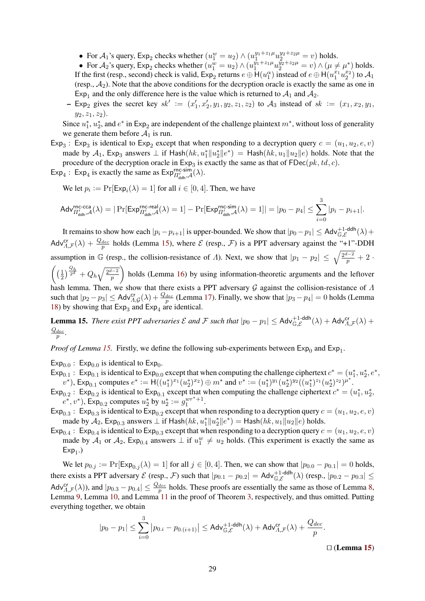• For  $A_1$ 's query,  $Exp_2$  checks whether  $(u_1^w = u_2) \wedge (u_1^{y_1+z_1\mu} u_2^{y_2+z_2\mu} = v)$  holds.

• For  $A_2$ 's query,  $Exp_2$  checks whether  $(u_1^w = u_2) \wedge (u_1^{\tilde{y}_1+z_1\mu} u_2^{\tilde{y}_2+z_2\mu} = v) \wedge (\mu \neq \mu^*)$  holds. If the first (resp., second) check is valid,  $Exp_2$  returns  $e \oplus H(u_1^{\alpha})$  instead of  $e \oplus H(u_1^{x_1} u_2^{x_2})$  to  $\mathcal{A}_1$  $(\text{resp., } A_2)$ . Note that the above conditions for the decryption oracle is exactly the same as one in  $Exp_1$  and the only difference here is the value which is returned to  $A_1$  and  $A_2$ .

 $-$  Exp<sub>2</sub> gives the secret key  $sk' := (x'_1, x'_2, y_1, y_2, z_1, z_2)$  to  $A_3$  instead of  $sk := (x_1, x_2, y_1, z_2, z_2)$  $y_2, z_1, z_2$ .

Since  $u_1^*, u_2^*$ , and  $e^*$  in Exp<sub>2</sub> are independent of the challenge plaintext  $m^*$ , without loss of generality we generate them before  $A_1$  is run.

 $Exp_3$ :  $Exp_3$  is identical to  $Exp_2$  except that when responding to a decryption query  $c = (u_1, u_2, e, v)$ made by  $\mathcal{A}_1$ , Exp<sub>3</sub> answers  $\bot$  if Hash $(hk, u_1^*||u_2^*||e^*)$  = Hash $(hk, u_1||u_2||e)$  holds. Note that the procedure of the decryption oracle in  $Exp_3$  is exactly the same as that of  $FDec(pk, td, c)$ .

 $Exp_4$ :  $Exp_4$  is exactly the same as  $Exp_{\Pi'_{ddh}, A}^{rnc-sim}(\lambda)$ .

We let  $p_i := Pr[Exp_i(\lambda) = 1]$  for all  $i \in [0, 4]$ . Then, we have

$$
\mathsf{Adv}_{\varPi_{\mathsf{ddb}}',\mathcal{A}}^{\mathsf{rnc}\text{-}\mathsf{cca}}(\lambda) = |\Pr[\mathsf{Exp}_{\varPi_{\mathsf{ddb}}',\mathcal{A}}^{\mathsf{rnc}\text{-}\mathsf{real}}(\lambda) = 1] - \Pr[\mathsf{Exp}_{\varPi_{\mathsf{ddb}}',\mathcal{A}}^{\mathsf{rnc}\text{-}\mathsf{sim}}(\lambda) = 1]| = |p_0 - p_4| \leq \sum_{i=0}^3 |p_i - p_{i+1}|.
$$

It remains to show how each  $|p_i - p_{i+1}|$  is upper-bounded. We show that  $|p_0 - p_1| \leq \mathsf{Adv}_{\mathbb{G}, \mathcal{E}}^{+1-\mathsf{ddh}}(\lambda) +$  $\mathsf{Adv}_{A,\mathcal{F}}^{\mathsf{cr}}(\lambda) + \frac{Q_{dec}}{p}$  holds (Lemma 15), where  $\mathcal E$  (resp.,  $\mathcal F$ ) is a PPT adversary against the "+1"-DDH assumption in G (resp., the collision-resistance of *Λ*). Next, we show that  $|p_1 - p_2| \le \sqrt{\frac{2^{d-2}}{p}} + 2 \cdot$  $\left(\frac{1}{2}\right)$  $\frac{1}{2}$ ) $\frac{Q_h}{2^d} + Q_h \sqrt{\frac{2^{d-2}}{p}}$ *p* ) holds (Le[mm](#page-28-0)a 16) by using information-theoretic arguments and the leftover hash lemma. Then, we show that there exists a PPT adversary *G* against the collision-resistance of *Λ* such that  $|p_2 - p_3| \leq \text{Adv}_{A,Q}^{\text{cr}}(\lambda) + \frac{Q_{dec}}{p}$  (Lemma 17). Finally, we show that  $|p_3 - p_4| = 0$  holds (Lemma 18) by showing that  $Exp_3$  and  $Exp_4$  are i[den](#page-28-1)tical.

**Lemma 15.** *There exist PPT adversaries*  $\mathcal E$  *and*  $\mathcal F$  *such that*  $|p_0 - p_1| \leq$  Adv $_{\mathbb G,\mathcal E}^{+1\textrm{-ddh}}(\lambda)$  + Adv $_{A,\mathcal F}^{**r}**(\lambda)$  +  $\frac{Q_{dec}}{p}$ .

<span id="page-28-0"></span>*[Pro](#page-31-0)of of Lemma 15.* Firstly, we define the following sub-experiments between  $Exp_0$  and  $Exp_1$ .

- $Exp_{0.0}$ :  $Exp_{0.0}$  is identical to  $Exp_0$ .
- $Exp_{0,1}$ :  $Exp_{0,1}$  is identical to  $Exp_{0,0}$  except that when computing the challenge ciphertext  $c^* = (u_1^*, u_2^*, e^*,$  $(v^*), \text{Exp}_{0,1}$  c[om](#page-28-0)putes  $e^* := \mathsf{H}((u_1^*)^{x_1}(u_2^*)^{x_2}) \oplus m^*$  and  $v^* := (u_1^*)^{y_1}(u_2^*)^{y_2}((u_1^*)^{z_1}(u_2^*)^{z_2})^{\mu^*}.$
- $Exp_{0.2}$ :  $Exp_{0.2}$  is identical to  $Exp_{0.1}$  except that when computing the challenge ciphertext  $c^* = (u_1^*, u_2^*,$  $e^*, v^*$ ), Exp<sub>0.2</sub> computes  $u_2^*$  by  $u_2^* := g_1^{w r^* + 1}$ .
- $Exp_{0.3}$ :  $Exp_{0.3}$  is identical to  $Exp_{0.2}$  except that when responding to a decryption query  $c = (u_1, u_2, e, v)$ made by  $\mathcal{A}_2$ , Exp<sub>0.3</sub> answers  $\bot$  if Hash $(hk, u_1 \| u_2^* \| e^*)$  = Hash $(hk, u_1 \| u_2 \| e)$  holds.
- $Exp_{0.4}$ :  $Exp_{0.4}$  is identical to  $Exp_{0.3}$  except that when responding to a decryption query  $c = (u_1, u_2, e, v)$ made by  $A_1$  or  $A_2$ ,  $Exp_{0.4}$  answers  $\perp$  if  $u_1^w \neq u_2$  holds. (This experiment is exactly the same as  $Exp_1$ .)

We let  $p_{0,j} := \Pr[\text{Exp}_{0,j}(\lambda) = 1]$  for all  $j \in [0, 4]$ . Then, we can show that  $|p_{0,0} - p_{0,1}| = 0$  holds, there exists a PPT adversary  $\mathcal E$  (resp., F) such that  $|p_{0.1} - p_{0.2}| = \text{Adv}_{\mathbb G,\mathcal E}^{+1-\text{ddh}}(\lambda)$  (resp.,  $|p_{0.2} - p_{0.3}| \le$  $\left(\text{Adv}_{A,\mathcal{F}}^{\text{cr}}(\lambda)\right)$ , and  $|p_{0.3} - p_{0.4}| \leq \frac{Q_{dec}}{p}$  holds. These proofs are essentially the same as those of Lemma 8, Lemma 9, Lemma 10, and Lemma 11 in the proof of Theorem 3, respectively, and thus omitted. Putting everything together, we obtain

<span id="page-28-1"></span>
$$
|p_0-p_1| \leq \sum_{i=0}^3 |p_{0,i}-p_{0,(i+1)}| \leq \mathsf{Adv}_{\mathbb{G},\mathcal{E}}^{+1\textrm{-ddh}}(\lambda) + \mathsf{Adv}_{\Lambda,\mathcal{F}}^{\mathsf{cr}}(\lambda) + \frac{Q_{dec}}{p}.
$$

*⊓⊔* (Lemma 15)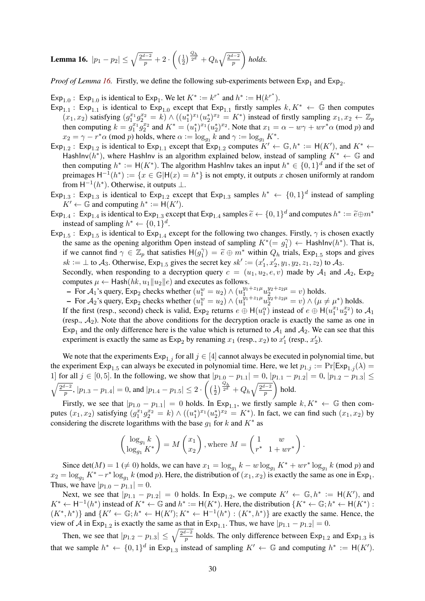**Lemma 16.** 
$$
|p_1 - p_2| \le \sqrt{\frac{2^{d-2}}{p}} + 2 \cdot \left( \left(\frac{1}{2}\right)^{\frac{Q_h}{2^d}} + Q_h \sqrt{\frac{2^{d-2}}{p}} \right) holds.
$$

*Proof of Lemma 16.* Firstly, we define the following sub-experiments between  $Exp_1$  and  $Exp_2$ .

- $Exp_{1.0}: Exp_{1.0}$  is identical to  $Exp_1$ . We let  $K^* := k^{r^*}$  and  $h^* := H(k^{r^*})$ .
- $Exp_{1,1}$ :  $Exp_{1,1}$  is identical to  $Exp_{1,0}$  except that  $Exp_{1,1}$  firstly samples  $k, K^* \leftarrow \mathbb{G}$  then computes  $(x_1, x_2)$  sati[sfyi](#page-28-1)ng  $(g_1^{x_1}g_2^{x_2} = k) \wedge ((u_1^*)^{x_1}(u_2^*)^{x_2} = K^*)$  instead of firstly sampling  $x_1, x_2 \leftarrow \mathbb{Z}_p$ then computing  $k = g_1^{x_1} g_2^{x_2}$  and  $K^* = (u_1^*)^{x_1} (u_2^*)^{x_2}$ . Note that  $x_1 = \alpha - w\gamma + wr^* \alpha$  (mod p) and  $x_2 = \gamma - r^* \alpha$  (mod *p*) holds, where  $\alpha := \log_{g_1} k$  and  $\gamma := \log_{g_1} K^*$ .
- $\mathsf{Exp}_{1,2}: \mathsf{Exp}_{1,2}$  is identical to  $\mathsf{Exp}_{1,1}$  except that  $\mathsf{Exp}_{1,2}$  computes  $K' \leftarrow \mathbb{G}, h^* := \mathsf{H}(K')$ , and  $K^* \leftarrow \mathsf{Hom}(K')$ HashInv( $h^*$ ), where HashInv is an algorithm explained below, instead of sampling  $K^* \leftarrow \mathbb{G}$  and then computing  $h^* := H(K^*)$ . The algorithm HashInv takes an input  $h^* \in \{0,1\}^d$  and if the set of preimages  $H^{-1}(h^*) := \{x \in \mathbb{G} | H(x) = h^*\}$  is not empty, it outputs *x* chosen uniformly at random from H *−*1 (*h ∗* ). Otherwise, it outputs *⊥*.
- $Exp_{1,3}$ :  $Exp_{1,3}$  is identical to  $Exp_{1,2}$  except that  $Exp_{1,3}$  samples  $h^* \leftarrow \{0,1\}^d$  instead of sampling  $K' \leftarrow \mathbb{G}$  and computing  $h^* := \mathsf{H}(K')$ .
- $\mathsf{Exp}_{1.4}: \mathsf{Exp}_{1.4}$  is identical to  $\mathsf{Exp}_{1.3}$  except that  $\mathsf{Exp}_{1.4}$  samples  $\widetilde{e} \leftarrow \{0, 1\}^d$  and computes  $h^* := \widetilde{e} \oplus m^*$ <br>instead of sampling  $h^* \leftarrow \{0, 1\}^d$ instead of sampling  $h^* \leftarrow \{0, 1\}^d$ .
- $Exp_{1.5}$ :  $Exp_{1.5}$  is identical to  $Exp_{1.4}$  except for the following two changes. Firstly,  $\gamma$  is chosen exactly the same as the opening algorithm Open instead of sampling  $K^*$  (=  $g_1^{\gamma}$ )  $\binom{\gamma}{1}$  ← HashInv $(h^*)$ . That is, if we cannot find  $\gamma \in \mathbb{Z}_p$  that satisfies  $H(g_1^{\gamma})$  $\hat{H}_{1}^{(\gamma)} = \tilde{e} \oplus m^*$  within  $Q_h$  trials, Exp<sub>1.5</sub> stops and gives  $sk := \perp$  to  $A_3$ . Otherwise,  $Exp_{1.5}$  gives the secret key  $sk' := (x'_1, x'_2, y_1, y_2, z_1, z_2)$  to  $A_3$ .

Secondly, when responding to a decryption query  $c = (u_1, u_2, e, v)$  made by  $\mathcal{A}_1$  and  $\mathcal{A}_2$ , Exp<sub>2</sub> computes  $\mu \leftarrow$  Hash $(hk, u_1||u_2||e)$  and executes as follows.

- $\overline{P}$  For  $\mathcal{A}_1$ 's query, Exp<sub>2</sub> checks whether  $(u_1^w = u_2) \wedge (u_1^{y_1+z_1\mu} u_2^{y_2+z_2\mu} = v)$  holds.
- For  $A_2$ 's query,  $Exp_2$  checks whether  $(u_1^w = u_2) \wedge (u_1^{\bar{y}_1 + z_1 \mu} u_2^{\bar{y}_2 + z_2 \mu} = v) \wedge (\mu \neq \mu^*)$  holds.

If the first (resp., second) check is valid,  $Exp_2$  returns  $e \oplus H(u_1^{\alpha})$  instead of  $e \oplus H(u_1^{x_1}u_2^{x_2})$  to  $\mathcal{A}_1$ (resp.,  $A_2$ ). Note that the above conditions for the decryption oracle is exactly the same as one in  $Exp_1$  and the only difference here is the value which is returned to  $A_1$  and  $A_2$ . We can see that this experiment is exactly the same as  $Exp_2$  by renaming  $x_1$  (resp.,  $x_2$ ) to  $x'_1$  (resp.,  $x'_2$ ).

We note that the experiments  $Exp_{1,j}$  for all  $j \in [4]$  cannot always be executed in polynomial time, but the experiment  $Exp_{1.5}$  can always be executed in polynomial time. Here, we let  $p_{1,j} := Pr[Exp_{1,j}(\lambda)]$ 1] for all  $j \in [0, 5]$ . In the following, we show that  $|p_{1,0} - p_{1,1}| = 0$ ,  $|p_{1,1} - p_{1,2}| = 0$ ,  $|p_{1,2} - p_{1,3}| \le$  $\sqrt{\frac{2^{d-2}}{2}}$  $\frac{\overline{p}}{p}$ ,  $|p_{1.3} - p_{1.4}| = 0$ , and  $|p_{1.4} - p_{1.5}| \leq 2 \cdot \left( \frac{1}{2} \right)$  $\frac{1}{2}$ ) $\frac{Q_h}{2^d} + Q_h \sqrt{\frac{2^{d-2}}{p}}$ *p* ) hold.

Firstly, we see that  $|p_{1,0} - p_{1,1}| = 0$  holds. In Exp<sub>1,1</sub>, we firstly sample  $k, K^* \leftarrow \mathbb{G}$  then computes  $(x_1, x_2)$  satisfying  $(g_1^{x_1}g_2^{x_2} = k) \wedge ((u_1^*)^{x_1}(u_2^*)^{x_2} = K^*)$ . In fact, we can find such  $(x_1, x_2)$  by considering the discrete logarithms with the base  $g_1$  for  $k$  and  $K^*$  as

$$
\begin{pmatrix} \log_{g_1} k \\ \log_{g_1} K^* \end{pmatrix} = M \begin{pmatrix} x_1 \\ x_2 \end{pmatrix}, \text{where } M = \begin{pmatrix} 1 & w \\ r^* & 1 + wr^* \end{pmatrix}.
$$

Since det( $M$ ) = 1 ( $\neq$  0) holds, we can have  $x_1 = \log_{g_1} k - w \log_{g_1} K^* + wr^* \log_{g_1} k \pmod{p}$  and  $x_2 = \log_{g_1} K^* - r^* \log_{g_1} k \pmod{p}$ . Here, the distribution of  $(x_1, x_2)$  is exactly the same as one in Exp<sub>1</sub>. Thus, we have  $|p_{1.0} - p_{1.1}| = 0$ .

Next, we see that  $|p_{1,1} - p_{1,2}| = 0$  holds. In Exp<sub>1,2</sub>, we compute  $K' \leftarrow \mathbb{G}, h^* := \mathsf{H}(K')$ , and  $K^* \leftarrow H^{-1}(h^*)$  instead of  $K^* \leftarrow \mathbb{G}$  and  $h^* := H(K^*)$ . Here, the distribution  $\{K^* \leftarrow \mathbb{G}; h^* \leftarrow H(K^*)$ :  $(K^*,h^*)$ } and  $\{K' \leftarrow \mathbb{G}; h^* \leftarrow H(K'); K^* \leftarrow H^{-1}(h^*) : (K^*,h^*)\}$  are exactly the same. Hence, the view of *A* in  $Exp_{1,2}$  is exactly the same as that in  $Exp_{1,1}$ . Thus, we have  $|p_{1,1} - p_{1,2}| = 0$ .

Then, we see that  $|p_{1,2} - p_{1,3}| \leq \sqrt{\frac{2^{d-2}}{n}}$  $\frac{p}{p}$  holds. The only difference between  $Exp_{1,2}$  and  $Exp_{1,3}$  is that we sample  $h^* \leftarrow \{0,1\}^d$  in Exp<sub>1.3</sub> instead of sampling  $K' \leftarrow \mathbb{G}$  and computing  $h^* := H(K')$ .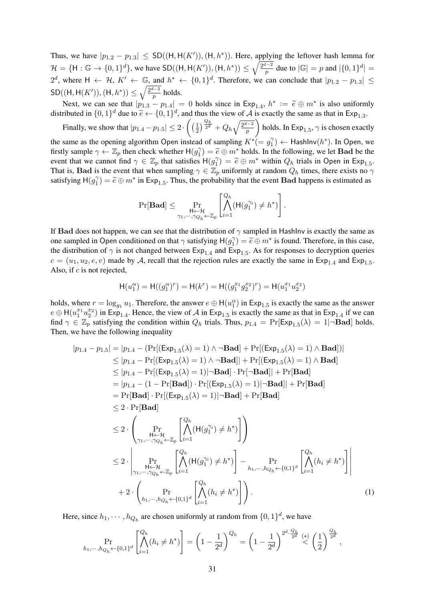Thus, we have  $|p_{1,2} - p_{1,3}| \leq SD((H, H(K')), (H, h^*))$ . Here, applying the leftover hash lemma for  $\mathcal{H} = \{ \mathsf{H} : \mathbb{G} \to \{0,1\}^d \},$  we have  $\mathsf{SD}((\mathsf{H}, \mathsf{H}(K')), (\mathsf{H}, h^*)) \leq \sqrt{\frac{2^{d-2}}{n}}$  $\frac{p^{l-2}}{p}$  due to  $|\mathbb{G}| = p$  and  $|\{0, 1\}^d| =$  $2^d$ , where H ← H,  $K'$  ← G, and  $h^*$  ←  $\{0,1\}^d$ . Therefore, we can conclude that  $|p_{1,2} - p_{1,3}|$  ≤  $SD((H, H(K')), (H, h^*)) \leq \sqrt{\frac{2^{d-2}}{n}}$  $\frac{p}{p}$  holds.

Next, we can see that  $|p_{1.3} - p_{1.4}| = 0$  holds since in  $Exp_{1.4}$ ,  $h^* := \tilde{e} \oplus m^*$  is also uniformly ributed in  $f(0, 1)d$  due to  $\tilde{e} \neq f(0, 1)d$  and thus the view of A is exactly the same as that in Exp distributed in  $\{0,1\}^d$  due to  $\tilde{e} \leftarrow \{0,1\}^d$ , and thus the view of *A* is exactly the same as that in Exp<sub>1.3</sub>.

Finally, we show that  $|p_{1.4} - p_{1.5}| \leq 2 \cdot \left( \left( \frac{1}{2} \right)$  $\frac{1}{2}$ ) $\frac{Q_h}{2^d} + Q_h \sqrt{\frac{2^{d-2}}{p}}$ *p* holds. In Exp<sub>1.5</sub>,  $\gamma$  is chosen exactly the same as the opening algorithm Open instead of sampling  $K^*$  (=  $g_1^2$ )  $\theta_1^{\gamma})$  ← HashInv $(h^*)$ . In Open, we firstly sample  $\gamma \leftarrow \mathbb{Z}_p$  then check whether  $H(g_1^{\gamma})$  $\begin{cases} \gamma_1^{\gamma} = \tilde{e} \oplus m^* \text{ holds.} \text{ In the following, we let } \mathbf{Bad} \text{ be the } \mathbf{Mod}(\mathcal{A}) = \tilde{e} \oplus m^* \text{ within } O_1 \text{ trials in } \mathbf{Open} \text{ in } \mathbf{Even}. \end{cases}$ event that we cannot find  $\gamma \in \mathbb{Z}_p$  that satisfies  $H(g_1)$  $\hat{H}(\gamma) = \tilde{e} \oplus m^*$  within  $Q_h$  trials in Open in Exp<sub>1.5</sub>.<br>intervals at random  $Q_h$  times, there exists no  $\alpha$ That is, **Bad** is the event that when sampling  $\gamma \in \mathbb{Z}_p$  uniformly at random  $Q_h$  times, there exists no  $\gamma$ satisfying  $H(g_1^{\gamma})$  $\hat{H}_1^{\gamma}$  =  $\tilde{e} \oplus m^*$  in Exp<sub>1.5</sub>. Thus, the probability that the event **Bad** happens is estimated as

$$
\Pr[\mathbf{Bad}] \leq \Pr_{\substack{\mathsf{H} \leftarrow \mathcal{H} \\ \gamma_1, \cdots, \gamma_{Q_h} \leftarrow \mathbb{Z}_p}} \left[ \bigwedge_{i=1}^{Q_h} (\mathsf{H}(g_1^{\gamma_i}) \neq h^*) \right].
$$

If **Bad** does not happen, we can see that the distribution of *γ* sampled in HashInv is exactly the same as one sampled in Open conditioned on that  $\gamma$  satisfying H( $g_1^{\gamma}$  $\hat{H}(\hat{i}) = \tilde{e} \oplus m^*$  is found. Therefore, in this case, the distribution of  $\gamma$  is not changed between  $Exp_{1.4}$  and  $Exp_{1.5}$ . As for responses to decryption queries  $c = (u_1, u_2, e, v)$  made by *A*, recall that the rejection rules are exactly the same in  $Exp_{1.4}$  and  $Exp_{1.5}$ . Also, if *c* is not rejected,

$$
\mathsf{H}(u_1^\alpha)=\mathsf{H}((g_1^\alpha)^r)=\mathsf{H}(k^r)=\mathsf{H}((g_1^{x_1}g_2^{x_2})^r)=\mathsf{H}(u_1^{x_1}u_2^{x_2})
$$

holds, where  $r = \log_{g_1} u_1$ . Therefore, the answer  $e \oplus H(u_1^{\alpha})$  in  $Exp_{1.5}$  is exactly the same as the answer  $e \oplus H(u_1^{x_1}u_2^{x_2})$  in Exp<sub>1*.*4</sub>. Hence, the view of *A* in Exp<sub>1*.*5</sub> is exactly the same as that in Exp<sub>1*.*4</sub> if we can find  $\gamma \in \mathbb{Z}_p$  satisfying the condition within  $Q_h$  trials. Thus,  $p_{1.4} = \Pr[\text{Exp}_{1.5}(\lambda) = 1 | \text{-**Bad**]$  holds. Then, we have the following inequality

$$
|p_{1.4} - p_{1.5}| = |p_{1.4} - (\Pr[(Exp_{1.5}(\lambda) = 1) \land \neg Bad] + \Pr[(Exp_{1.5}(\lambda) = 1) \land Bad])|
$$
  
\n
$$
\leq |p_{1.4} - \Pr[(Exp_{1.5}(\lambda) = 1) \land \neg Bad]| + \Pr[(Exp_{1.5}(\lambda) = 1) \land Bad]
$$
  
\n
$$
\leq |p_{1.4} - \Pr[(Exp_{1.5}(\lambda) = 1)| \neg Bad] \cdot \Pr[\neg Bad]| + \Pr[Bad]
$$
  
\n
$$
= |p_{1.4} - (1 - \Pr[Bad]) \cdot \Pr[(Exp_{1.5}(\lambda) = 1)| \neg Bad]| + \Pr[Bad]
$$
  
\n
$$
= \Pr[Bad] \cdot \Pr[(Exp_{1.5}(\lambda) = 1)| \neg Bad] + \Pr[Bad]
$$
  
\n
$$
\leq 2 \cdot \Pr[Bad]
$$
  
\n
$$
\leq 2 \cdot \left(\Pr_{\substack{H \leftarrow H \\ \land \{1, \cdots, \gamma Q_h \leftarrow Z_p}} \left[ \bigwedge_{i=1}^{Q_h} (H(g_1^{\gamma_i}) \neq h^*) \right] \right) \right)
$$
  
\n
$$
\leq 2 \cdot \left(\Pr_{\substack{H \leftarrow H \\ \land \{1, \cdots, \gamma Q_h \leftarrow Z_p}} \left[ \bigwedge_{i=1}^{Q_h} (H(g_1^{\gamma_i}) \neq h^*) \right] - \Pr_{h_1, \cdots, h_{Q_h} \leftarrow \{0, 1\}^d} \left[ \bigwedge_{i=1}^{Q_h} (h_i \neq h^*) \right] \right] \right)
$$
  
\n
$$
+ 2 \cdot \left(\Pr_{h_1, \cdots, h_{Q_h} \leftarrow \{0, 1\}^d} \left[ \bigwedge_{i=1}^{Q_h} (h_i \neq h^*) \right] \right).
$$
  
\n(1)

Here, since  $h_1, \dots, h_{Q_h}$  are chosen uniformly at random from  $\{0, 1\}^d$ , we have

$$
\Pr_{h_1,\cdots,h_{Q_h}\leftarrow\{0,1\}^d} \left[\bigwedge_{i=1}^{Q_h} (h_i \neq h^*)\right] = \left(1 - \frac{1}{2^d}\right)^{Q_h} = \left(1 - \frac{1}{2^d}\right)^{2^d \cdot \frac{Q_h}{2^d}} \stackrel{(*)}{\lt} \left(\frac{1}{2}\right)^{\frac{Q_h}{2^d}},
$$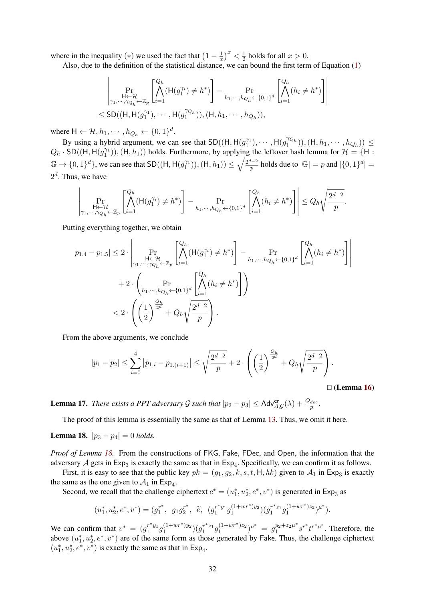where in the inequality (\*) we used the fact that  $(1 - \frac{1}{r})$  $\frac{1}{x}$ <sup>*x*</sup> <  $\frac{1}{2}$  $\frac{1}{2}$  holds for all  $x > 0$ .

Also, due to the definition of the statistical distance, we can bound the first term of Equation (1)

$$
\left| \Pr_{\substack{\mathsf{H}\leftarrow \mathcal{H} \\ \gamma_1,\cdots,\gamma_{Q_h}\leftarrow \mathbb{Z}_p}} \left[ \bigwedge_{i=1}^{Q_h} (\mathsf{H}(g_1^{\gamma_i}) \neq h^*) \right] - \Pr_{h_1,\cdots,h_{Q_h}\leftarrow \{0,1\}^d} \left[ \bigwedge_{i=1}^{Q_h} (h_i \neq h^*) \right] \right|
$$
  
 
$$
\leq \text{SD}((\mathsf{H}, \mathsf{H}(g_1^{\gamma_1}), \cdots, \mathsf{H}(g_1^{\gamma_{Q_h}})), (\mathsf{H}, h_1, \cdots, h_{Q_h})),
$$

where  $H \leftarrow \mathcal{H}, h_1, \cdots, h_{Q_h} \leftarrow \{0, 1\}^d$ .

By using a hybrid argument, we can see that  $SD((H, H(g_1^{\gamma_1}), \cdots, H(g_1^{\gamma_{Q_h}})), (H, h_1, \cdots, h_{Q_h}))$  $Q_h \cdot SD((H, H(g_1^{\gamma_1})), (H, h_1))$  holds. Furthermore, by applying the leftover hash lemma for  $H = \{H :$  $\mathbb{G} \to \{0,1\}^d\}$ , we can see that  $\mathsf{SD}((\mathsf{H}, \mathsf{H}(g_1^{\gamma_1})), (\mathsf{H}, h_1)) \leq \sqrt{\frac{2^{d-2}}{p}}$  $\frac{p}{p}$  holds due to  $|\mathbb{G}| = p$  and  $|\{0, 1\}^d| =$ 2 *d* . Thus, we have

$$
\left|\Pr_{\substack{\mathbf{H}\leftarrow \mathcal{H}\\ \gamma_1,\cdots,\gamma_{Q_h}\leftarrow \mathbb{Z}_p}}\left[\bigwedge_{i=1}^{Q_h}(\mathsf{H}(g_1^{\gamma_i})\neq h^*)\right]-\Pr_{h_1,\cdots,h_{Q_h}\leftarrow \{0,1\}^d}\left[\bigwedge_{i=1}^{Q_h}(h_i\neq h^*)\right]\right|\leq Q_h\sqrt{\frac{2^{d-2}}{p}}.
$$

Putting everything together, we obtain

$$
|p_{1.4} - p_{1.5}| \leq 2 \cdot \left| \Pr_{\substack{\mathbf{H} \leftarrow \mathcal{H} \\ \gamma_1, \dots, \gamma_{Q_h} \leftarrow \mathbb{Z}_p}} \left[ \bigwedge_{i=1}^{Q_h} (\mathbf{H}(g_1^{\gamma_i}) \neq h^*) \right] - \Pr_{h_1, \dots, h_{Q_h} \leftarrow \{0, 1\}^d} \left[ \bigwedge_{i=1}^{Q_h} (h_i \neq h^*) \right] \right] \right|
$$
  
+ 2 \cdot \left(\Pr\_{h\_1, \dots, h\_{Q\_h} \leftarrow \{0, 1\}^d} \left[ \bigwedge\_{i=1}^{Q\_h} (h\_i \neq h^\*) \right] \right)  
< 2 \cdot \left( \left( \frac{1}{2} \right)^{\frac{Q\_h}{2^d}} + Q\_h \sqrt{\frac{2^{d-2}}{p}} \right).

From the above arguments, we conclude

$$
|p_1 - p_2| \leq \sum_{i=0}^4 |p_{1,i} - p_{1,(i+1)}| \leq \sqrt{\frac{2^{d-2}}{p}} + 2 \cdot \left( \left(\frac{1}{2}\right)^{\frac{Q_h}{2^d}} + Q_h \sqrt{\frac{2^{d-2}}{p}} \right).
$$

*⊓⊔* (Lemma 16)

**Lemma 17.** *There exists a PPT adversary G such that*  $|p_2 - p_3| \leq \text{Adv}_{A,G}^{\text{cr}}(\lambda) + \frac{Q_{dec}}{p}$ .

The proof of this lemma is essentially the same as that of Lemma 13. Thus, we omit it here.

**Lemma 18.**  $|p_3 - p_4|$  = 0 *holds*.

*Proof of Lemma 18.* From the constructions of FKG, Fake, FDec, a[nd](#page-23-1) Open, the information that the adversary  $A$  gets in  $Exp_3$  is exactly the same as that in  $Exp_4$ . Specifically, we can confirm it as follows.

<span id="page-31-0"></span>First, it is easy to see that the public key  $pk = (g_1, g_2, k, s, t, H, hk)$  given to  $A_1$  in  $Exp_3$  is exactly the same as the one given to  $A_1$  in  $Exp_4$ .

Second, we r[eca](#page-31-0)ll that the challenge ciphertext  $c^* = (u_1^*, u_2^*, e^*, v^*)$  is generated in Exp<sub>3</sub> as

$$
(u_1^*, u_2^*, e^*, v^*) = (g_1^{r^*}, g_1 g_2^{r^*}, \tilde{e}, (g_1^{r^*y_1} g_1^{(1+wr^*)y_2})(g_1^{r^*z_1} g_1^{(1+wr^*)z_2})^{\mu^*}).
$$

We can confirm that  $v^* = (g_1^{r^*y_1}g_1^{(1+wr^*)y_2})$  $(g_1^{r^*z_1}g_1^{(1+wr^*)z_2})$  $j^{(1+wr^*)z_2}$  $\mu^* = g_1^{y_2+z_2\mu^*}$  $x_1^{y_2+z_2\mu^*} s^{r^*} t^{r^*\mu^*}$ . Therefore, the above  $(u_1^*, u_2^*, e^*, v^*)$  are of the same form as those generated by Fake. Thus, the challenge ciphertext  $(u_1^*, u_2^*, e^*, v^*)$  is exactly the same as that in Exp<sub>4</sub>.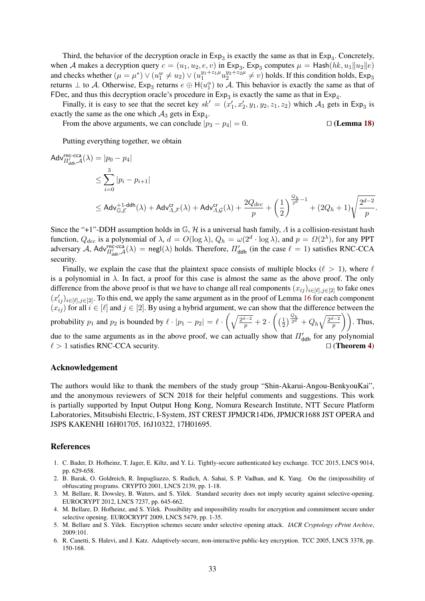Third, the behavior of the decryption oracle in  $Exp_3$  is exactly the same as that in  $Exp_4$ . Concretely, when *A* makes a decryption query  $c = (u_1, u_2, e, v)$  in Exp<sub>3</sub>, Exp<sub>3</sub> computes  $\mu = \textsf{Hash}(hk, u_1 \| u_2 \| e)$ and checks whether  $(\mu = \mu^*) \vee (u_1^w \neq u_2) \vee (u_1^{y_1+z_1\mu} u_2^{y_2+z_2\mu} \neq v)$  holds. If this condition holds,  $Exp_3$ returns  $\perp$  to *A*. Otherwise,  $Exp_3$  returns  $e \oplus H(u_1^{\alpha})$  to *A*. This behavior is exactly the same as that of FDec, and thus this decryption oracle's procedure in  $Exp_3$  is exactly the same as that in  $Exp_4$ .

Finally, it is easy to see that the secret key  $sk' = (x'_1, x'_2, y_1, y_2, z_1, z_2)$  which  $A_3$  gets in Exp<sub>3</sub> is exactly the same as the one which  $A_3$  gets in  $Exp_4$ .

From the above arguments, we can conclude  $|p_3 - p_4| = 0$ .  $\Box$  (Lemma 18)

Putting everything together, we obtain

$$
\begin{aligned} \mathsf{Adv}_{H'_{\mathsf{ddh}},\mathcal{A}}^{\mathsf{rnc}\text{-}\mathsf{cca}}(\lambda) &= |p_0 - p_4| \\ &\leq \sum_{i=0}^3 |p_i - p_{i+1}| \\ &\leq \mathsf{Adv}_{\mathbb{G},\mathcal{E}}^{\mathsf{1}\text{-}\mathsf{ddh}}(\lambda) + \mathsf{Adv}_{\varLambda,\mathcal{F}}^{\mathsf{cr}}(\lambda) + \mathsf{Adv}_{\varLambda,\mathcal{G}}^{\mathsf{cr}}(\lambda) + \frac{2Q_{dec}}{p} + \left(\frac{1}{2}\right)^{\frac{Q_h}{2^d}-1} + (2Q_h + 1)\sqrt{\frac{2^{d-2}}{p}}. \end{aligned}
$$

Since the "+1"-DDH assumption holds in G, *H* is a universal hash family, *Λ* is a collision-resistant hash function,  $Q_{dec}$  is a polynomial of  $\lambda$ ,  $d = O(\log \lambda)$ ,  $Q_h = \omega(2^d \cdot \log \lambda)$ , and  $p = \Omega(2^{\lambda})$ , for any PPT adversary *A*,  $Adv_{\Pi'_{old}, A}^{inc\text{-}cca}(\lambda) = negl(\lambda)$  holds. Therefore,  $\Pi'_{ddh}$  (in the case  $\ell = 1$ ) satisfies RNC-CCA security.

Finally, we explain the case that the plaintext space consists of multiple blocks (*ℓ >* 1), where *ℓ* is a polynomial in  $\lambda$ . In fact, a proof for this case is almost the same as the above proof. The only difference from the above proof is that we have to change all real components  $(x_{ij})_{i \in [\ell], j \in [2]}$  to fake ones  $(x'_{ij})_{i \in [\ell], j \in [2]}$ . To this end, we apply the same argument as in the proof of Lemma 16 for each component  $(x_{ij})$  for all  $i \in [\ell]$  and  $j \in [2]$ . By using a hybrid argument, we can show that the difference between the probability  $p_1$  and  $p_2$  is bounded by  $\ell \cdot |p_1 - p_2| = \ell \cdot \left(\sqrt{\frac{2^{d-2}}{p}} + 2 \cdot \left(\sqrt{\frac{1}{2^{d}}\right)^d}\right)$  $\frac{1}{2}$ ) $\frac{Q_h}{2^d} + Q_h \sqrt{\frac{2^{d-2}}{p}}$  $\left(\frac{\overline{i-2}}{p}\right)$ . Thus, due to the same arguments as in the above proof, we can actually show that  $\pi'_{\text{ddh}}$  for any polynomial *ℓ >* 1 satisfies RNC-CCA security. *⊓⊔* (Theorem 4)

#### Acknowledgement

The authors would like to thank the members of the study group "Shin-Akarui-Angou-BenkyouKa[i"](#page-26-2), and the anonymous reviewers of SCN 2018 for their helpful comments and suggestions. This work is partially supported by Input Output Hong Kong, Nomura Research Institute, NTT Secure Platform Laboratories, Mitsubishi Electric, I-System, JST CREST JPMJCR14D6, JPMJCR1688 JST OPERA and JSPS KAKENHI 16H01705, 16J10322, 17H01695.

### References

- 1. C. Bader, D. Hofheinz, T. Jager, E. Kiltz, and Y. Li. Tightly-secure authenticated key exchange. TCC 2015, LNCS 9014, pp. 629-658.
- 2. B. Barak, O. Goldreich, R. Impagliazzo, S. Rudich, A. Sahai, S. P. Vadhan, and K. Yang. On the (im)possibility of obfuscating programs. CRYPTO 2001, LNCS 2139, pp. 1-18.
- <span id="page-32-4"></span>3. M. Bellare, R. Dowsley, B. Waters, and S. Yilek. Standard security does not imply security against selective-opening. EUROCRYPT 2012, LNCS 7237, pp. 645-662.
- 4. M. Bellare, D. Hofheinz, and S. Yilek. Possibility and impossibility results for encryption and commitment secure under selective opening. EUROCRYPT 2009, LNCS 5479, pp. 1-35.
- <span id="page-32-2"></span>5. M. Bellare and S. Yilek. Encryption schemes secure under selective opening attack. *IACR Cryptology ePrint Archive*, 2009:101.
- <span id="page-32-3"></span><span id="page-32-1"></span><span id="page-32-0"></span>6. R. Canetti, S. Halevi, and J. Katz. Adaptively-secure, non-interactive public-key encryption. TCC 2005, LNCS 3378, pp. 150-168.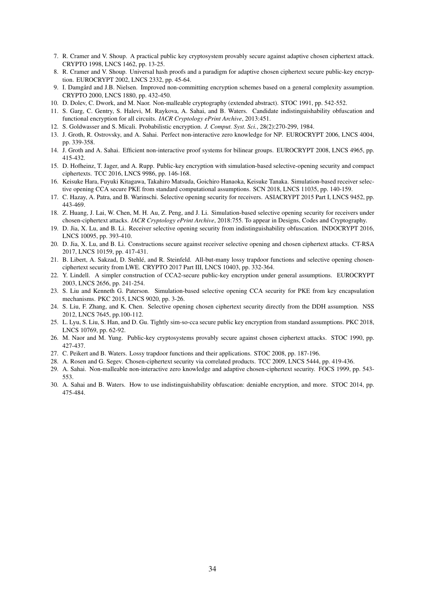- <span id="page-33-7"></span>7. R. Cramer and V. Shoup. A practical public key cryptosystem provably secure against adaptive chosen ciphertext attack. CRYPTO 1998, LNCS 1462, pp. 13-25.
- <span id="page-33-10"></span>8. R. Cramer and V. Shoup. Universal hash proofs and a paradigm for adaptive chosen ciphertext secure public-key encryption. EUROCRYPT 2002, LNCS 2332, pp. 45-64.
- <span id="page-33-21"></span>9. I. Damgård and J.B. Nielsen. Improved non-committing encryption schemes based on a general complexity assumption. CRYPTO 2000, LNCS 1880, pp. 432-450.
- <span id="page-33-0"></span>10. D. Dolev, C. Dwork, and M. Naor. Non-malleable cryptography (extended abstract). STOC 1991, pp. 542-552.
- 11. S. Garg, C. Gentry, S. Halevi, M. Raykova, A. Sahai, and B. Waters. Candidate indistinguishability obfuscation and functional encryption for all circuits. *IACR Cryptology ePrint Archive*, 2013:451.
- <span id="page-33-1"></span>12. S. Goldwasser and S. Micali. Probabilistic encryption. *J. Comput. Syst. Sci.*, 28(2):270-299, 1984.
- <span id="page-33-4"></span>13. J. Groth, R. Ostrovsky, and A. Sahai. Perfect non-interactive zero knowledge for NP. EUROCRYPT 2006, LNCS 4004, pp. 339-358.
- <span id="page-33-5"></span>14. J. Groth and A. Sahai. Efficient non-interactive proof systems for bilinear groups. EUROCRYPT 2008, LNCS 4965, pp. 415-432.
- <span id="page-33-15"></span>15. D. Hofheinz, T. Jager, and A. Rupp. Public-key encryption with simulation-based selective-opening security and compact ciphertexts. TCC 2016, LNCS 9986, pp. 146-168.
- <span id="page-33-8"></span>16. Keisuke Hara, Fuyuki Kitagawa, Takahiro Matsuda, Goichiro Hanaoka, Keisuke Tanaka. Simulation-based receiver selective opening CCA secure PKE from standard computational assumptions. SCN 2018, LNCS 11035, pp. 140-159.
- <span id="page-33-2"></span>17. C. Hazay, A. Patra, and B. Warinschi. Selective opening security for receivers. ASIACRYPT 2015 Part I, LNCS 9452, pp. 443-469.
- <span id="page-33-20"></span>18. Z. Huang, J. Lai, W. Chen, M. H. Au, Z. Peng, and J. Li. Simulation-based selective opening security for receivers under chosen-ciphertext attacks. *IACR Cryptology ePrint Archive*, 2018:755. To appear in Designs, Codes and Cryptography.
- <span id="page-33-3"></span>19. D. Jia, X. Lu, and B. Li. Receiver selective opening security from indistinguishability obfuscation. INDOCRYPT 2016, LNCS 10095, pp. 393-410.
- <span id="page-33-19"></span>20. D. Jia, X. Lu, and B. Li. Constructions secure against receiver selective opening and chosen ciphertext attacks. CT-RSA 2017, LNCS 10159, pp. 417-431.
- <span id="page-33-16"></span>21. B. Libert, A. Sakzad, D. Stehle, and R. Steinfeld. All-but-many lossy trapdoor functions and selective opening chosen- ´ ciphertext security from LWE. CRYPTO 2017 Part III, LNCS 10403, pp. 332-364.
- <span id="page-33-6"></span>22. Y. Lindell. A simpler construction of CCA2-secure public-key encryption under general assumptions. EUROCRYPT 2003, LNCS 2656, pp. 241-254.
- <span id="page-33-17"></span>23. S. Liu and Kenneth G. Paterson. Simulation-based selective opening CCA security for PKE from key encapsulation mechanisms. PKC 2015, LNCS 9020, pp. 3-26.
- 24. S. Liu, F. Zhang, and K. Chen. Selective opening chosen ciphertext security directly from the DDH assumption. NSS 2012, LNCS 7645, pp.100-112.
- <span id="page-33-18"></span>25. L. Lyu, S. Liu, S. Han, and D. Gu. Tightly sim-so-cca secure public key encryption from standard assumptions. PKC 2018, LNCS 10769, pp. 62-92.
- <span id="page-33-14"></span>26. M. Naor and M. Yung. Public-key cryptosystems provably secure against chosen ciphertext attacks. STOC 1990, pp. 427-437.
- <span id="page-33-11"></span>27. C. Peikert and B. Waters. Lossy trapdoor functions and their applications. STOC 2008, pp. 187-196.
- <span id="page-33-12"></span>28. A. Rosen and G. Segev. Chosen-ciphertext security via correlated products. TCC 2009, LNCS 5444, pp. 419-436.
- <span id="page-33-9"></span>29. A. Sahai. Non-malleable non-interactive zero knowledge and adaptive chosen-ciphertext security. FOCS 1999, pp. 543- 553.
- <span id="page-33-13"></span>30. A. Sahai and B. Waters. How to use indistinguishability obfuscation: deniable encryption, and more. STOC 2014, pp. 475-484.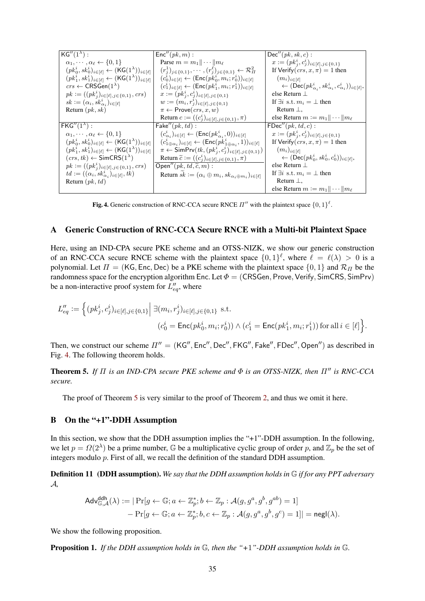| $KG''(1^{\lambda})$ :                                                                | $Enc''(pk, m)$ :                                                                                      | $Dec''(pk, sk, c)$ :                                                                          |
|--------------------------------------------------------------------------------------|-------------------------------------------------------------------------------------------------------|-----------------------------------------------------------------------------------------------|
| $\alpha_1, \cdots, \alpha_\ell \leftarrow \{0, 1\}$                                  | Parse $m = m_1    \cdots    m_\ell$                                                                   | $x := (pkji, cji)_{i \in [\ell], j \in \{0,1\}}$                                              |
| $(pk_0^i, sk_0^i)_{i \in [\ell]} \leftarrow (\mathsf{KG}(1^\lambda))_{i \in [\ell]}$ | $(r_i^1)_{i \in \{0,1\}}, \cdots, (r_i^{\ell})_{i \in \{0,1\}} \leftarrow \mathcal{R}_{\Pi}^2$        | If Verify $(crs, x, \pi) = 1$ then                                                            |
| $(pk_1^i, sk_1^i)_{i \in [\ell]} \leftarrow (\mathsf{KG}(1^\lambda))_{i \in [\ell]}$ | $(c_0^i)_{i \in [\ell]} \leftarrow (\mathsf{Enc}(pk_0^i, m_i; r_0^i))_{i \in [\ell]}$                 | $(m_i)_{i\in[\ell]}$                                                                          |
| $\mathit{crs} \leftarrow \mathsf{CRSGen}(1^\lambda)$                                 | $(c_1^i)_{i \in [\ell]} \leftarrow (\text{Enc}(pk_1^i, m_i; r_1^i))_{i \in [\ell]}$                   | $\leftarrow (\mathsf{Dec}(pk_{\alpha_i}^i, sk_{\alpha_i}^i, c_{\alpha_i}^i))_{i \in [\ell]},$ |
| $pk := ((pkji)i \in [\ell], j \in \{0,1\}, crs)$                                     | $x := (pk_i^i, c_j^i)_{i \in [\ell], j \in \{0,1\}}$                                                  | else Return $\perp$                                                                           |
| $sk := (\alpha_i, sk_{\alpha_i}^i)_{i \in [\ell]}$                                   | $w := (m_i, r_i^i)_{i \in [\ell], j \in \{0,1\}}$                                                     | If $\exists i \text{ s.t. } m_i = \perp$ then                                                 |
| Return $(pk, sk)$                                                                    | $\pi \leftarrow$ Prove $(crs, x, w)$                                                                  | Return $\perp$ ,                                                                              |
|                                                                                      | Return $c := ((c_j^i)_{i \in [\ell], j \in \{0,1\}}, \pi)$                                            | else Return $m := m_1    \cdots    m_\ell$                                                    |
| $FKG''(1^{\lambda})$ :                                                               | $\mathsf{Fake}''(pk, td)$ :                                                                           | $\mathsf{FDec}''(pk, td, c):$                                                                 |
| $\alpha_1, \cdots, \alpha_\ell \leftarrow \{0, 1\}$                                  | $(c_{\alpha_i}^i)_{i \in [\ell]} \leftarrow (\mathsf{Enc}(pk_{\alpha_i}^i, 0))_{i \in [\ell]}$        | $x := (pk_i^i, c_j^i)_{i \in [\ell], j \in \{0,1\}}$                                          |
| $(pk_0^i, sk_0^i)_{i \in [\ell]} \leftarrow (KG(1^{\lambda}))_{i \in [\ell]}$        | $(c_{1\oplus\alpha_i})_{i\in[\ell]} \leftarrow (\mathsf{Enc}(pk_{1\oplus\alpha_i}^i,1))_{i\in[\ell]}$ | If Verify $(crs, x, \pi) = 1$ then                                                            |
| $(pk_1^i, sk_1^i)_{i \in [\ell]} \leftarrow (KG(1^{\lambda}))_{i \in [\ell]}$        | $\pi \leftarrow \mathsf{SimPrv}(tk, (pk_j^i, c_j^i)_{i \in [\ell], j \in \{0,1\}})$                   | $(m_i)_{i\in[\ell]}$                                                                          |
| $(crs, tk) \leftarrow \mathsf{SimCRS}(1^{\lambda})$                                  | Return $\tilde{c} := ((c_j^i)_{i \in [\ell], j \in \{0,1\}}, \pi)$                                    | $\leftarrow (Dec(pk_0^i, sk_0^i, c_0^i))_{i \in [\ell]},$                                     |
| $pk := ((pkii)i\in[ℓ], j\in{0,1}, crs)$                                              | Open" $(pk, td, \widetilde{c}, m)$ :                                                                  | else Return $\perp$                                                                           |
| $td := ((\alpha_i, sk_{\alpha_i}^i)_{i \in [\ell]}, tk)$                             | Return $sk := (\alpha_i \oplus m_i, sk_{\alpha_i \oplus m_i})_{i \in [\ell]}$                         | If $\exists i \text{ s.t. } m_i = \bot$ then                                                  |
| Return $(pk, td)$                                                                    |                                                                                                       | Return $\perp$ ,                                                                              |
|                                                                                      |                                                                                                       | else Return $m := m_1    \cdots    m_\ell$                                                    |

Fig. 4. Generic construction of RNC-CCA secure RNCE  $\Pi''$  with the plaintext space  $\{0,1\}^{\ell}$ .

## A Generic Construction of RNC-CCA Secure RNCE with a Multi-bit Plaintext Space

Here, using an IND-CPA secure PKE scheme and an OTSS-NIZK, we show our generic construction of an RNC-CCA secure RNCE scheme with the plaintext space  $\{0,1\}^{\ell}$ , where  $\ell = \ell(\lambda) > 0$  is a polynomial. Let  $\Pi = (KG, Enc, Dec)$  be a PKE scheme with the plaintext space  $\{0, 1\}$  and  $\mathcal{R}_{\Pi}$  be the randomness space for the encryption algorithm Enc. Let *Φ* = (CRSGen*,* Prove*,* Verify*,* SimCRS*,* SimPrv) be a non-interactive proof system for  $L''_{eq}$ , where

$$
\begin{split} L''_{eq} &:= \Big\{ (p k_j^i, c_j^i)_{i \in [\ell], j \in \{0,1\}} \Big| ~\exists (m_i, r_j^i)_{i \in [\ell], j \in \{0,1\}} \text{ s.t. } \\ & (c_0^i = \texttt{Enc}(pk_0^i, m_i; r_0^i)) \wedge (c_1^i = \texttt{Enc}(pk_1^i, m_i; r_1^i)) \text{ for all } i \in [\ell] \Big\}. \end{split}
$$

Then, we construct our scheme *Π′′* = (KG*′′ ,* Enc*′′ ,* Dec*′′ ,* FKG*′′ ,* Fake*′′ ,* FDec*′′ ,* Open*′′*) as described in Fig. 4. The following theorem holds.

Theorem 5. *If Π is an IND-CPA secure PKE scheme and Φ is an OTSS-NIZK, then Π′′ is RNC-CCA secure.*

<span id="page-34-1"></span>The proof of Theorem 5 is very similar to the proof of Theorem 2, and thus we omit it here.

## B On the "+1"-DDH Assumption

<span id="page-34-0"></span>In this section, we show th[at](#page-34-1) the DDH assumption implies the "+1"[-D](#page-15-1)DH assumption. In the following, we let  $p = \Omega(2^{\lambda})$  be a prime number, G be a multiplicative cyclic group of order p, and  $\mathbb{Z}_p$  be the set of integers modulo *p*. First of all, we recall the definition of the standard DDH assumption.

Definition 11 (DDH assumption). *We say that the DDH assumption holds in* G *if for any PPT adversary A,*

$$
\begin{aligned} \mathsf{Adv}_{\mathbb{G},\mathcal{A}}^{\mathsf{ddh}}(\lambda) &:= |\Pr[g \leftarrow \mathbb{G}; a \leftarrow \mathbb{Z}_p^*; b \leftarrow \mathbb{Z}_p : \mathcal{A}(g,g^a,g^b,g^{ab}) = 1] \\ &- \Pr[g \leftarrow \mathbb{G}; a \leftarrow \mathbb{Z}_p^*; b, c \leftarrow \mathbb{Z}_p : \mathcal{A}(g,g^a,g^b,g^c) = 1]| = \mathsf{negl}(\lambda). \end{aligned}
$$

We show the following proposition.

<span id="page-34-2"></span>Proposition 1. *If the DDH assumption holds in* G*, then the "+*1*"-DDH assumption holds in* G*.*